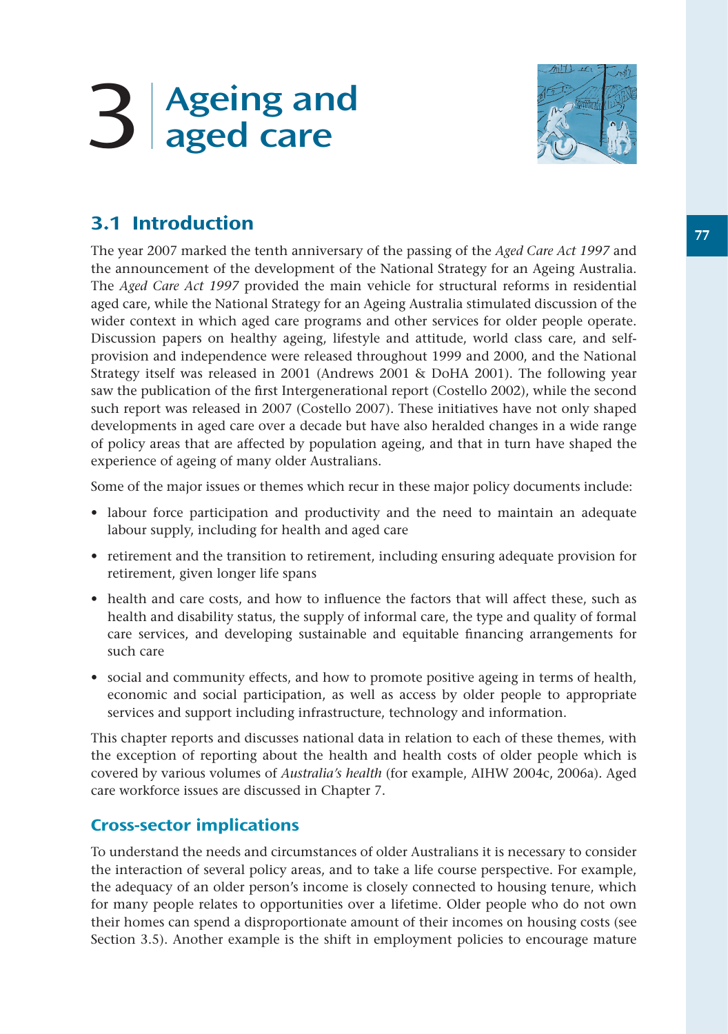# 3 Ageing and aged care



# 3.1 Introduction

The year 2007 marked the tenth anniversary of the passing of the *Aged Care Act 1997* and the announcement of the development of the National Strategy for an Ageing Australia. The *Aged Care Act 1997* provided the main vehicle for structural reforms in residential aged care, while the National Strategy for an Ageing Australia stimulated discussion of the wider context in which aged care programs and other services for older people operate. Discussion papers on healthy ageing, lifestyle and attitude, world class care, and selfprovision and independence were released throughout 1999 and 2000, and the National Strategy itself was released in 2001 (Andrews 2001 & DoHA 2001). The following year saw the publication of the first Intergenerational report (Costello 2002), while the second such report was released in 2007 (Costello 2007). These initiatives have not only shaped developments in aged care over a decade but have also heralded changes in a wide range of policy areas that are affected by population ageing, and that in turn have shaped the experience of ageing of many older Australians.

Some of the major issues or themes which recur in these major policy documents include:

- labour force participation and productivity and the need to maintain an adequate labour supply, including for health and aged care
- retirement and the transition to retirement, including ensuring adequate provision for retirement, given longer life spans
- health and care costs, and how to influence the factors that will affect these, such as health and disability status, the supply of informal care, the type and quality of formal care services, and developing sustainable and equitable financing arrangements for such care
- social and community effects, and how to promote positive ageing in terms of health, economic and social participation, as well as access by older people to appropriate services and support including infrastructure, technology and information.

This chapter reports and discusses national data in relation to each of these themes, with the exception of reporting about the health and health costs of older people which is covered by various volumes of *Australia's health* (for example, AIHW 2004c, 2006a)*.* Aged care workforce issues are discussed in Chapter 7.

## Cross-sector implications

To understand the needs and circumstances of older Australians it is necessary to consider the interaction of several policy areas, and to take a life course perspective. For example, the adequacy of an older person's income is closely connected to housing tenure, which for many people relates to opportunities over a lifetime. Older people who do not own their homes can spend a disproportionate amount of their incomes on housing costs (see Section 3.5). Another example is the shift in employment policies to encourage mature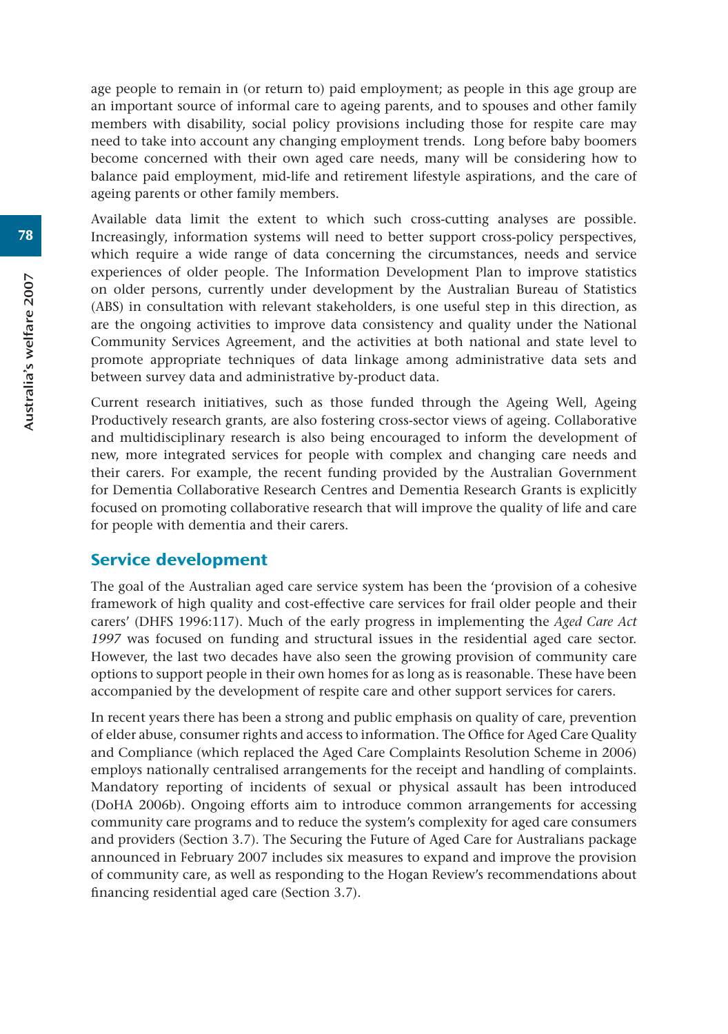age people to remain in (or return to) paid employment; as people in this age group are an important source of informal care to ageing parents, and to spouses and other family members with disability, social policy provisions including those for respite care may need to take into account any changing employment trends. Long before baby boomers become concerned with their own aged care needs, many will be considering how to balance paid employment, mid-life and retirement lifestyle aspirations, and the care of ageing parents or other family members.

Available data limit the extent to which such cross-cutting analyses are possible. Increasingly, information systems will need to better support cross-policy perspectives, which require a wide range of data concerning the circumstances, needs and service experiences of older people. The Information Development Plan to improve statistics on older persons, currently under development by the Australian Bureau of Statistics (ABS) in consultation with relevant stakeholders, is one useful step in this direction, as are the ongoing activities to improve data consistency and quality under the National Community Services Agreement, and the activities at both national and state level to promote appropriate techniques of data linkage among administrative data sets and between survey data and administrative by-product data.

Current research initiatives, such as those funded through the Ageing Well, Ageing Productively research grants*,* are also fostering cross-sector views of ageing. Collaborative and multidisciplinary research is also being encouraged to inform the development of new, more integrated services for people with complex and changing care needs and their carers. For example, the recent funding provided by the Australian Government for Dementia Collaborative Research Centres and Dementia Research Grants is explicitly focused on promoting collaborative research that will improve the quality of life and care for people with dementia and their carers.

## Service development

The goal of the Australian aged care service system has been the 'provision of a cohesive framework of high quality and cost-effective care services for frail older people and their carers' (DHFS 1996:117). Much of the early progress in implementing the *Aged Care Act 1997* was focused on funding and structural issues in the residential aged care sector. However, the last two decades have also seen the growing provision of community care options to support people in their own homes for as long as is reasonable. These have been accompanied by the development of respite care and other support services for carers.

In recent years there has been a strong and public emphasis on quality of care, prevention of elder abuse, consumer rights and access to information. The Office for Aged Care Quality and Compliance (which replaced the Aged Care Complaints Resolution Scheme in 2006) employs nationally centralised arrangements for the receipt and handling of complaints. Mandatory reporting of incidents of sexual or physical assault has been introduced (DoHA 2006b). Ongoing efforts aim to introduce common arrangements for accessing community care programs and to reduce the system's complexity for aged care consumers and providers (Section 3.7). The Securing the Future of Aged Care for Australians package announced in February 2007 includes six measures to expand and improve the provision of community care, as well as responding to the Hogan Review's recommendations about financing residential aged care (Section 3.7).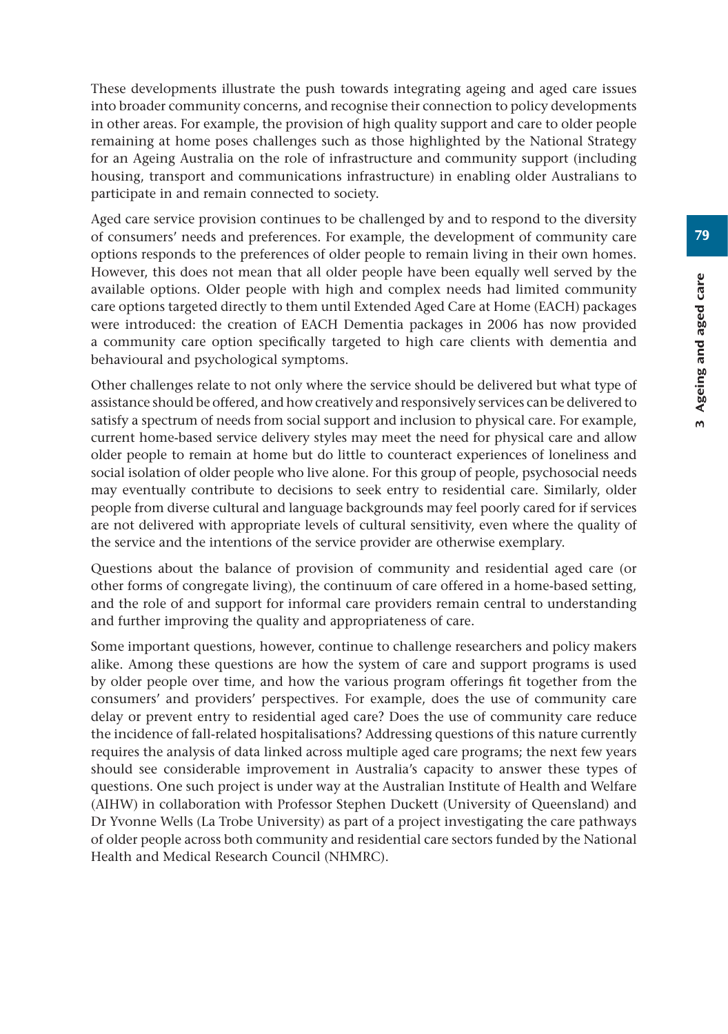These developments illustrate the push towards integrating ageing and aged care issues into broader community concerns, and recognise their connection to policy developments in other areas. For example, the provision of high quality support and care to older people remaining at home poses challenges such as those highlighted by the National Strategy for an Ageing Australia on the role of infrastructure and community support (including housing, transport and communications infrastructure) in enabling older Australians to participate in and remain connected to society.

Aged care service provision continues to be challenged by and to respond to the diversity of consumers' needs and preferences. For example, the development of community care options responds to the preferences of older people to remain living in their own homes. However, this does not mean that all older people have been equally well served by the available options. Older people with high and complex needs had limited community care options targeted directly to them until Extended Aged Care at Home (EACH) packages were introduced: the creation of EACH Dementia packages in 2006 has now provided a community care option specifically targeted to high care clients with dementia and behavioural and psychological symptoms.

Other challenges relate to not only where the service should be delivered but what type of assistance should be offered, and how creatively and responsively services can be delivered to satisfy a spectrum of needs from social support and inclusion to physical care. For example, current home-based service delivery styles may meet the need for physical care and allow older people to remain at home but do little to counteract experiences of loneliness and social isolation of older people who live alone. For this group of people, psychosocial needs may eventually contribute to decisions to seek entry to residential care. Similarly, older people from diverse cultural and language backgrounds may feel poorly cared for if services are not delivered with appropriate levels of cultural sensitivity, even where the quality of the service and the intentions of the service provider are otherwise exemplary.

Questions about the balance of provision of community and residential aged care (or other forms of congregate living), the continuum of care offered in a home-based setting, and the role of and support for informal care providers remain central to understanding and further improving the quality and appropriateness of care.

Some important questions, however, continue to challenge researchers and policy makers alike. Among these questions are how the system of care and support programs is used by older people over time, and how the various program offerings fit together from the consumers' and providers' perspectives. For example, does the use of community care delay or prevent entry to residential aged care? Does the use of community care reduce the incidence of fall-related hospitalisations? Addressing questions of this nature currently requires the analysis of data linked across multiple aged care programs; the next few years should see considerable improvement in Australia's capacity to answer these types of questions. One such project is under way at the Australian Institute of Health and Welfare (AIHW) in collaboration with Professor Stephen Duckett (University of Queensland) and Dr Yvonne Wells (La Trobe University) as part of a project investigating the care pathways of older people across both community and residential care sectors funded by the National Health and Medical Research Council (NHMRC).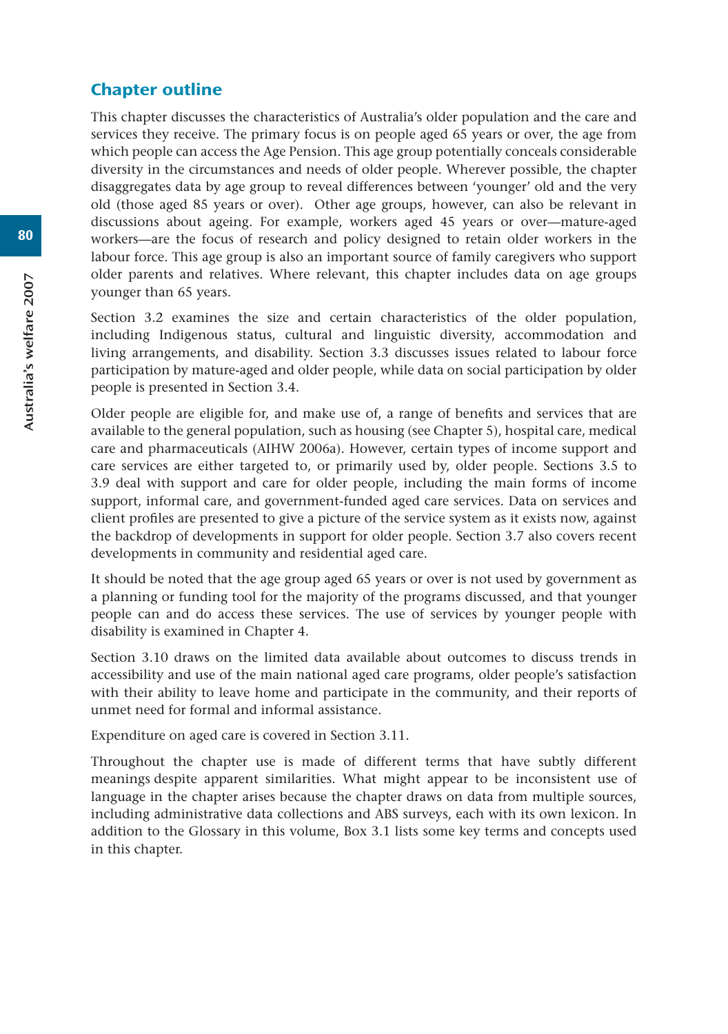## Chapter outline

This chapter discusses the characteristics of Australia's older population and the care and services they receive. The primary focus is on people aged 65 years or over, the age from which people can access the Age Pension. This age group potentially conceals considerable diversity in the circumstances and needs of older people. Wherever possible, the chapter disaggregates data by age group to reveal differences between 'younger' old and the very old (those aged 85 years or over). Other age groups, however, can also be relevant in discussions about ageing. For example, workers aged 45 years or over—mature-aged workers—are the focus of research and policy designed to retain older workers in the labour force. This age group is also an important source of family caregivers who support older parents and relatives. Where relevant, this chapter includes data on age groups younger than 65 years.

Section 3.2 examines the size and certain characteristics of the older population, including Indigenous status, cultural and linguistic diversity, accommodation and living arrangements, and disability. Section 3.3 discusses issues related to labour force participation by mature-aged and older people, while data on social participation by older people is presented in Section 3.4.

Older people are eligible for, and make use of, a range of benefits and services that are available to the general population, such as housing (see Chapter 5), hospital care, medical care and pharmaceuticals (AIHW 2006a). However, certain types of income support and care services are either targeted to, or primarily used by, older people. Sections 3.5 to 3.9 deal with support and care for older people, including the main forms of income support, informal care, and government-funded aged care services. Data on services and client profiles are presented to give a picture of the service system as it exists now, against the backdrop of developments in support for older people. Section 3.7 also covers recent developments in community and residential aged care.

It should be noted that the age group aged 65 years or over is not used by government as a planning or funding tool for the majority of the programs discussed, and that younger people can and do access these services. The use of services by younger people with disability is examined in Chapter 4.

Section 3.10 draws on the limited data available about outcomes to discuss trends in accessibility and use of the main national aged care programs, older people's satisfaction with their ability to leave home and participate in the community, and their reports of unmet need for formal and informal assistance.

Expenditure on aged care is covered in Section 3.11.

Throughout the chapter use is made of different terms that have subtly different meanings despite apparent similarities. What might appear to be inconsistent use of language in the chapter arises because the chapter draws on data from multiple sources, including administrative data collections and ABS surveys, each with its own lexicon. In addition to the Glossary in this volume, Box 3.1 lists some key terms and concepts used in this chapter.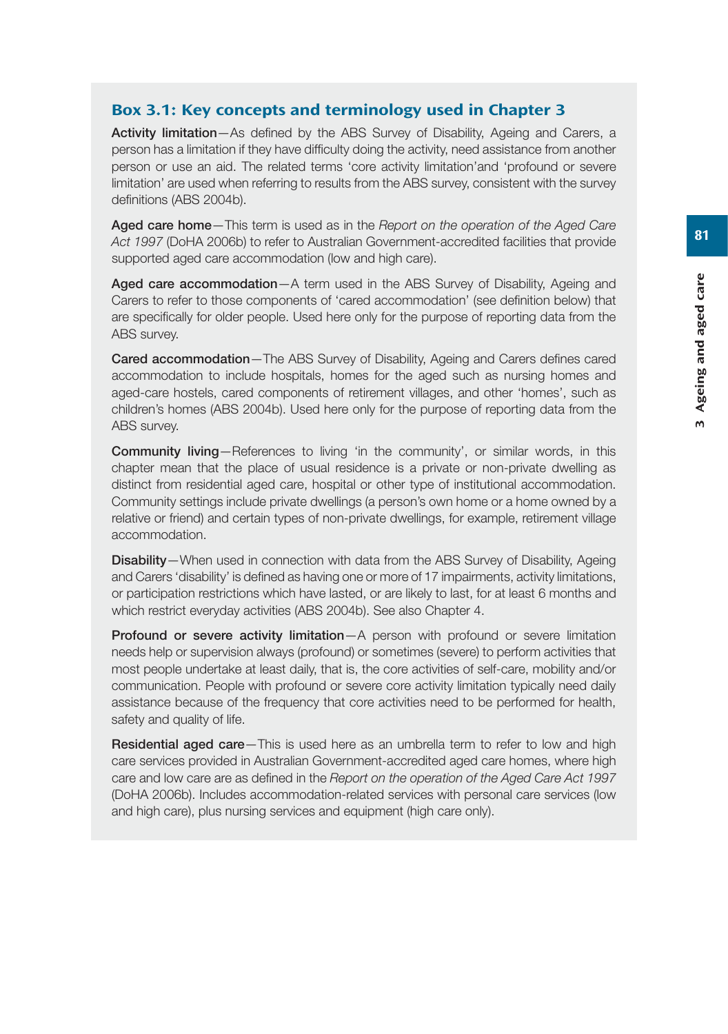#### Box 3.1: Key concepts and terminology used in Chapter 3

**Activity limitation**—As defined by the ABS Survey of Disability, Ageing and Carers, a person has a limitation if they have difficulty doing the activity, need assistance from another person or use an aid. The related terms 'core activity limitation'and 'profound or severe limitation' are used when referring to results from the ABS survey, consistent with the survey definitions (ABS 2004b).

**Aged care home**—This term is used as in the *Report on the operation of the Aged Care Act 1997* (DoHA 2006b) to refer to Australian Government-accredited facilities that provide supported aged care accommodation (low and high care).

**Aged care accommodation**—A term used in the ABS Survey of Disability, Ageing and Carers to refer to those components of 'cared accommodation' (see definition below) that are specifically for older people. Used here only for the purpose of reporting data from the ABS survey.

**Cared accommodation**—The ABS Survey of Disability, Ageing and Carers defines cared accommodation to include hospitals, homes for the aged such as nursing homes and aged-care hostels, cared components of retirement villages, and other 'homes', such as children's homes (ABS 2004b). Used here only for the purpose of reporting data from the ABS survey.

**Community living**—References to living 'in the community', or similar words, in this chapter mean that the place of usual residence is a private or non-private dwelling as distinct from residential aged care, hospital or other type of institutional accommodation. Community settings include private dwellings (a person's own home or a home owned by a relative or friend) and certain types of non-private dwellings, for example, retirement village accommodation.

**Disability**—When used in connection with data from the ABS Survey of Disability, Ageing and Carers 'disability' is defined as having one or more of 17 impairments, activity limitations, or participation restrictions which have lasted, or are likely to last, for at least 6 months and which restrict everyday activities (ABS 2004b). See also Chapter 4.

**Profound or severe activity limitation**—A person with profound or severe limitation needs help or supervision always (profound) or sometimes (severe) to perform activities that most people undertake at least daily, that is, the core activities of self-care, mobility and/or communication. People with profound or severe core activity limitation typically need daily assistance because of the frequency that core activities need to be performed for health, safety and quality of life.

**Residential aged care**—This is used here as an umbrella term to refer to low and high care services provided in Australian Government-accredited aged care homes, where high care and low care are as defined in the *Report on the operation of the Aged Care Act 1997* (DoHA 2006b). Includes accommodation-related services with personal care services (low and high care), plus nursing services and equipment (high care only).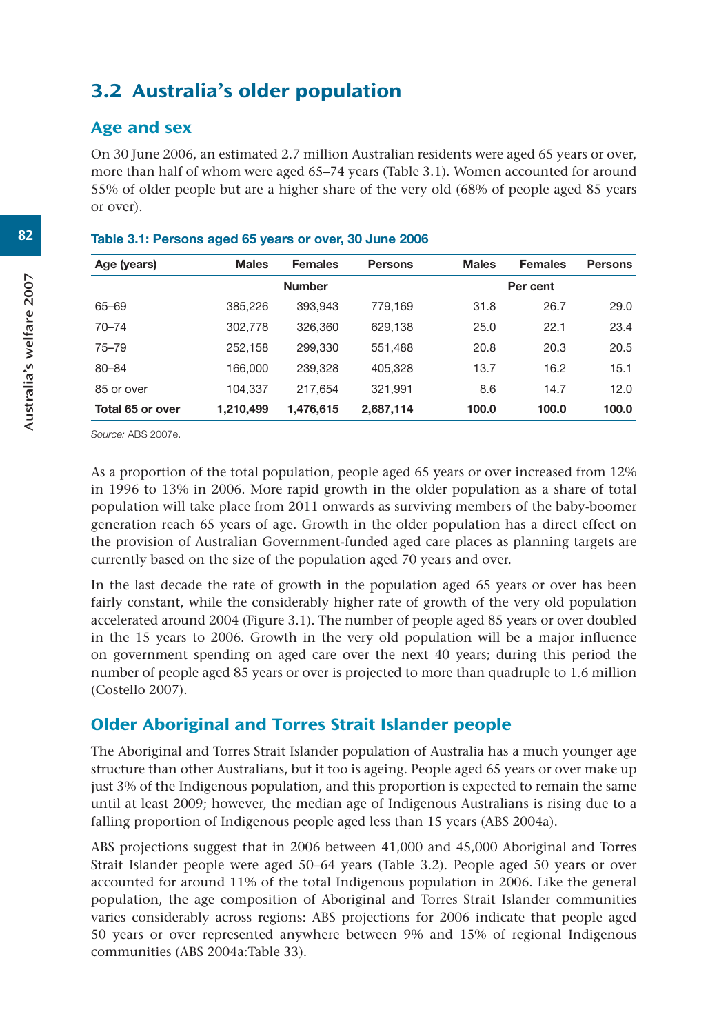# 3.2 Australia's older population

## Age and sex

On 30 June 2006, an estimated 2.7 million Australian residents were aged 65 years or over, more than half of whom were aged 65–74 years (Table 3.1). Women accounted for around 55% of older people but are a higher share of the very old (68% of people aged 85 years or over).

| <b>Males</b> | <b>Females</b> | <b>Persons</b> | <b>Males</b> | <b>Females</b> | <b>Persons</b> |
|--------------|----------------|----------------|--------------|----------------|----------------|
|              | <b>Number</b>  |                |              | Per cent       |                |
| 385.226      | 393.943        | 779.169        | 31.8         | 26.7           | 29.0           |
| 302,778      | 326,360        | 629.138        | 25.0         | 22.1           | 23.4           |
| 252,158      | 299.330        | 551,488        | 20.8         | 20.3           | 20.5           |
| 166,000      | 239,328        | 405.328        | 13.7         | 16.2           | 15.1           |
| 104.337      | 217.654        | 321.991        | 8.6          | 14.7           | 12.0           |
| 1,210,499    | 1,476,615      | 2,687,114      | 100.0        | 100.0          | 100.0          |
|              |                |                |              |                |                |

#### **Table 3.1: Persons aged 65 years or over, 30 June 2006**

*Source:* ABS 2007e.

As a proportion of the total population, people aged 65 years or over increased from 12% in 1996 to 13% in 2006. More rapid growth in the older population as a share of total population will take place from 2011 onwards as surviving members of the baby-boomer generation reach 65 years of age. Growth in the older population has a direct effect on the provision of Australian Government-funded aged care places as planning targets are currently based on the size of the population aged 70 years and over.

In the last decade the rate of growth in the population aged 65 years or over has been fairly constant, while the considerably higher rate of growth of the very old population accelerated around 2004 (Figure 3.1). The number of people aged 85 years or over doubled in the 15 years to 2006. Growth in the very old population will be a major influence on government spending on aged care over the next 40 years; during this period the number of people aged 85 years or over is projected to more than quadruple to 1.6 million (Costello 2007).

## Older Aboriginal and Torres Strait Islander people

The Aboriginal and Torres Strait Islander population of Australia has a much younger age structure than other Australians, but it too is ageing. People aged 65 years or over make up just 3% of the Indigenous population, and this proportion is expected to remain the same until at least 2009; however, the median age of Indigenous Australians is rising due to a falling proportion of Indigenous people aged less than 15 years (ABS 2004a).

ABS projections suggest that in 2006 between 41,000 and 45,000 Aboriginal and Torres Strait Islander people were aged 50–64 years (Table 3.2). People aged 50 years or over accounted for around 11% of the total Indigenous population in 2006. Like the general population, the age composition of Aboriginal and Torres Strait Islander communities varies considerably across regions: ABS projections for 2006 indicate that people aged 50 years or over represented anywhere between 9% and 15% of regional Indigenous communities (ABS 2004a:Table 33).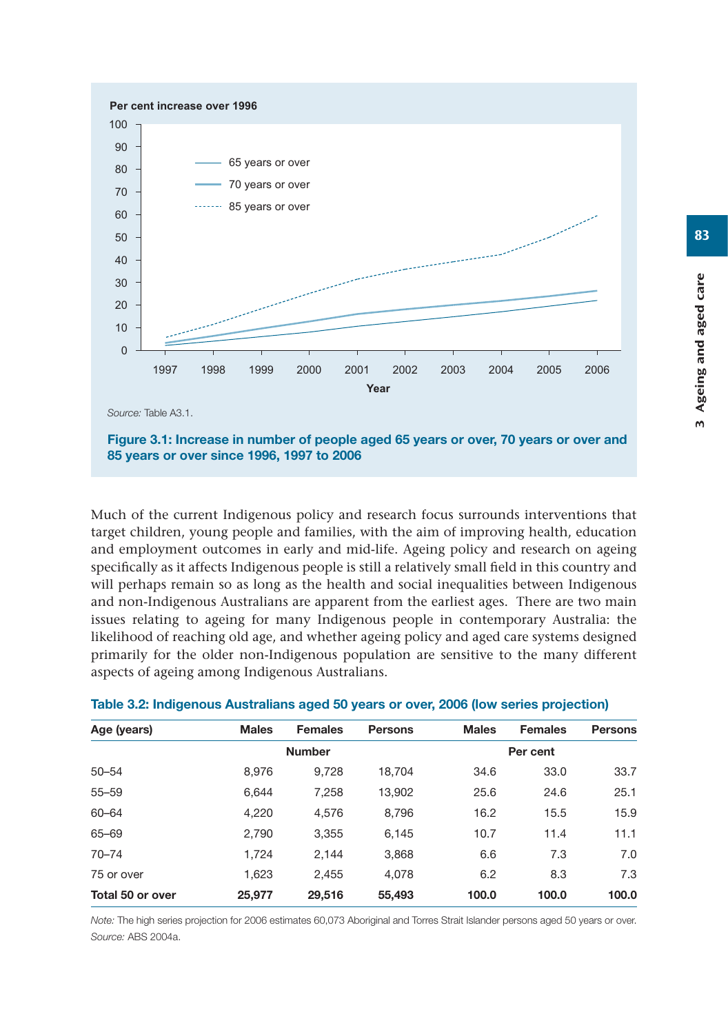

**85 years or over since 1996, 1997 to 2006**

Much of the current Indigenous policy and research focus surrounds interventions that target children, young people and families, with the aim of improving health, education and employment outcomes in early and mid-life. Ageing policy and research on ageing specifically as it affects Indigenous people is still a relatively small field in this country and will perhaps remain so as long as the health and social inequalities between Indigenous and non-Indigenous Australians are apparent from the earliest ages. There are two main issues relating to ageing for many Indigenous people in contemporary Australia: the likelihood of reaching old age, and whether ageing policy and aged care systems designed primarily for the older non-Indigenous population are sensitive to the many different aspects of ageing among Indigenous Australians.

| <b>Females</b> | <b>Persons</b> |
|----------------|----------------|
| Per cent       |                |
| 33.0           | 33.7           |
| 24.6           | 25.1           |
| 15.5           | 15.9           |
| 11.4           | 11.1           |
| 7.3            | 7.0            |
| 8.3            | 7.3            |
| 100.0          | 100.0          |
|                |                |

#### **Table 3.2: Indigenous Australians aged 50 years or over, 2006 (low series projection)**

*Note:* The high series projection for 2006 estimates 60,073 Aboriginal and Torres Strait Islander persons aged 50 years or over. *Source:* ABS 2004a.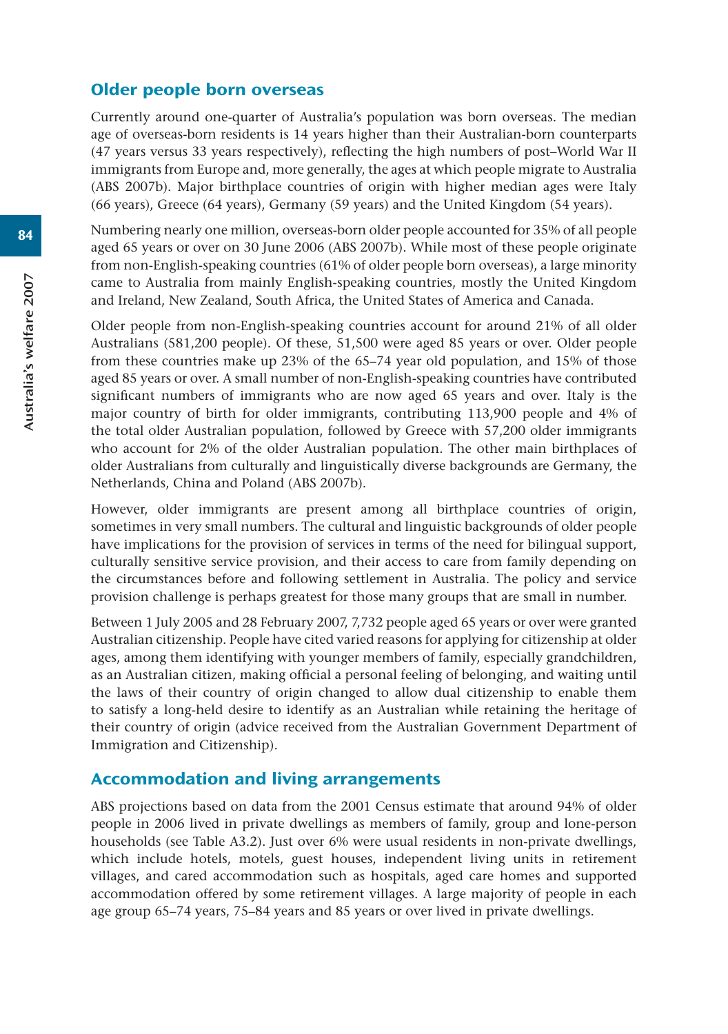#### Older people born overseas

Currently around one-quarter of Australia's population was born overseas. The median age of overseas-born residents is 14 years higher than their Australian-born counterparts (47 years versus 33 years respectively), reflecting the high numbers of post–World War II immigrants from Europe and, more generally, the ages at which people migrate to Australia (ABS 2007b). Major birthplace countries of origin with higher median ages were Italy (66 years), Greece (64 years), Germany (59 years) and the United Kingdom (54 years).

Numbering nearly one million, overseas-born older people accounted for 35% of all people aged 65 years or over on 30 June 2006 (ABS 2007b). While most of these people originate from non-English-speaking countries (61% of older people born overseas), a large minority came to Australia from mainly English-speaking countries, mostly the United Kingdom and Ireland, New Zealand, South Africa, the United States of America and Canada.

Older people from non-English-speaking countries account for around 21% of all older Australians (581,200 people). Of these, 51,500 were aged 85 years or over. Older people from these countries make up 23% of the 65–74 year old population, and 15% of those aged 85 years or over. A small number of non-English-speaking countries have contributed significant numbers of immigrants who are now aged 65 years and over. Italy is the major country of birth for older immigrants, contributing 113,900 people and 4% of the total older Australian population, followed by Greece with 57,200 older immigrants who account for 2% of the older Australian population. The other main birthplaces of older Australians from culturally and linguistically diverse backgrounds are Germany, the Netherlands, China and Poland (ABS 2007b).

However, older immigrants are present among all birthplace countries of origin, sometimes in very small numbers. The cultural and linguistic backgrounds of older people have implications for the provision of services in terms of the need for bilingual support, culturally sensitive service provision, and their access to care from family depending on the circumstances before and following settlement in Australia. The policy and service provision challenge is perhaps greatest for those many groups that are small in number.

Between 1 July 2005 and 28 February 2007, 7,732 people aged 65 years or over were granted Australian citizenship. People have cited varied reasons for applying for citizenship at older ages, among them identifying with younger members of family, especially grandchildren, as an Australian citizen, making official a personal feeling of belonging, and waiting until the laws of their country of origin changed to allow dual citizenship to enable them to satisfy a long-held desire to identify as an Australian while retaining the heritage of their country of origin (advice received from the Australian Government Department of Immigration and Citizenship).

#### Accommodation and living arrangements

ABS projections based on data from the 2001 Census estimate that around 94% of older people in 2006 lived in private dwellings as members of family, group and lone-person households (see Table A3.2). Just over 6% were usual residents in non-private dwellings, which include hotels, motels, guest houses, independent living units in retirement villages, and cared accommodation such as hospitals, aged care homes and supported accommodation offered by some retirement villages. A large majority of people in each age group 65–74 years, 75–84 years and 85 years or over lived in private dwellings.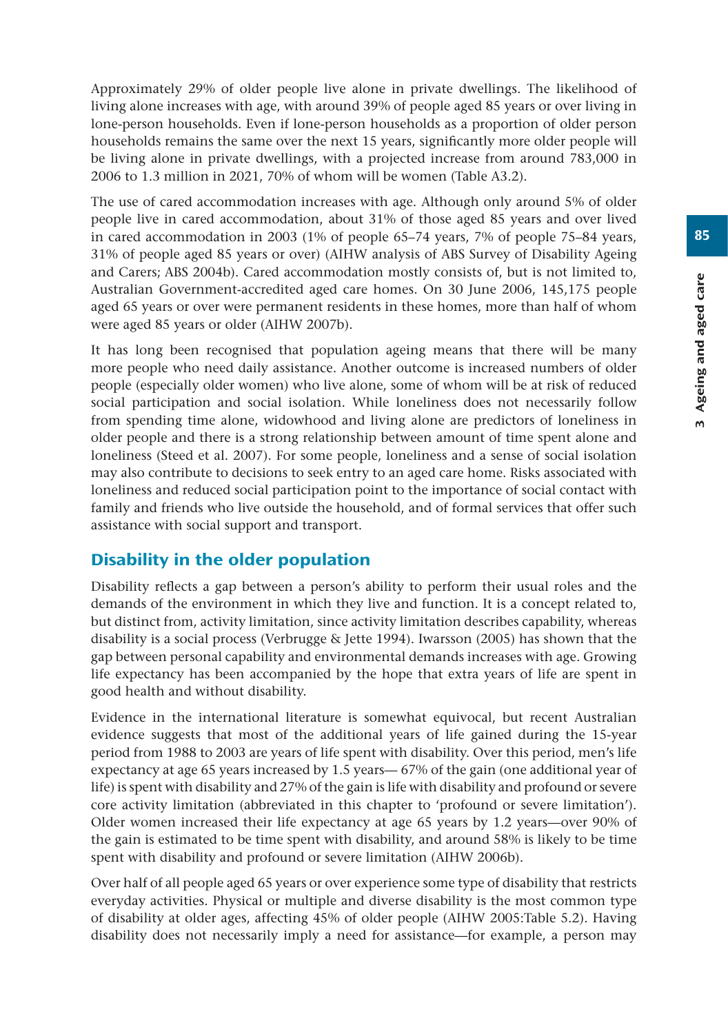Approximately 29% of older people live alone in private dwellings. The likelihood of living alone increases with age, with around 39% of people aged 85 years or over living in lone-person households. Even if lone-person households as a proportion of older person households remains the same over the next 15 years, significantly more older people will be living alone in private dwellings, with a projected increase from around 783,000 in 2006 to 1.3 million in 2021, 70% of whom will be women (Table A3.2).

The use of cared accommodation increases with age. Although only around 5% of older people live in cared accommodation, about 31% of those aged 85 years and over lived in cared accommodation in 2003 (1% of people 65–74 years, 7% of people 75–84 years, 31% of people aged 85 years or over) (AIHW analysis of ABS Survey of Disability Ageing and Carers; ABS 2004b). Cared accommodation mostly consists of, but is not limited to, Australian Government-accredited aged care homes. On 30 June 2006, 145,175 people aged 65 years or over were permanent residents in these homes, more than half of whom were aged 85 years or older (AIHW 2007b).

It has long been recognised that population ageing means that there will be many more people who need daily assistance. Another outcome is increased numbers of older people (especially older women) who live alone, some of whom will be at risk of reduced social participation and social isolation. While loneliness does not necessarily follow from spending time alone, widowhood and living alone are predictors of loneliness in older people and there is a strong relationship between amount of time spent alone and loneliness (Steed et al. 2007). For some people, loneliness and a sense of social isolation may also contribute to decisions to seek entry to an aged care home. Risks associated with loneliness and reduced social participation point to the importance of social contact with family and friends who live outside the household, and of formal services that offer such assistance with social support and transport.

## Disability in the older population

Disability reflects a gap between a person's ability to perform their usual roles and the demands of the environment in which they live and function. It is a concept related to, but distinct from, activity limitation, since activity limitation describes capability, whereas disability is a social process (Verbrugge & Jette 1994). Iwarsson (2005) has shown that the gap between personal capability and environmental demands increases with age. Growing life expectancy has been accompanied by the hope that extra years of life are spent in good health and without disability.

Evidence in the international literature is somewhat equivocal, but recent Australian evidence suggests that most of the additional years of life gained during the 15-year period from 1988 to 2003 are years of life spent with disability. Over this period, men's life expectancy at age 65 years increased by 1.5 years— 67% of the gain (one additional year of life) is spent with disability and 27% of the gain is life with disability and profound or severe core activity limitation (abbreviated in this chapter to 'profound or severe limitation'). Older women increased their life expectancy at age 65 years by 1.2 years—over 90% of the gain is estimated to be time spent with disability, and around 58% is likely to be time spent with disability and profound or severe limitation (AIHW 2006b).

Over half of all people aged 65 years or over experience some type of disability that restricts everyday activities. Physical or multiple and diverse disability is the most common type of disability at older ages, affecting 45% of older people (AIHW 2005:Table 5.2). Having disability does not necessarily imply a need for assistance—for example, a person may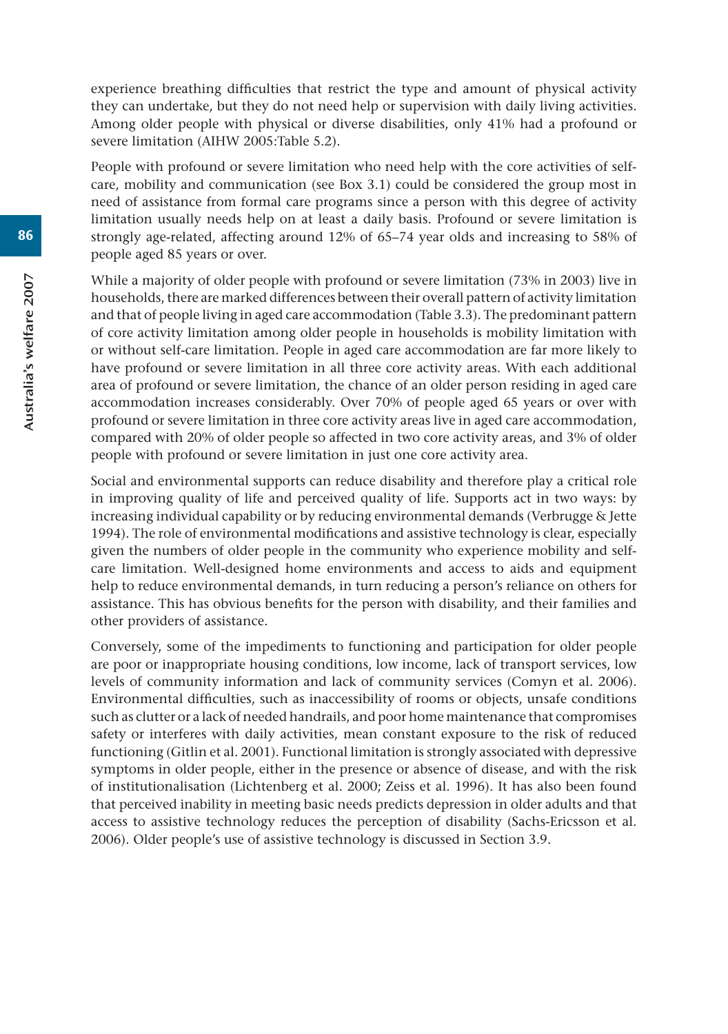experience breathing difficulties that restrict the type and amount of physical activity they can undertake, but they do not need help or supervision with daily living activities. Among older people with physical or diverse disabilities, only 41% had a profound or severe limitation (AIHW 2005:Table 5.2).

People with profound or severe limitation who need help with the core activities of selfcare, mobility and communication (see Box 3.1) could be considered the group most in need of assistance from formal care programs since a person with this degree of activity limitation usually needs help on at least a daily basis. Profound or severe limitation is strongly age-related, affecting around 12% of 65–74 year olds and increasing to 58% of people aged 85 years or over.

While a majority of older people with profound or severe limitation (73% in 2003) live in households, there are marked differences between their overall pattern of activity limitation and that of people living in aged care accommodation (Table 3.3). The predominant pattern of core activity limitation among older people in households is mobility limitation with or without self-care limitation. People in aged care accommodation are far more likely to have profound or severe limitation in all three core activity areas. With each additional area of profound or severe limitation, the chance of an older person residing in aged care accommodation increases considerably. Over 70% of people aged 65 years or over with profound or severe limitation in three core activity areas live in aged care accommodation, compared with 20% of older people so affected in two core activity areas, and 3% of older people with profound or severe limitation in just one core activity area.

Social and environmental supports can reduce disability and therefore play a critical role in improving quality of life and perceived quality of life. Supports act in two ways: by increasing individual capability or by reducing environmental demands (Verbrugge & Jette 1994). The role of environmental modifications and assistive technology is clear, especially given the numbers of older people in the community who experience mobility and selfcare limitation. Well-designed home environments and access to aids and equipment help to reduce environmental demands, in turn reducing a person's reliance on others for assistance. This has obvious benefits for the person with disability, and their families and other providers of assistance.

Conversely, some of the impediments to functioning and participation for older people are poor or inappropriate housing conditions, low income, lack of transport services, low levels of community information and lack of community services (Comyn et al. 2006). Environmental difficulties, such as inaccessibility of rooms or objects, unsafe conditions such as clutter or a lack of needed handrails, and poor home maintenance that compromises safety or interferes with daily activities, mean constant exposure to the risk of reduced functioning (Gitlin et al. 2001). Functional limitation is strongly associated with depressive symptoms in older people, either in the presence or absence of disease, and with the risk of institutionalisation (Lichtenberg et al. 2000; Zeiss et al. 1996). It has also been found that perceived inability in meeting basic needs predicts depression in older adults and that access to assistive technology reduces the perception of disability (Sachs-Ericsson et al. 2006). Older people's use of assistive technology is discussed in Section 3.9.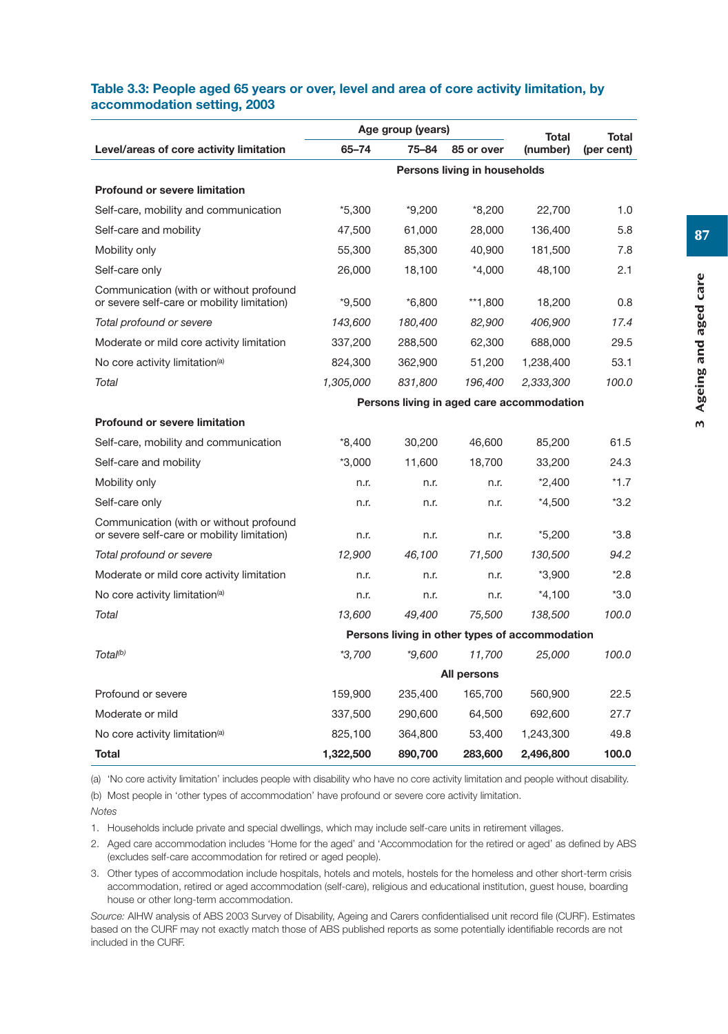#### **Table 3.3: People aged 65 years or over, level and area of core activity limitation, by accommodation setting, 2003**

|                                                                                        |                                           | Age group (years) | Total                                          | Total     |            |  |
|----------------------------------------------------------------------------------------|-------------------------------------------|-------------------|------------------------------------------------|-----------|------------|--|
| Level/areas of core activity limitation                                                | 65-74                                     | 75-84             | 85 or over                                     | (number)  | (per cent) |  |
|                                                                                        |                                           |                   | Persons living in households                   |           |            |  |
| <b>Profound or severe limitation</b>                                                   |                                           |                   |                                                |           |            |  |
| Self-care, mobility and communication                                                  | *5,300                                    | $*9,200$          | $*8,200$                                       | 22,700    | 1.0        |  |
| Self-care and mobility                                                                 | 47,500                                    | 61,000            | 28,000                                         | 136,400   | 5.8        |  |
| Mobility only                                                                          | 55,300                                    | 85,300            | 40,900                                         | 181,500   | 7.8        |  |
| Self-care only                                                                         | 26,000                                    | 18,100            | $*4,000$                                       | 48,100    | 2.1        |  |
| Communication (with or without profound<br>or severe self-care or mobility limitation) | $*9,500$                                  | $*6,800$          | **1,800                                        | 18,200    | 0.8        |  |
| Total profound or severe                                                               | 143,600                                   | 180,400           | 82,900                                         | 406,900   | 17.4       |  |
| Moderate or mild core activity limitation                                              | 337,200                                   | 288,500           | 62,300                                         | 688,000   | 29.5       |  |
| No core activity limitation <sup>(a)</sup>                                             | 824,300                                   | 362,900           | 51,200                                         | 1,238,400 | 53.1       |  |
| Total                                                                                  | 1,305,000                                 | 831,800           | 196,400                                        | 2,333,300 | 100.0      |  |
|                                                                                        | Persons living in aged care accommodation |                   |                                                |           |            |  |
| <b>Profound or severe limitation</b>                                                   |                                           |                   |                                                |           |            |  |
| Self-care, mobility and communication                                                  | *8,400                                    | 30,200            | 46.600                                         | 85,200    | 61.5       |  |
| Self-care and mobility                                                                 | $*3,000$                                  | 11,600            | 18,700                                         | 33,200    | 24.3       |  |
| Mobility only                                                                          | n.r.                                      | n.r.              | n.r.                                           | $*2,400$  | $*1.7$     |  |
| Self-care only                                                                         | n.r.                                      | n.r.              | n.r.                                           | *4,500    | $*3.2$     |  |
| Communication (with or without profound<br>or severe self-care or mobility limitation) | n.r.                                      | n.r.              | n.r.                                           | $*5,200$  | $*3.8$     |  |
| Total profound or severe                                                               | 12,900                                    | 46,100            | 71,500                                         | 130,500   | 94.2       |  |
| Moderate or mild core activity limitation                                              | n.r.                                      | n.r.              | n.r.                                           | $*3,900$  | $*2.8$     |  |
| No core activity limitation <sup>(a)</sup>                                             | n.r.                                      | n.r.              | n.r.                                           | $*4,100$  | $*3.0$     |  |
| Total                                                                                  | 13.600                                    | 49.400            | 75,500                                         | 138,500   | 100.0      |  |
|                                                                                        |                                           |                   | Persons living in other types of accommodation |           |            |  |
| Total <sup>(b)</sup>                                                                   | $*3,700$                                  | $*9,600$          | 11,700                                         | 25,000    | 100.0      |  |
|                                                                                        |                                           |                   | All persons                                    |           |            |  |
| Profound or severe                                                                     | 159,900                                   | 235,400           | 165,700                                        | 560,900   | 22.5       |  |
| Moderate or mild                                                                       | 337,500                                   | 290,600           | 64,500                                         | 692,600   | 27.7       |  |
| No core activity limitation <sup>(a)</sup>                                             | 825,100                                   | 364,800           | 53,400                                         | 1,243,300 | 49.8       |  |
| Total                                                                                  | 1,322,500                                 | 890,700           | 283,600                                        | 2,496,800 | 100.0      |  |

(a) 'No core activity limitation' includes people with disability who have no core activity limitation and people without disability.

(b) Most people in 'other types of accommodation' have profound or severe core activity limitation.

*Notes*

1. Households include private and special dwellings, which may include self-care units in retirement villages.

2. Aged care accommodation includes 'Home for the aged' and 'Accommodation for the retired or aged' as defined by ABS (excludes self-care accommodation for retired or aged people).

3. Other types of accommodation include hospitals, hotels and motels, hostels for the homeless and other short-term crisis accommodation, retired or aged accommodation (self-care), religious and educational institution, guest house, boarding house or other long-term accommodation.

*Source:* AIHW analysis of ABS 2003 Survey of Disability, Ageing and Carers confidentialised unit record file (CURF). Estimates based on the CURF may not exactly match those of ABS published reports as some potentially identifiable records are not included in the CURF.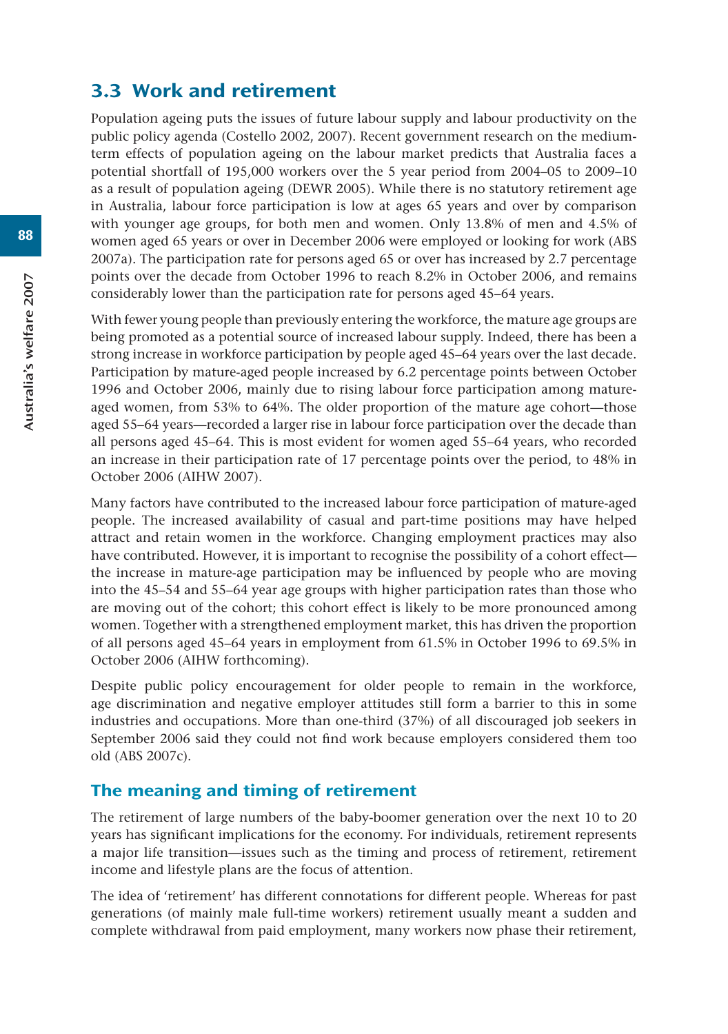# 3.3 Work and retirement

Population ageing puts the issues of future labour supply and labour productivity on the public policy agenda (Costello 2002, 2007). Recent government research on the mediumterm effects of population ageing on the labour market predicts that Australia faces a potential shortfall of 195,000 workers over the 5 year period from 2004–05 to 2009–10 as a result of population ageing (DEWR 2005). While there is no statutory retirement age in Australia, labour force participation is low at ages 65 years and over by comparison with younger age groups, for both men and women. Only 13.8% of men and 4.5% of women aged 65 years or over in December 2006 were employed or looking for work (ABS 2007a). The participation rate for persons aged 65 or over has increased by 2.7 percentage points over the decade from October 1996 to reach 8.2% in October 2006, and remains considerably lower than the participation rate for persons aged 45–64 years.

With fewer young people than previously entering the workforce, the mature age groups are being promoted as a potential source of increased labour supply. Indeed, there has been a strong increase in workforce participation by people aged 45–64 years over the last decade. Participation by mature-aged people increased by 6.2 percentage points between October 1996 and October 2006, mainly due to rising labour force participation among matureaged women, from 53% to 64%. The older proportion of the mature age cohort—those aged 55–64 years—recorded a larger rise in labour force participation over the decade than all persons aged 45–64. This is most evident for women aged 55–64 years, who recorded an increase in their participation rate of 17 percentage points over the period, to 48% in October 2006 (AIHW 2007).

Many factors have contributed to the increased labour force participation of mature-aged people. The increased availability of casual and part-time positions may have helped attract and retain women in the workforce. Changing employment practices may also have contributed. However, it is important to recognise the possibility of a cohort effect the increase in mature-age participation may be influenced by people who are moving into the 45–54 and 55–64 year age groups with higher participation rates than those who are moving out of the cohort; this cohort effect is likely to be more pronounced among women. Together with a strengthened employment market, this has driven the proportion of all persons aged 45–64 years in employment from 61.5% in October 1996 to 69.5% in October 2006 (AIHW forthcoming).

Despite public policy encouragement for older people to remain in the workforce, age discrimination and negative employer attitudes still form a barrier to this in some industries and occupations. More than one-third (37%) of all discouraged job seekers in September 2006 said they could not find work because employers considered them too old (ABS 2007c).

## The meaning and timing of retirement

The retirement of large numbers of the baby-boomer generation over the next 10 to 20 years has significant implications for the economy. For individuals, retirement represents a major life transition—issues such as the timing and process of retirement, retirement income and lifestyle plans are the focus of attention.

The idea of 'retirement' has different connotations for different people. Whereas for past generations (of mainly male full-time workers) retirement usually meant a sudden and complete withdrawal from paid employment, many workers now phase their retirement,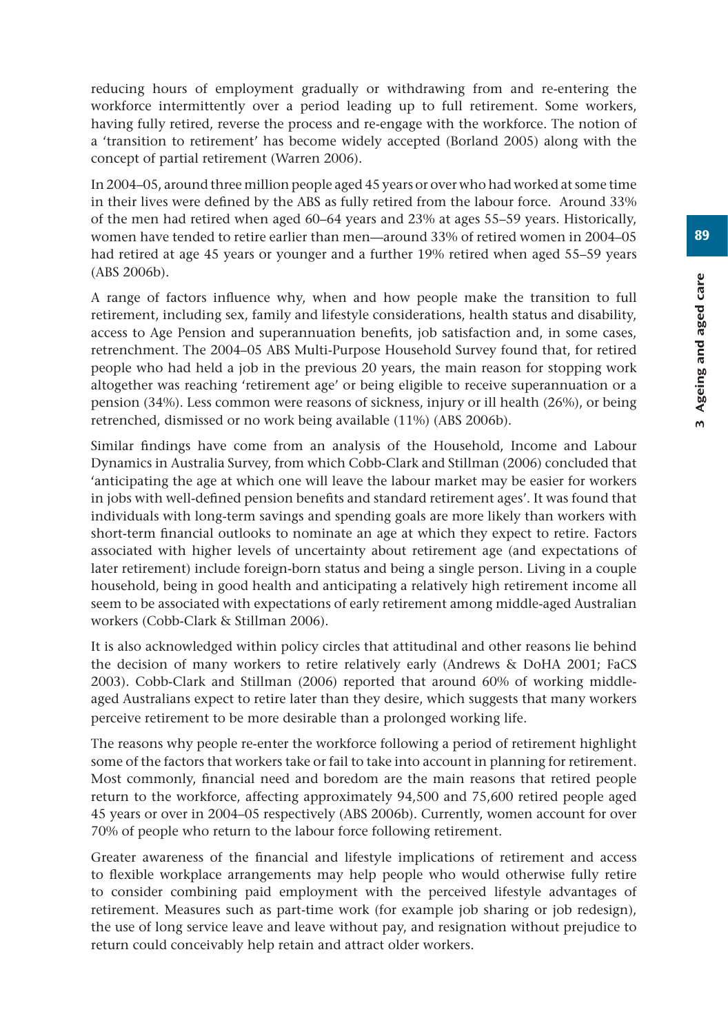89

reducing hours of employment gradually or withdrawing from and re-entering the workforce intermittently over a period leading up to full retirement. Some workers, having fully retired, reverse the process and re-engage with the workforce. The notion of a 'transition to retirement' has become widely accepted (Borland 2005) along with the concept of partial retirement (Warren 2006).

In 2004–05, around three million people aged 45 years or over who had worked at some time in their lives were defined by the ABS as fully retired from the labour force. Around 33% of the men had retired when aged 60–64 years and 23% at ages 55–59 years. Historically, women have tended to retire earlier than men—around 33% of retired women in 2004–05 had retired at age 45 years or younger and a further 19% retired when aged 55–59 years (ABS 2006b).

A range of factors influence why, when and how people make the transition to full retirement, including sex, family and lifestyle considerations, health status and disability, access to Age Pension and superannuation benefits, job satisfaction and, in some cases, retrenchment. The 2004–05 ABS Multi-Purpose Household Survey found that, for retired people who had held a job in the previous 20 years, the main reason for stopping work altogether was reaching 'retirement age' or being eligible to receive superannuation or a pension (34%). Less common were reasons of sickness, injury or ill health (26%), or being retrenched, dismissed or no work being available (11%) (ABS 2006b).

Similar findings have come from an analysis of the Household, Income and Labour Dynamics in Australia Survey, from which Cobb-Clark and Stillman (2006) concluded that 'anticipating the age at which one will leave the labour market may be easier for workers in jobs with well-defined pension benefits and standard retirement ages'. It was found that individuals with long-term savings and spending goals are more likely than workers with short-term financial outlooks to nominate an age at which they expect to retire. Factors associated with higher levels of uncertainty about retirement age (and expectations of later retirement) include foreign-born status and being a single person. Living in a couple household, being in good health and anticipating a relatively high retirement income all seem to be associated with expectations of early retirement among middle-aged Australian workers (Cobb-Clark & Stillman 2006).

It is also acknowledged within policy circles that attitudinal and other reasons lie behind the decision of many workers to retire relatively early (Andrews & DoHA 2001; FaCS 2003). Cobb-Clark and Stillman (2006) reported that around 60% of working middleaged Australians expect to retire later than they desire, which suggests that many workers perceive retirement to be more desirable than a prolonged working life.

The reasons why people re-enter the workforce following a period of retirement highlight some of the factors that workers take or fail to take into account in planning for retirement. Most commonly, financial need and boredom are the main reasons that retired people return to the workforce, affecting approximately 94,500 and 75,600 retired people aged 45 years or over in 2004–05 respectively (ABS 2006b). Currently, women account for over 70% of people who return to the labour force following retirement.

Greater awareness of the financial and lifestyle implications of retirement and access to flexible workplace arrangements may help people who would otherwise fully retire to consider combining paid employment with the perceived lifestyle advantages of retirement. Measures such as part-time work (for example job sharing or job redesign), the use of long service leave and leave without pay, and resignation without prejudice to return could conceivably help retain and attract older workers.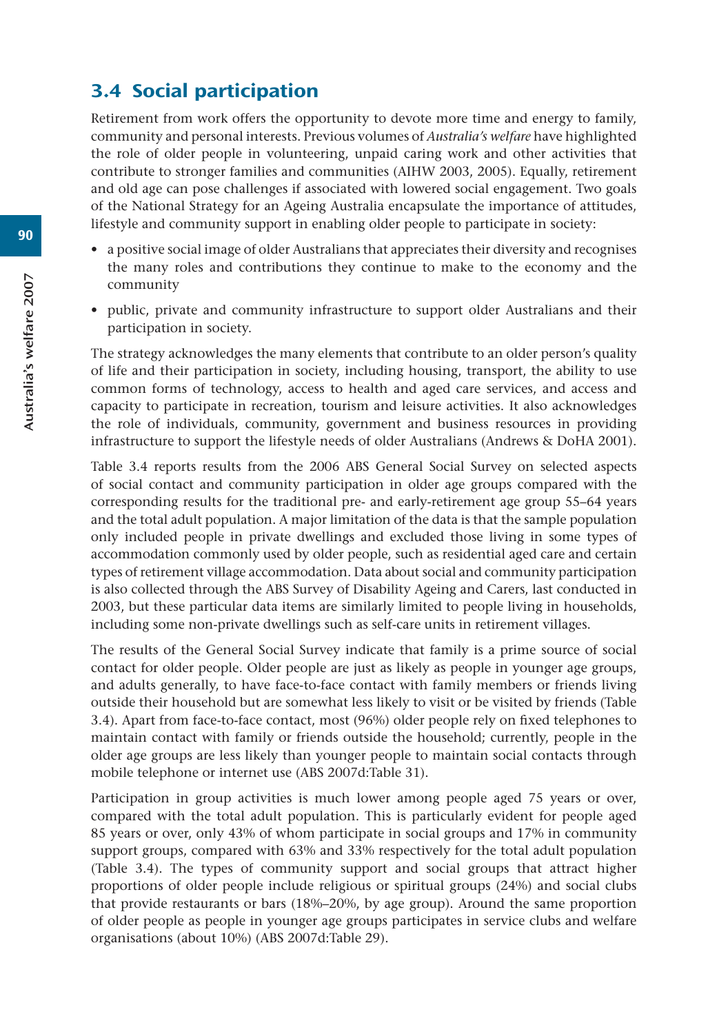# 3.4 Social participation

Retirement from work offers the opportunity to devote more time and energy to family, community and personal interests. Previous volumes of *Australia's welfare* have highlighted the role of older people in volunteering, unpaid caring work and other activities that contribute to stronger families and communities (AIHW 2003, 2005). Equally, retirement and old age can pose challenges if associated with lowered social engagement. Two goals of the National Strategy for an Ageing Australia encapsulate the importance of attitudes, lifestyle and community support in enabling older people to participate in society:

- a positive social image of older Australians that appreciates their diversity and recognises the many roles and contributions they continue to make to the economy and the community
- public, private and community infrastructure to support older Australians and their participation in society.

The strategy acknowledges the many elements that contribute to an older person's quality of life and their participation in society, including housing, transport, the ability to use common forms of technology, access to health and aged care services, and access and capacity to participate in recreation, tourism and leisure activities. It also acknowledges the role of individuals, community, government and business resources in providing infrastructure to support the lifestyle needs of older Australians (Andrews & DoHA 2001).

Table 3.4 reports results from the 2006 ABS General Social Survey on selected aspects of social contact and community participation in older age groups compared with the corresponding results for the traditional pre- and early-retirement age group 55–64 years and the total adult population. A major limitation of the data is that the sample population only included people in private dwellings and excluded those living in some types of accommodation commonly used by older people, such as residential aged care and certain types of retirement village accommodation. Data about social and community participation is also collected through the ABS Survey of Disability Ageing and Carers, last conducted in 2003, but these particular data items are similarly limited to people living in households, including some non-private dwellings such as self-care units in retirement villages.

The results of the General Social Survey indicate that family is a prime source of social contact for older people. Older people are just as likely as people in younger age groups, and adults generally, to have face-to-face contact with family members or friends living outside their household but are somewhat less likely to visit or be visited by friends (Table 3.4). Apart from face-to-face contact, most (96%) older people rely on fixed telephones to maintain contact with family or friends outside the household; currently, people in the older age groups are less likely than younger people to maintain social contacts through mobile telephone or internet use (ABS 2007d:Table 31).

Participation in group activities is much lower among people aged 75 years or over, compared with the total adult population. This is particularly evident for people aged 85 years or over, only 43% of whom participate in social groups and 17% in community support groups, compared with 63% and 33% respectively for the total adult population (Table 3.4). The types of community support and social groups that attract higher proportions of older people include religious or spiritual groups (24%) and social clubs that provide restaurants or bars (18%–20%, by age group). Around the same proportion of older people as people in younger age groups participates in service clubs and welfare organisations (about 10%) (ABS 2007d:Table 29).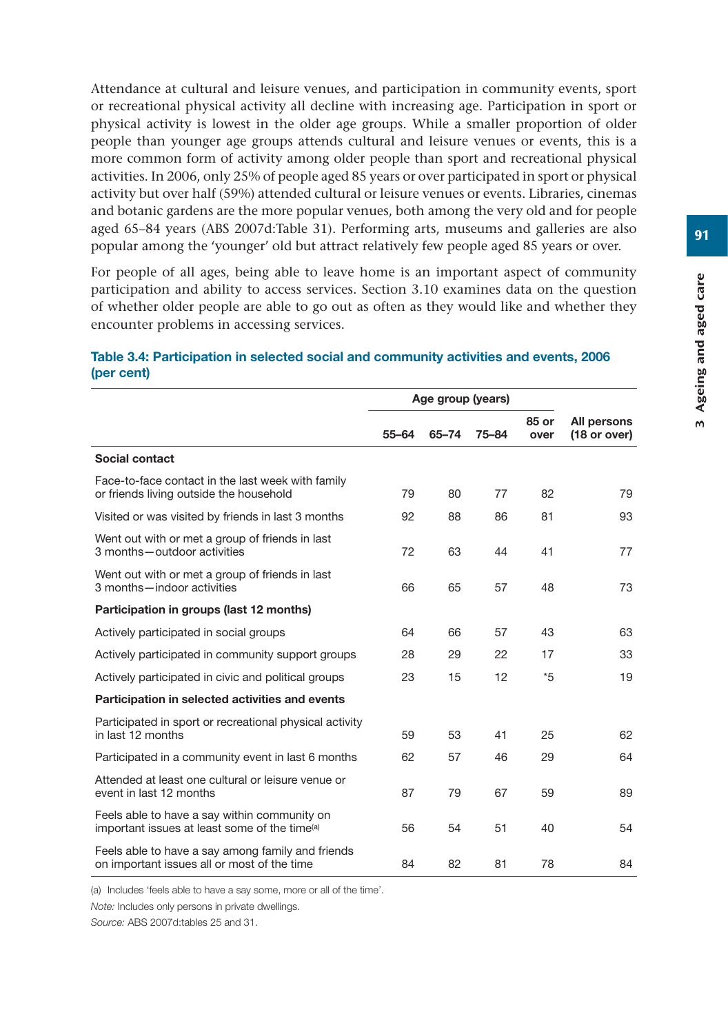Attendance at cultural and leisure venues, and participation in community events, sport or recreational physical activity all decline with increasing age. Participation in sport or physical activity is lowest in the older age groups. While a smaller proportion of older people than younger age groups attends cultural and leisure venues or events, this is a more common form of activity among older people than sport and recreational physical activities. In 2006, only 25% of people aged 85 years or over participated in sport or physical activity but over half (59%) attended cultural or leisure venues or events. Libraries, cinemas and botanic gardens are the more popular venues, both among the very old and for people aged 65–84 years (ABS 2007d:Table 31). Performing arts, museums and galleries are also popular among the 'younger' old but attract relatively few people aged 85 years or over.

For people of all ages, being able to leave home is an important aspect of community participation and ability to access services. Section 3.10 examines data on the question of whether older people are able to go out as often as they would like and whether they encounter problems in accessing services.

#### **Table 3.4: Participation in selected social and community activities and events, 2006 (per cent)**

|                                                                                                           | Age group (years) |       |           |               |                             |
|-----------------------------------------------------------------------------------------------------------|-------------------|-------|-----------|---------------|-----------------------------|
|                                                                                                           | $55 - 64$         | 65-74 | $75 - 84$ | 85 or<br>over | All persons<br>(18 or over) |
| Social contact                                                                                            |                   |       |           |               |                             |
| Face-to-face contact in the last week with family<br>or friends living outside the household              | 79                | 80    | 77        | 82            | 79                          |
| Visited or was visited by friends in last 3 months                                                        | 92                | 88    | 86        | 81            | 93                          |
| Went out with or met a group of friends in last<br>3 months - outdoor activities                          | 72                | 63    | 44        | 41            | 77                          |
| Went out with or met a group of friends in last<br>3 months - indoor activities                           | 66                | 65    | 57        | 48            | 73                          |
| Participation in groups (last 12 months)                                                                  |                   |       |           |               |                             |
| Actively participated in social groups                                                                    | 64                | 66    | 57        | 43            | 63                          |
| Actively participated in community support groups                                                         | 28                | 29    | 22        | 17            | 33                          |
| Actively participated in civic and political groups                                                       | 23                | 15    | 12        | $*5$          | 19                          |
| Participation in selected activities and events                                                           |                   |       |           |               |                             |
| Participated in sport or recreational physical activity<br>in last 12 months                              | 59                | 53    | 41        | 25            | 62                          |
| Participated in a community event in last 6 months                                                        | 62                | 57    | 46        | 29            | 64                          |
| Attended at least one cultural or leisure venue or<br>event in last 12 months                             | 87                | 79    | 67        | 59            | 89                          |
| Feels able to have a say within community on<br>important issues at least some of the time <sup>(a)</sup> | 56                | 54    | 51        | 40            | 54                          |
| Feels able to have a say among family and friends<br>on important issues all or most of the time          | 84                | 82    | 81        | 78            | 84                          |

(a) Includes 'feels able to have a say some, more or all of the time'.

*Note:* Includes only persons in private dwellings.

*Source:* ABS 2007d:tables 25 and 31.

91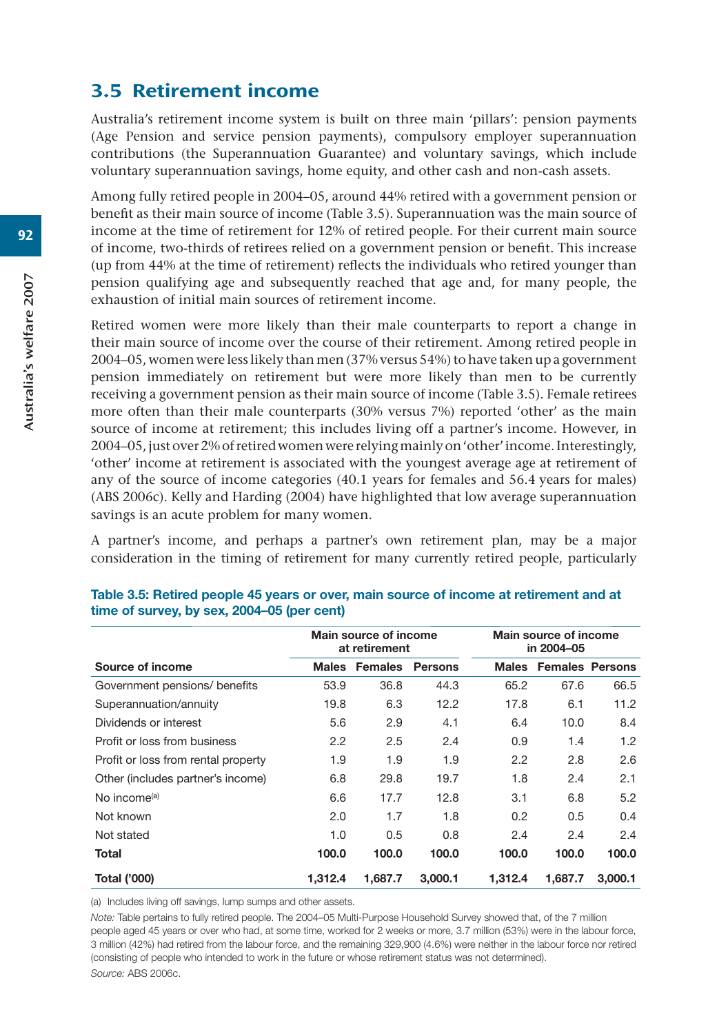# 3.5 Retirement income

Australia's retirement income system is built on three main 'pillars': pension payments (Age Pension and service pension payments), compulsory employer superannuation contributions (the Superannuation Guarantee) and voluntary savings, which include voluntary superannuation savings, home equity, and other cash and non-cash assets.

Among fully retired people in 2004–05, around 44% retired with a government pension or benefit as their main source of income (Table 3.5). Superannuation was the main source of income at the time of retirement for 12% of retired people. For their current main source of income, two-thirds of retirees relied on a government pension or benefit. This increase (up from 44% at the time of retirement) reflects the individuals who retired younger than pension qualifying age and subsequently reached that age and, for many people, the exhaustion of initial main sources of retirement income.

Retired women were more likely than their male counterparts to report a change in their main source of income over the course of their retirement. Among retired people in 2004–05, women were less likely than men (37% versus 54%) to have taken up a government pension immediately on retirement but were more likely than men to be currently receiving a government pension as their main source of income (Table 3.5). Female retirees more often than their male counterparts (30% versus 7%) reported 'other' as the main source of income at retirement; this includes living off a partner's income. However, in 2004–05, just over 2% of retired women were relying mainly on 'other' income. Interestingly, 'other' income at retirement is associated with the youngest average age at retirement of any of the source of income categories (40.1 years for females and 56.4 years for males) (ABS 2006c). Kelly and Harding (2004) have highlighted that low average superannuation savings is an acute problem for many women.

A partner's income, and perhaps a partner's own retirement plan, may be a major consideration in the timing of retirement for many currently retired people, particularly

|                                     | <b>Main source of income</b><br>at retirement |               |                |                  | Main source of income<br>in 2004-05 |         |
|-------------------------------------|-----------------------------------------------|---------------|----------------|------------------|-------------------------------------|---------|
| Source of income                    |                                               | Males Females | <b>Persons</b> |                  | Males Females Persons               |         |
| Government pensions/ benefits       | 53.9                                          | 36.8          | 44.3           | 65.2             | 67.6                                | 66.5    |
| Superannuation/annuity              | 19.8                                          | 6.3           | 12.2           | 17.8             | 6.1                                 | 11.2    |
| Dividends or interest               | 5.6                                           | 2.9           | 4.1            | 6.4              | 10.0                                | 8.4     |
| Profit or loss from business        | $2.2\phantom{0}$                              | 2.5           | 2.4            | 0.9              | 1.4                                 | 1.2     |
| Profit or loss from rental property | 1.9                                           | 1.9           | 1.9            | $2.2\phantom{0}$ | 2.8                                 | 2.6     |
| Other (includes partner's income)   | 6.8                                           | 29.8          | 19.7           | 1.8              | 2.4                                 | 2.1     |
| No income <sup>(a)</sup>            | 6.6                                           | 17.7          | 12.8           | 3.1              | 6.8                                 | 5.2     |
| Not known                           | 2.0                                           | 1.7           | 1.8            | 0.2              | 0.5                                 | 0.4     |
| Not stated                          | 1.0                                           | 0.5           | 0.8            | 2.4              | 2.4                                 | 2.4     |
| Total                               | 100.0                                         | 100.0         | 100.0          | 100.0            | 100.0                               | 100.0   |
| <b>Total ('000)</b>                 | 1,312.4                                       | 1.687.7       | 3,000.1        | 1.312.4          | 1.687.7                             | 3.000.1 |

#### **Table 3.5: Retired people 45 years or over, main source of income at retirement and at time of survey, by sex, 2004–05 (per cent)**

(a) Includes living off savings, lump sumps and other assets.

*Note:* Table pertains to fully retired people. The 2004–05 Multi-Purpose Household Survey showed that, of the 7 million people aged 45 years or over who had, at some time, worked for 2 weeks or more, 3.7 million (53%) were in the labour force, 3 million (42%) had retired from the labour force, and the remaining 329,900 (4.6%) were neither in the labour force nor retired (consisting of people who intended to work in the future or whose retirement status was not determined). *Source:* ABS 2006c.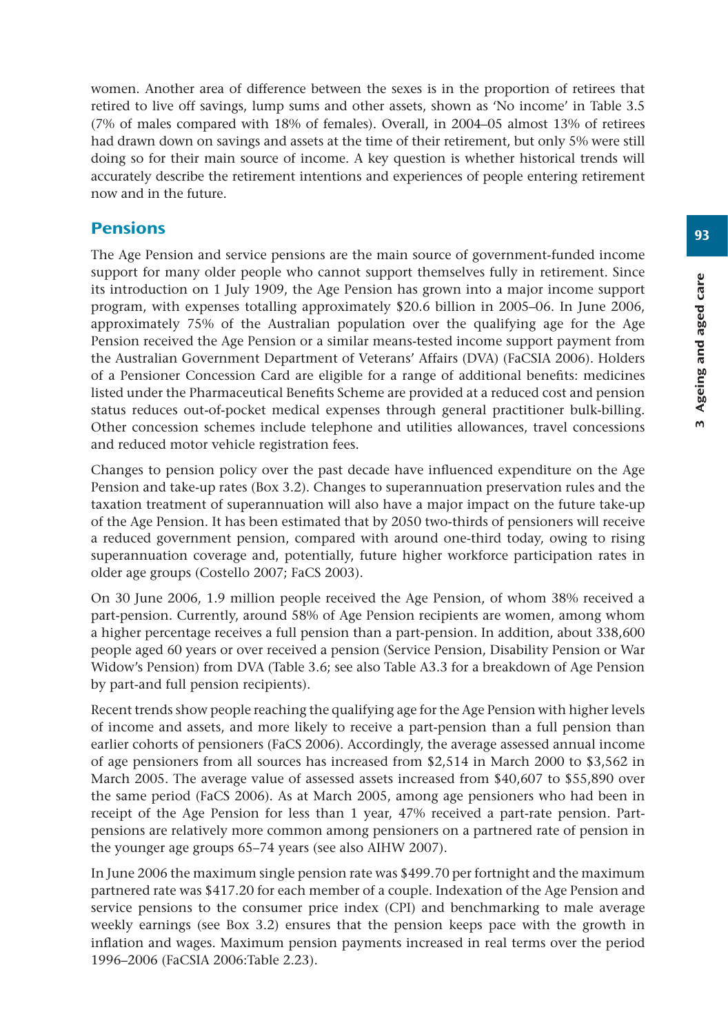93

women. Another area of difference between the sexes is in the proportion of retirees that retired to live off savings, lump sums and other assets, shown as 'No income' in Table 3.5 (7% of males compared with 18% of females). Overall, in 2004–05 almost 13% of retirees had drawn down on savings and assets at the time of their retirement, but only 5% were still doing so for their main source of income. A key question is whether historical trends will accurately describe the retirement intentions and experiences of people entering retirement now and in the future.

## Pensions

The Age Pension and service pensions are the main source of government-funded income support for many older people who cannot support themselves fully in retirement. Since its introduction on 1 July 1909, the Age Pension has grown into a major income support program, with expenses totalling approximately \$20.6 billion in 2005–06. In June 2006, approximately 75% of the Australian population over the qualifying age for the Age Pension received the Age Pension or a similar means-tested income support payment from the Australian Government Department of Veterans' Affairs (DVA) (FaCSIA 2006). Holders of a Pensioner Concession Card are eligible for a range of additional benefits: medicines listed under the Pharmaceutical Benefits Scheme are provided at a reduced cost and pension status reduces out-of-pocket medical expenses through general practitioner bulk-billing. Other concession schemes include telephone and utilities allowances, travel concessions and reduced motor vehicle registration fees.

Changes to pension policy over the past decade have influenced expenditure on the Age Pension and take-up rates (Box 3.2). Changes to superannuation preservation rules and the taxation treatment of superannuation will also have a major impact on the future take-up of the Age Pension. It has been estimated that by 2050 two-thirds of pensioners will receive a reduced government pension, compared with around one-third today, owing to rising superannuation coverage and, potentially, future higher workforce participation rates in older age groups (Costello 2007; FaCS 2003).

On 30 June 2006, 1.9 million people received the Age Pension, of whom 38% received a part-pension. Currently, around 58% of Age Pension recipients are women, among whom a higher percentage receives a full pension than a part-pension. In addition, about 338,600 people aged 60 years or over received a pension (Service Pension, Disability Pension or War Widow's Pension) from DVA (Table 3.6; see also Table A3.3 for a breakdown of Age Pension by part-and full pension recipients).

Recent trends show people reaching the qualifying age for the Age Pension with higher levels of income and assets, and more likely to receive a part-pension than a full pension than earlier cohorts of pensioners (FaCS 2006). Accordingly, the average assessed annual income of age pensioners from all sources has increased from \$2,514 in March 2000 to \$3,562 in March 2005. The average value of assessed assets increased from \$40,607 to \$55,890 over the same period (FaCS 2006). As at March 2005, among age pensioners who had been in receipt of the Age Pension for less than 1 year, 47% received a part-rate pension. Partpensions are relatively more common among pensioners on a partnered rate of pension in the younger age groups 65–74 years (see also AIHW 2007).

In June 2006 the maximum single pension rate was \$499.70 per fortnight and the maximum partnered rate was \$417.20 for each member of a couple. Indexation of the Age Pension and service pensions to the consumer price index (CPI) and benchmarking to male average weekly earnings (see Box 3.2) ensures that the pension keeps pace with the growth in inflation and wages. Maximum pension payments increased in real terms over the period 1996–2006 (FaCSIA 2006:Table 2.23).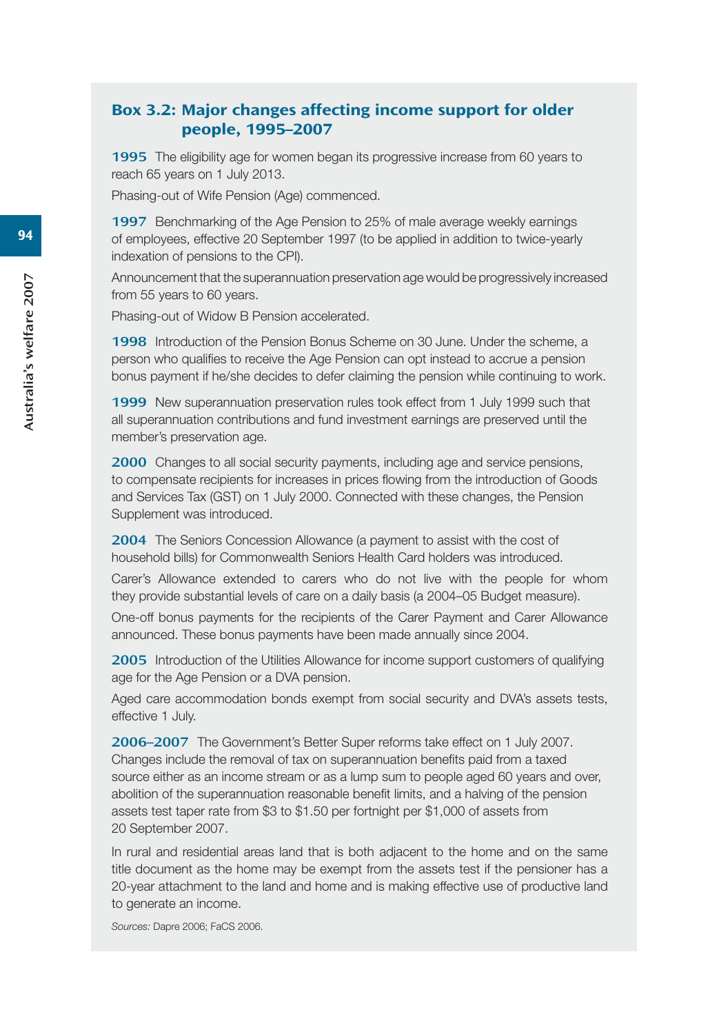#### Box 3.2: Major changes affecting income support for older people, 1995–2007

1995 The eligibility age for women began its progressive increase from 60 years to reach 65 years on 1 July 2013.

Phasing-out of Wife Pension (Age) commenced.

1997 Benchmarking of the Age Pension to 25% of male average weekly earnings of employees, effective 20 September 1997 (to be applied in addition to twice-yearly indexation of pensions to the CPI).

Announcement that the superannuation preservation age would be progressively increased from 55 years to 60 years.

Phasing-out of Widow B Pension accelerated.

1998 Introduction of the Pension Bonus Scheme on 30 June. Under the scheme, a person who qualifies to receive the Age Pension can opt instead to accrue a pension bonus payment if he/she decides to defer claiming the pension while continuing to work.

1999 New superannuation preservation rules took effect from 1 July 1999 such that all superannuation contributions and fund investment earnings are preserved until the member's preservation age.

2000 Changes to all social security payments, including age and service pensions, to compensate recipients for increases in prices flowing from the introduction of Goods and Services Tax (GST) on 1 July 2000. Connected with these changes, the Pension Supplement was introduced.

2004 The Seniors Concession Allowance (a payment to assist with the cost of household bills) for Commonwealth Seniors Health Card holders was introduced.

Carer's Allowance extended to carers who do not live with the people for whom they provide substantial levels of care on a daily basis (a 2004–05 Budget measure).

One-off bonus payments for the recipients of the Carer Payment and Carer Allowance announced. These bonus payments have been made annually since 2004.

2005 Introduction of the Utilities Allowance for income support customers of qualifying age for the Age Pension or a DVA pension.

Aged care accommodation bonds exempt from social security and DVA's assets tests, effective 1 July.

2006–2007 The Government's Better Super reforms take effect on 1 July 2007. Changes include the removal of tax on superannuation benefits paid from a taxed source either as an income stream or as a lump sum to people aged 60 years and over, abolition of the superannuation reasonable benefit limits, and a halving of the pension assets test taper rate from \$3 to \$1.50 per fortnight per \$1,000 of assets from 20 September 2007.

In rural and residential areas land that is both adjacent to the home and on the same title document as the home may be exempt from the assets test if the pensioner has a 20-year attachment to the land and home and is making effective use of productive land to generate an income.

*Sources:* Dapre 2006; FaCS 2006.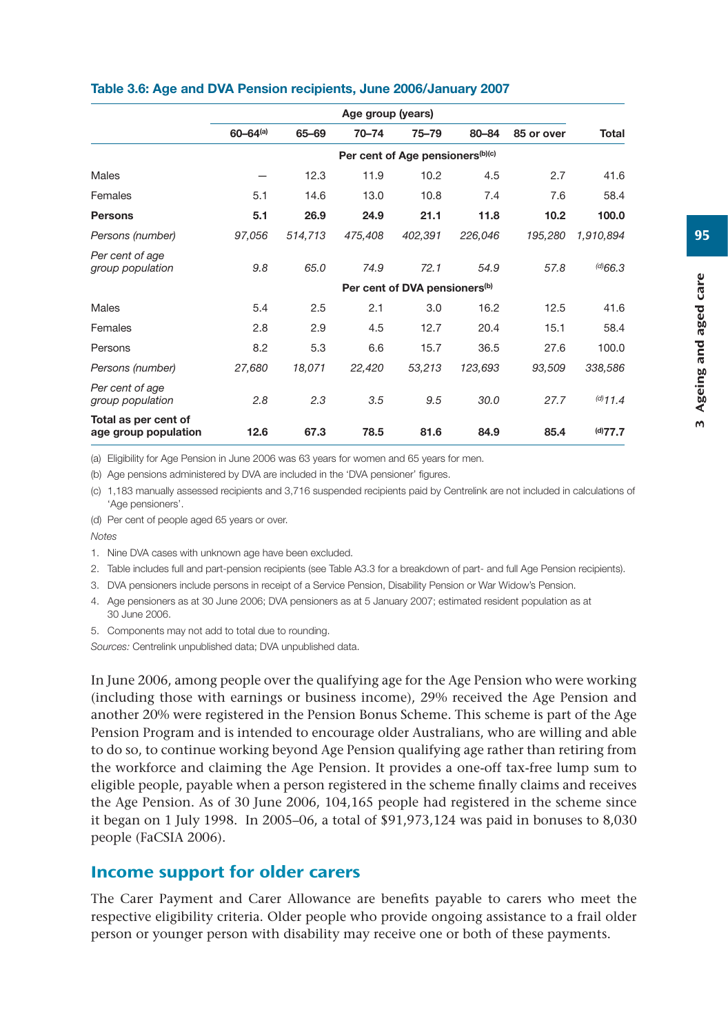|  |  | Table 3.6: Age and DVA Pension recipients, June 2006/January 2007 |
|--|--|-------------------------------------------------------------------|
|--|--|-------------------------------------------------------------------|

|                                              | Age group (years)        |         |           |                                              |         |            |               |
|----------------------------------------------|--------------------------|---------|-----------|----------------------------------------------|---------|------------|---------------|
|                                              | $60 - 64$ <sup>(a)</sup> | 65-69   | $70 - 74$ | $75 - 79$                                    | 80-84   | 85 or over | Total         |
|                                              |                          |         |           | Per cent of Age pensioners <sup>(b)(c)</sup> |         |            |               |
| Males                                        |                          | 12.3    | 11.9      | 10.2                                         | 4.5     | 2.7        | 41.6          |
| Females                                      | 5.1                      | 14.6    | 13.0      | 10.8                                         | 7.4     | 7.6        | 58.4          |
| <b>Persons</b>                               | 5.1                      | 26.9    | 24.9      | 21.1                                         | 11.8    | 10.2       | 100.0         |
| Persons (number)                             | 97,056                   | 514,713 | 475,408   | 402,391                                      | 226,046 | 195,280    | 1,910,894     |
| Per cent of age<br>group population          | 9.8                      | 65.0    | 74.9      | 72.1                                         | 54.9    | 57.8       | $^{(d)}66.3$  |
|                                              |                          |         |           | Per cent of DVA pensioners <sup>(b)</sup>    |         |            |               |
| Males                                        | 5.4                      | 2.5     | 2.1       | 3.0                                          | 16.2    | 12.5       | 41.6          |
| Females                                      | 2.8                      | 2.9     | 4.5       | 12.7                                         | 20.4    | 15.1       | 58.4          |
| Persons                                      | 8.2                      | 5.3     | 6.6       | 15.7                                         | 36.5    | 27.6       | 100.0         |
| Persons (number)                             | 27,680                   | 18,071  | 22,420    | 53,213                                       | 123,693 | 93,509     | 338,586       |
| Per cent of age<br>group population          | 2.8                      | 2.3     | 3.5       | 9.5                                          | 30.0    | 27.7       | $^{(d)}$ 11.4 |
| Total as per cent of<br>age group population | 12.6                     | 67.3    | 78.5      | 81.6                                         | 84.9    | 85.4       | (d)77.7       |

(a) Eligibility for Age Pension in June 2006 was 63 years for women and 65 years for men.

(b) Age pensions administered by DVA are included in the 'DVA pensioner' figures.

(c) 1,183 manually assessed recipients and 3,716 suspended recipients paid by Centrelink are not included in calculations of 'Age pensioners'.

(d) Per cent of people aged 65 years or over.

*Notes*

1. Nine DVA cases with unknown age have been excluded.

2. Table includes full and part-pension recipients (see Table A3.3 for a breakdown of part- and full Age Pension recipients).

3. DVA pensioners include persons in receipt of a Service Pension, Disability Pension or War Widow's Pension.

4. Age pensioners as at 30 June 2006; DVA pensioners as at 5 January 2007; estimated resident population as at 30 June 2006.

5. Components may not add to total due to rounding.

*Sources:* Centrelink unpublished data; DVA unpublished data.

In June 2006, among people over the qualifying age for the Age Pension who were working (including those with earnings or business income), 29% received the Age Pension and another 20% were registered in the Pension Bonus Scheme. This scheme is part of the Age Pension Program and is intended to encourage older Australians, who are willing and able to do so, to continue working beyond Age Pension qualifying age rather than retiring from the workforce and claiming the Age Pension. It provides a one-off tax-free lump sum to eligible people, payable when a person registered in the scheme finally claims and receives the Age Pension. As of 30 June 2006, 104,165 people had registered in the scheme since it began on 1 July 1998. In 2005–06, a total of \$91,973,124 was paid in bonuses to 8,030 people (FaCSIA 2006).

#### Income support for older carers

The Carer Payment and Carer Allowance are benefits payable to carers who meet the respective eligibility criteria. Older people who provide ongoing assistance to a frail older person or younger person with disability may receive one or both of these payments.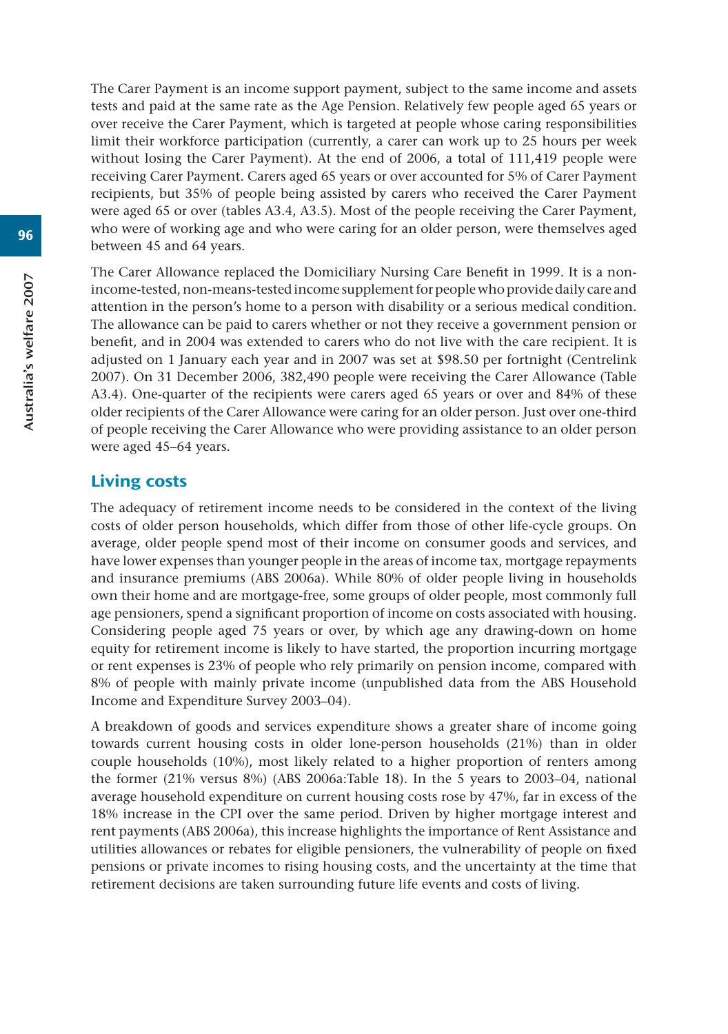The Carer Payment is an income support payment, subject to the same income and assets tests and paid at the same rate as the Age Pension. Relatively few people aged 65 years or over receive the Carer Payment, which is targeted at people whose caring responsibilities limit their workforce participation (currently, a carer can work up to 25 hours per week without losing the Carer Payment). At the end of 2006, a total of 111,419 people were receiving Carer Payment. Carers aged 65 years or over accounted for 5% of Carer Payment recipients, but 35% of people being assisted by carers who received the Carer Payment were aged 65 or over (tables A3.4, A3.5). Most of the people receiving the Carer Payment, who were of working age and who were caring for an older person, were themselves aged between 45 and 64 years.

The Carer Allowance replaced the Domiciliary Nursing Care Benefit in 1999. It is a nonincome-tested, non-means-tested income supplement for people who provide daily care and attention in the person's home to a person with disability or a serious medical condition. The allowance can be paid to carers whether or not they receive a government pension or benefit, and in 2004 was extended to carers who do not live with the care recipient. It is adjusted on 1 January each year and in 2007 was set at \$98.50 per fortnight (Centrelink 2007). On 31 December 2006, 382,490 people were receiving the Carer Allowance (Table A3.4). One-quarter of the recipients were carers aged 65 years or over and 84% of these older recipients of the Carer Allowance were caring for an older person. Just over one-third of people receiving the Carer Allowance who were providing assistance to an older person were aged 45–64 years.

#### Living costs

The adequacy of retirement income needs to be considered in the context of the living costs of older person households, which differ from those of other life-cycle groups. On average, older people spend most of their income on consumer goods and services, and have lower expenses than younger people in the areas of income tax, mortgage repayments and insurance premiums (ABS 2006a). While 80% of older people living in households own their home and are mortgage-free, some groups of older people, most commonly full age pensioners, spend a significant proportion of income on costs associated with housing. Considering people aged 75 years or over, by which age any drawing-down on home equity for retirement income is likely to have started, the proportion incurring mortgage or rent expenses is 23% of people who rely primarily on pension income, compared with 8% of people with mainly private income (unpublished data from the ABS Household Income and Expenditure Survey 2003–04).

A breakdown of goods and services expenditure shows a greater share of income going towards current housing costs in older lone-person households (21%) than in older couple households (10%), most likely related to a higher proportion of renters among the former (21% versus 8%) (ABS 2006a:Table 18). In the 5 years to 2003–04, national average household expenditure on current housing costs rose by 47%, far in excess of the 18% increase in the CPI over the same period. Driven by higher mortgage interest and rent payments (ABS 2006a), this increase highlights the importance of Rent Assistance and utilities allowances or rebates for eligible pensioners, the vulnerability of people on fixed pensions or private incomes to rising housing costs, and the uncertainty at the time that retirement decisions are taken surrounding future life events and costs of living.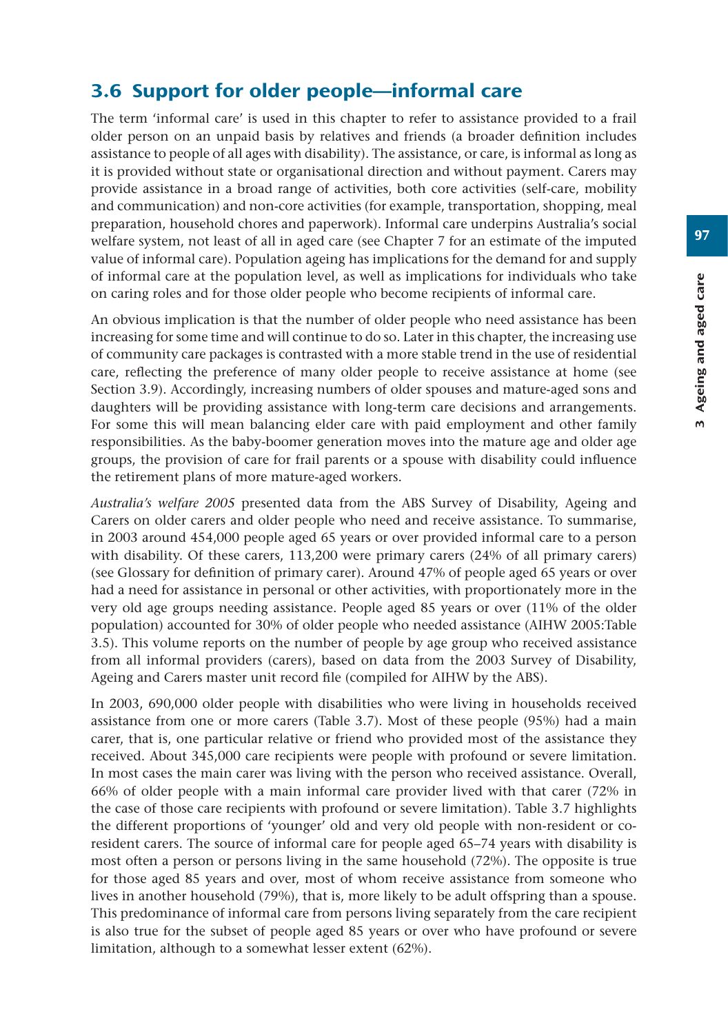# 3.6 Support for older people—informal care

The term 'informal care' is used in this chapter to refer to assistance provided to a frail older person on an unpaid basis by relatives and friends (a broader definition includes assistance to people of all ages with disability). The assistance, or care, is informal as long as it is provided without state or organisational direction and without payment. Carers may provide assistance in a broad range of activities, both core activities (self-care, mobility and communication) and non-core activities (for example, transportation, shopping, meal preparation, household chores and paperwork). Informal care underpins Australia's social welfare system, not least of all in aged care (see Chapter 7 for an estimate of the imputed value of informal care). Population ageing has implications for the demand for and supply of informal care at the population level, as well as implications for individuals who take on caring roles and for those older people who become recipients of informal care.

An obvious implication is that the number of older people who need assistance has been increasing for some time and will continue to do so. Later in this chapter, the increasing use of community care packages is contrasted with a more stable trend in the use of residential care, reflecting the preference of many older people to receive assistance at home (see Section 3.9). Accordingly, increasing numbers of older spouses and mature-aged sons and daughters will be providing assistance with long-term care decisions and arrangements. For some this will mean balancing elder care with paid employment and other family responsibilities. As the baby-boomer generation moves into the mature age and older age groups, the provision of care for frail parents or a spouse with disability could influence the retirement plans of more mature-aged workers.

*Australia's welfare 2005* presented data from the ABS Survey of Disability, Ageing and Carers on older carers and older people who need and receive assistance. To summarise, in 2003 around 454,000 people aged 65 years or over provided informal care to a person with disability. Of these carers, 113,200 were primary carers (24% of all primary carers) (see Glossary for definition of primary carer). Around 47% of people aged 65 years or over had a need for assistance in personal or other activities, with proportionately more in the very old age groups needing assistance. People aged 85 years or over (11% of the older population) accounted for 30% of older people who needed assistance (AIHW 2005:Table 3.5). This volume reports on the number of people by age group who received assistance from all informal providers (carers), based on data from the 2003 Survey of Disability, Ageing and Carers master unit record file (compiled for AIHW by the ABS).

In 2003, 690,000 older people with disabilities who were living in households received assistance from one or more carers (Table 3.7). Most of these people (95%) had a main carer, that is, one particular relative or friend who provided most of the assistance they received. About 345,000 care recipients were people with profound or severe limitation. In most cases the main carer was living with the person who received assistance. Overall, 66% of older people with a main informal care provider lived with that carer (72% in the case of those care recipients with profound or severe limitation). Table 3.7 highlights the different proportions of 'younger' old and very old people with non-resident or coresident carers. The source of informal care for people aged 65–74 years with disability is most often a person or persons living in the same household (72%). The opposite is true for those aged 85 years and over, most of whom receive assistance from someone who lives in another household (79%), that is, more likely to be adult offspring than a spouse. This predominance of informal care from persons living separately from the care recipient is also true for the subset of people aged 85 years or over who have profound or severe limitation, although to a somewhat lesser extent (62%).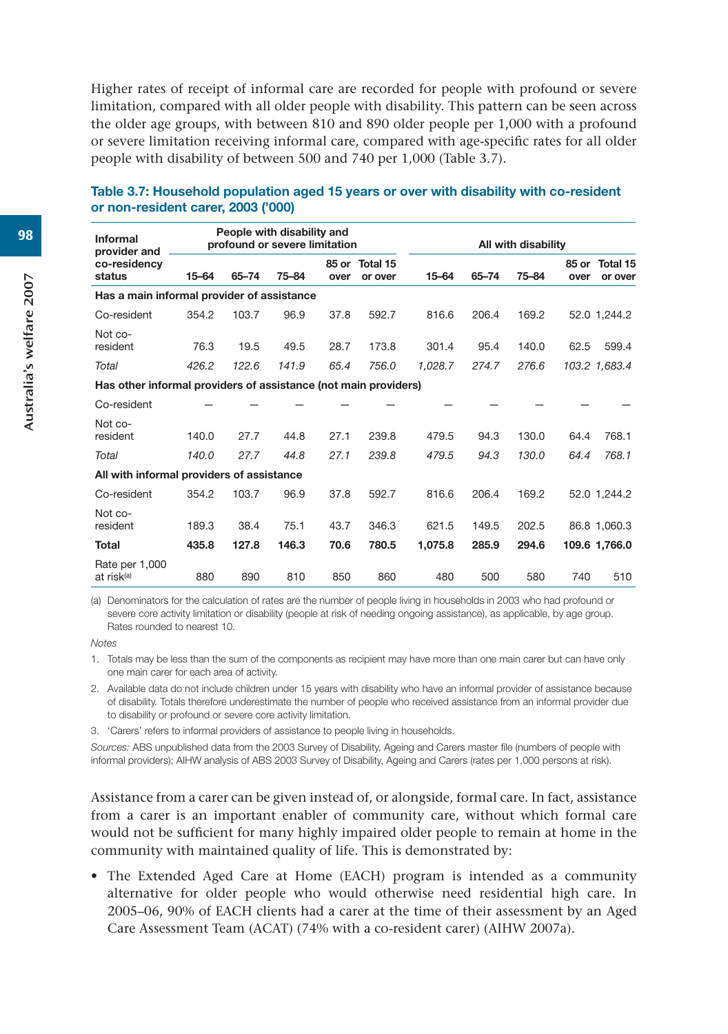Higher rates of receipt of informal care are recorded for people with profound or severe limitation, compared with all older people with disability. This pattern can be seen across the older age groups, with between 810 and 890 older people per 1,000 with a profound or severe limitation receiving informal care, compared with age-specific rates for all older people with disability of between 500 and 740 per 1,000 (Table 3.7).

| <b>Informal</b>                                                 |           |       | People with disability and<br>profound or severe limitation |      |                           |         |       | All with disability |      |                           |
|-----------------------------------------------------------------|-----------|-------|-------------------------------------------------------------|------|---------------------------|---------|-------|---------------------|------|---------------------------|
| provider and<br>co-residency<br>status                          | $15 - 64$ | 65-74 | 75-84                                                       | over | 85 or Total 15<br>or over | 15-64   | 65-74 | 75-84               | over | 85 or Total 15<br>or over |
| Has a main informal provider of assistance                      |           |       |                                                             |      |                           |         |       |                     |      |                           |
| Co-resident                                                     | 354.2     | 103.7 | 96.9                                                        | 37.8 | 592.7                     | 816.6   | 206.4 | 169.2               |      | 52.0 1.244.2              |
| Not co-<br>resident                                             | 76.3      | 19.5  | 49.5                                                        | 28.7 | 173.8                     | 301.4   | 95.4  | 140.0               | 62.5 | 599.4                     |
| Total                                                           | 426.2     | 122.6 | 141.9                                                       | 65.4 | 756.0                     | 1,028.7 | 274.7 | 276.6               |      | 103.2 1,683.4             |
| Has other informal providers of assistance (not main providers) |           |       |                                                             |      |                           |         |       |                     |      |                           |
| Co-resident                                                     |           |       |                                                             |      |                           |         |       |                     |      |                           |
| Not co-<br>resident                                             | 140.0     | 27.7  | 44.8                                                        | 27.1 | 239.8                     | 479.5   | 94.3  | 130.0               | 64.4 | 768.1                     |
| Total                                                           | 140.0     | 27.7  | 44.8                                                        | 27.1 | 239.8                     | 479.5   | 94.3  | 130.0               | 64.4 | 768.1                     |
| All with informal providers of assistance                       |           |       |                                                             |      |                           |         |       |                     |      |                           |
| Co-resident                                                     | 354.2     | 103.7 | 96.9                                                        | 37.8 | 592.7                     | 816.6   | 206.4 | 169.2               |      | 52.0 1,244.2              |
| Not co-<br>resident                                             | 189.3     | 38.4  | 75.1                                                        | 43.7 | 346.3                     | 621.5   | 149.5 | 202.5               |      | 86.8 1,060.3              |
| <b>Total</b>                                                    | 435.8     | 127.8 | 146.3                                                       | 70.6 | 780.5                     | 1,075.8 | 285.9 | 294.6               |      | 109.6 1,766.0             |
| Rate per 1,000<br>at risk <sup>(a)</sup>                        | 880       | 890   | 810                                                         | 850  | 860                       | 480     | 500   | 580                 | 740  | 510                       |

#### **Table 3.7: Household population aged 15 years or over with disability with co-resident or non-resident carer, 2003 ('000)**

(a) Denominators for the calculation of rates are the number of people living in households in 2003 who had profound or severe core activity limitation or disability (people at risk of needing ongoing assistance), as applicable, by age group. Rates rounded to nearest 10.

*Notes*

1. Totals may be less than the sum of the components as recipient may have more than one main carer but can have only one main carer for each area of activity.

2. Available data do not include children under 15 years with disability who have an informal provider of assistance because of disability. Totals therefore underestimate the number of people who received assistance from an informal provider due to disability or profound or severe core activity limitation.

3. 'Carers' refers to informal providers of assistance to people living in households.

*Sources:* ABS unpublished data from the 2003 Survey of Disability, Ageing and Carers master file (numbers of people with informal providers); AIHW analysis of ABS 2003 Survey of Disability, Ageing and Carers (rates per 1,000 persons at risk).

Assistance from a carer can be given instead of, or alongside, formal care. In fact, assistance from a carer is an important enabler of community care, without which formal care would not be sufficient for many highly impaired older people to remain at home in the community with maintained quality of life. This is demonstrated by:

• The Extended Aged Care at Home (EACH) program is intended as a community alternative for older people who would otherwise need residential high care. In 2005–06, 90% of EACH clients had a carer at the time of their assessment by an Aged Care Assessment Team (ACAT) (74% with a co-resident carer) (AIHW 2007a).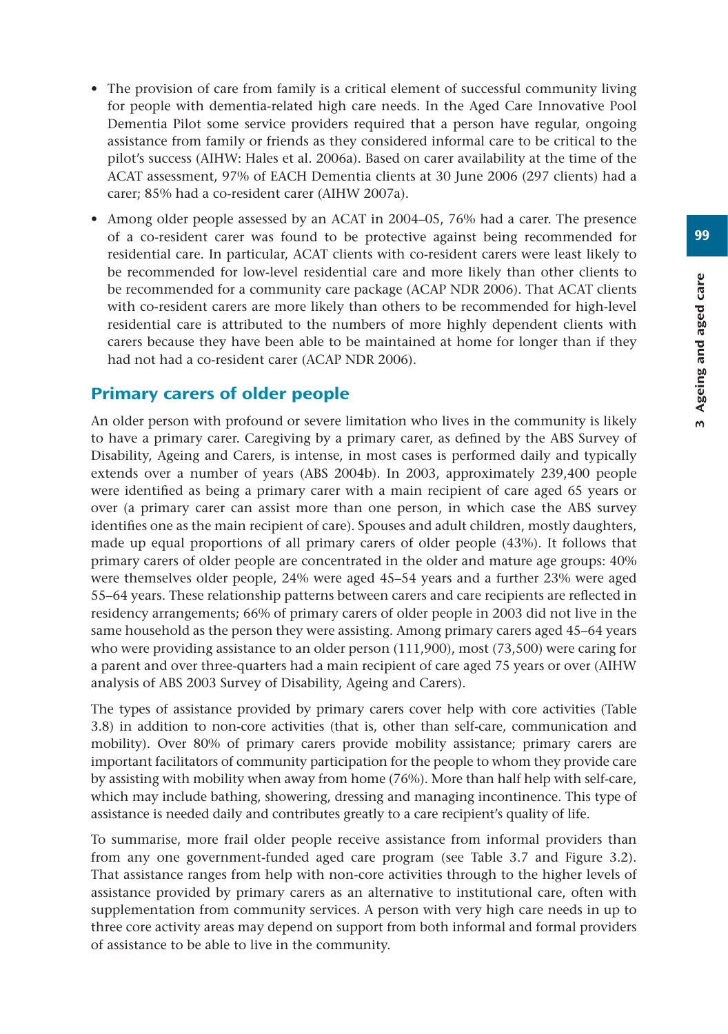99

- The provision of care from family is a critical element of successful community living for people with dementia-related high care needs. In the Aged Care Innovative Pool Dementia Pilot some service providers required that a person have regular, ongoing assistance from family or friends as they considered informal care to be critical to the pilot's success (AIHW: Hales et al. 2006a). Based on carer availability at the time of the ACAT assessment, 97% of EACH Dementia clients at 30 June 2006 (297 clients) had a carer; 85% had a co-resident carer (AIHW 2007a).
- Among older people assessed by an ACAT in 2004–05, 76% had a carer. The presence of a co-resident carer was found to be protective against being recommended for residential care. In particular, ACAT clients with co-resident carers were least likely to be recommended for low-level residential care and more likely than other clients to be recommended for a community care package (ACAP NDR 2006). That ACAT clients with co-resident carers are more likely than others to be recommended for high-level residential care is attributed to the numbers of more highly dependent clients with carers because they have been able to be maintained at home for longer than if they had not had a co-resident carer (ACAP NDR 2006).

## Primary carers of older people

An older person with profound or severe limitation who lives in the community is likely to have a primary carer. Caregiving by a primary carer, as defined by the ABS Survey of Disability, Ageing and Carers, is intense, in most cases is performed daily and typically extends over a number of years (ABS 2004b). In 2003, approximately 239,400 people were identified as being a primary carer with a main recipient of care aged 65 years or over (a primary carer can assist more than one person, in which case the ABS survey identifies one as the main recipient of care). Spouses and adult children, mostly daughters, made up equal proportions of all primary carers of older people (43%). It follows that primary carers of older people are concentrated in the older and mature age groups: 40% were themselves older people, 24% were aged 45–54 years and a further 23% were aged 55–64 years. These relationship patterns between carers and care recipients are reflected in residency arrangements; 66% of primary carers of older people in 2003 did not live in the same household as the person they were assisting. Among primary carers aged 45–64 years who were providing assistance to an older person (111,900), most (73,500) were caring for a parent and over three-quarters had a main recipient of care aged 75 years or over (AIHW analysis of ABS 2003 Survey of Disability, Ageing and Carers).

The types of assistance provided by primary carers cover help with core activities (Table 3.8) in addition to non-core activities (that is, other than self-care, communication and mobility). Over 80% of primary carers provide mobility assistance; primary carers are important facilitators of community participation for the people to whom they provide care by assisting with mobility when away from home (76%). More than half help with self-care, which may include bathing, showering, dressing and managing incontinence. This type of assistance is needed daily and contributes greatly to a care recipient's quality of life.

To summarise, more frail older people receive assistance from informal providers than from any one government-funded aged care program (see Table 3.7 and Figure 3.2). That assistance ranges from help with non-core activities through to the higher levels of assistance provided by primary carers as an alternative to institutional care, often with supplementation from community services. A person with very high care needs in up to three core activity areas may depend on support from both informal and formal providers of assistance to be able to live in the community.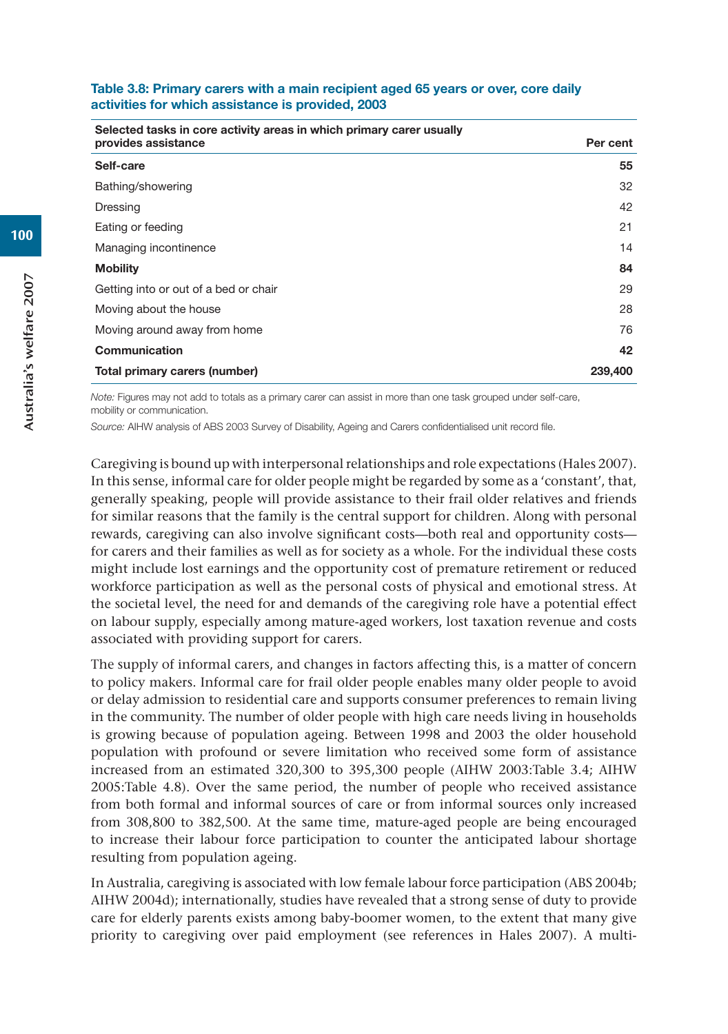| Table 3.8: Primary carers with a main recipient aged 65 years or over, core daily |  |  |
|-----------------------------------------------------------------------------------|--|--|
| activities for which assistance is provided, 2003                                 |  |  |

| Selected tasks in core activity areas in which primary carer usually<br>provides assistance | Per cent |
|---------------------------------------------------------------------------------------------|----------|
| Self-care                                                                                   | 55       |
| Bathing/showering                                                                           | 32       |
| Dressing                                                                                    | 42       |
| Eating or feeding                                                                           | 21       |
| Managing incontinence                                                                       | 14       |
| <b>Mobility</b>                                                                             | 84       |
| Getting into or out of a bed or chair                                                       | 29       |
| Moving about the house                                                                      | 28       |
| Moving around away from home                                                                | 76       |
| Communication                                                                               | 42       |
| Total primary carers (number)                                                               | 239,400  |

*Note:* Figures may not add to totals as a primary carer can assist in more than one task grouped under self-care, mobility or communication.

*Source:* AIHW analysis of ABS 2003 Survey of Disability, Ageing and Carers confidentialised unit record file.

Caregiving is bound up with interpersonal relationships and role expectations (Hales 2007). In this sense, informal care for older people might be regarded by some as a 'constant', that, generally speaking, people will provide assistance to their frail older relatives and friends for similar reasons that the family is the central support for children. Along with personal rewards, caregiving can also involve significant costs—both real and opportunity costs for carers and their families as well as for society as a whole. For the individual these costs might include lost earnings and the opportunity cost of premature retirement or reduced workforce participation as well as the personal costs of physical and emotional stress. At the societal level, the need for and demands of the caregiving role have a potential effect on labour supply, especially among mature-aged workers, lost taxation revenue and costs associated with providing support for carers.

The supply of informal carers, and changes in factors affecting this, is a matter of concern to policy makers. Informal care for frail older people enables many older people to avoid or delay admission to residential care and supports consumer preferences to remain living in the community. The number of older people with high care needs living in households is growing because of population ageing. Between 1998 and 2003 the older household population with profound or severe limitation who received some form of assistance increased from an estimated 320,300 to 395,300 people (AIHW 2003:Table 3.4; AIHW 2005:Table 4.8). Over the same period, the number of people who received assistance from both formal and informal sources of care or from informal sources only increased from 308,800 to 382,500. At the same time, mature-aged people are being encouraged to increase their labour force participation to counter the anticipated labour shortage resulting from population ageing.

In Australia, caregiving is associated with low female labour force participation (ABS 2004b; AIHW 2004d); internationally, studies have revealed that a strong sense of duty to provide care for elderly parents exists among baby-boomer women, to the extent that many give priority to caregiving over paid employment (see references in Hales 2007). A multi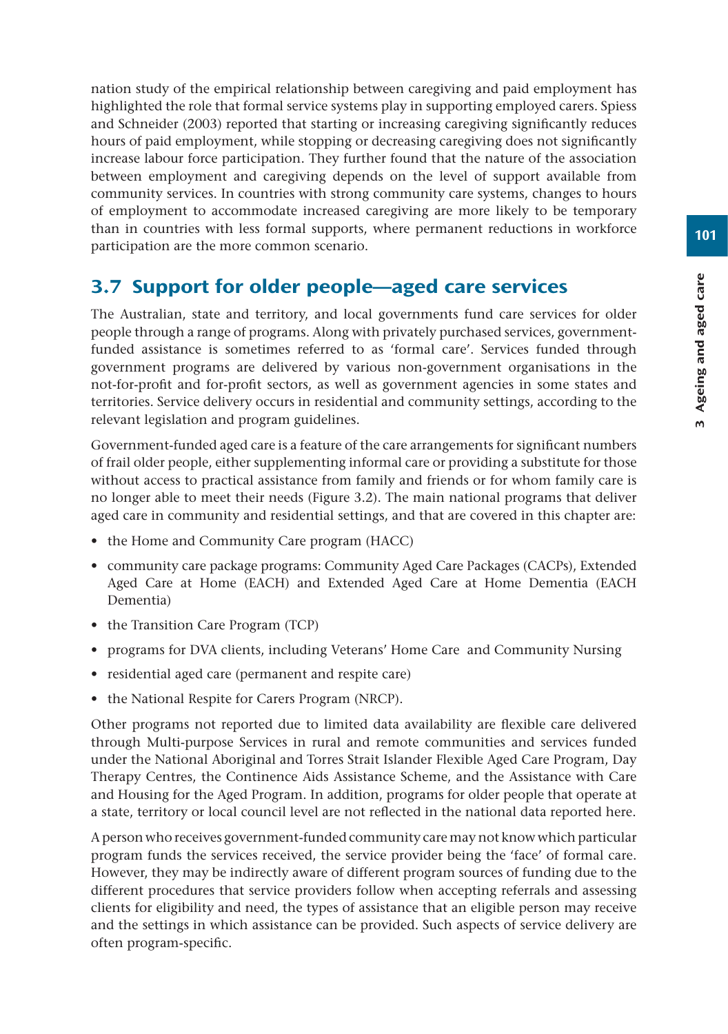nation study of the empirical relationship between caregiving and paid employment has highlighted the role that formal service systems play in supporting employed carers. Spiess and Schneider (2003) reported that starting or increasing caregiving significantly reduces hours of paid employment, while stopping or decreasing caregiving does not significantly increase labour force participation. They further found that the nature of the association between employment and caregiving depends on the level of support available from community services. In countries with strong community care systems, changes to hours of employment to accommodate increased caregiving are more likely to be temporary than in countries with less formal supports, where permanent reductions in workforce participation are the more common scenario.

# 3.7 Support for older people—aged care services

The Australian, state and territory, and local governments fund care services for older people through a range of programs. Along with privately purchased services, governmentfunded assistance is sometimes referred to as 'formal care'. Services funded through government programs are delivered by various non-government organisations in the not-for-profit and for-profit sectors, as well as government agencies in some states and territories. Service delivery occurs in residential and community settings, according to the relevant legislation and program guidelines.

Government-funded aged care is a feature of the care arrangements for significant numbers of frail older people, either supplementing informal care or providing a substitute for those without access to practical assistance from family and friends or for whom family care is no longer able to meet their needs (Figure 3.2). The main national programs that deliver aged care in community and residential settings, and that are covered in this chapter are:

- the Home and Community Care program (HACC)
- community care package programs: Community Aged Care Packages (CACPs), Extended Aged Care at Home (EACH) and Extended Aged Care at Home Dementia (EACH Dementia)
- the Transition Care Program (TCP)
- programs for DVA clients, including Veterans' Home Care and Community Nursing
- residential aged care (permanent and respite care)
- the National Respite for Carers Program (NRCP).

Other programs not reported due to limited data availability are flexible care delivered through Multi-purpose Services in rural and remote communities and services funded under the National Aboriginal and Torres Strait Islander Flexible Aged Care Program, Day Therapy Centres, the Continence Aids Assistance Scheme, and the Assistance with Care and Housing for the Aged Program. In addition, programs for older people that operate at a state, territory or local council level are not reflected in the national data reported here.

A person who receives government-funded community care may not know which particular program funds the services received, the service provider being the 'face' of formal care. However, they may be indirectly aware of different program sources of funding due to the different procedures that service providers follow when accepting referrals and assessing clients for eligibility and need, the types of assistance that an eligible person may receive and the settings in which assistance can be provided. Such aspects of service delivery are often program-specific.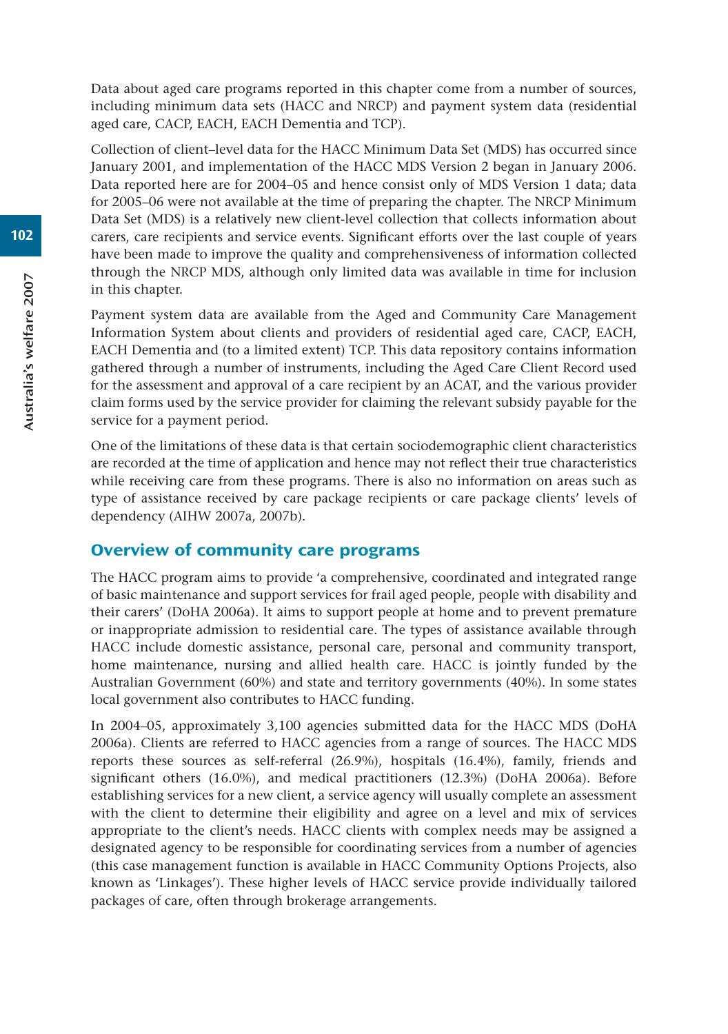Data about aged care programs reported in this chapter come from a number of sources, including minimum data sets (HACC and NRCP) and payment system data (residential aged care, CACP, EACH, EACH Dementia and TCP).

Collection of client–level data for the HACC Minimum Data Set (MDS) has occurred since January 2001, and implementation of the HACC MDS Version 2 began in January 2006. Data reported here are for 2004–05 and hence consist only of MDS Version 1 data; data for 2005–06 were not available at the time of preparing the chapter. The NRCP Minimum Data Set (MDS) is a relatively new client-level collection that collects information about carers, care recipients and service events. Significant efforts over the last couple of years have been made to improve the quality and comprehensiveness of information collected through the NRCP MDS, although only limited data was available in time for inclusion in this chapter.

Payment system data are available from the Aged and Community Care Management Information System about clients and providers of residential aged care, CACP, EACH, EACH Dementia and (to a limited extent) TCP. This data repository contains information gathered through a number of instruments, including the Aged Care Client Record used for the assessment and approval of a care recipient by an ACAT, and the various provider claim forms used by the service provider for claiming the relevant subsidy payable for the service for a payment period.

One of the limitations of these data is that certain sociodemographic client characteristics are recorded at the time of application and hence may not reflect their true characteristics while receiving care from these programs. There is also no information on areas such as type of assistance received by care package recipients or care package clients' levels of dependency (AIHW 2007a, 2007b).

#### Overview of community care programs

The HACC program aims to provide 'a comprehensive, coordinated and integrated range of basic maintenance and support services for frail aged people, people with disability and their carers' (DoHA 2006a). It aims to support people at home and to prevent premature or inappropriate admission to residential care. The types of assistance available through HACC include domestic assistance, personal care, personal and community transport, home maintenance, nursing and allied health care. HACC is jointly funded by the Australian Government (60%) and state and territory governments (40%). In some states local government also contributes to HACC funding.

In 2004–05, approximately 3,100 agencies submitted data for the HACC MDS (DoHA 2006a). Clients are referred to HACC agencies from a range of sources. The HACC MDS reports these sources as self-referral (26.9%), hospitals (16.4%), family, friends and significant others (16.0%), and medical practitioners (12.3%) (DoHA 2006a). Before establishing services for a new client, a service agency will usually complete an assessment with the client to determine their eligibility and agree on a level and mix of services appropriate to the client's needs. HACC clients with complex needs may be assigned a designated agency to be responsible for coordinating services from a number of agencies (this case management function is available in HACC Community Options Projects, also known as 'Linkages'). These higher levels of HACC service provide individually tailored packages of care, often through brokerage arrangements.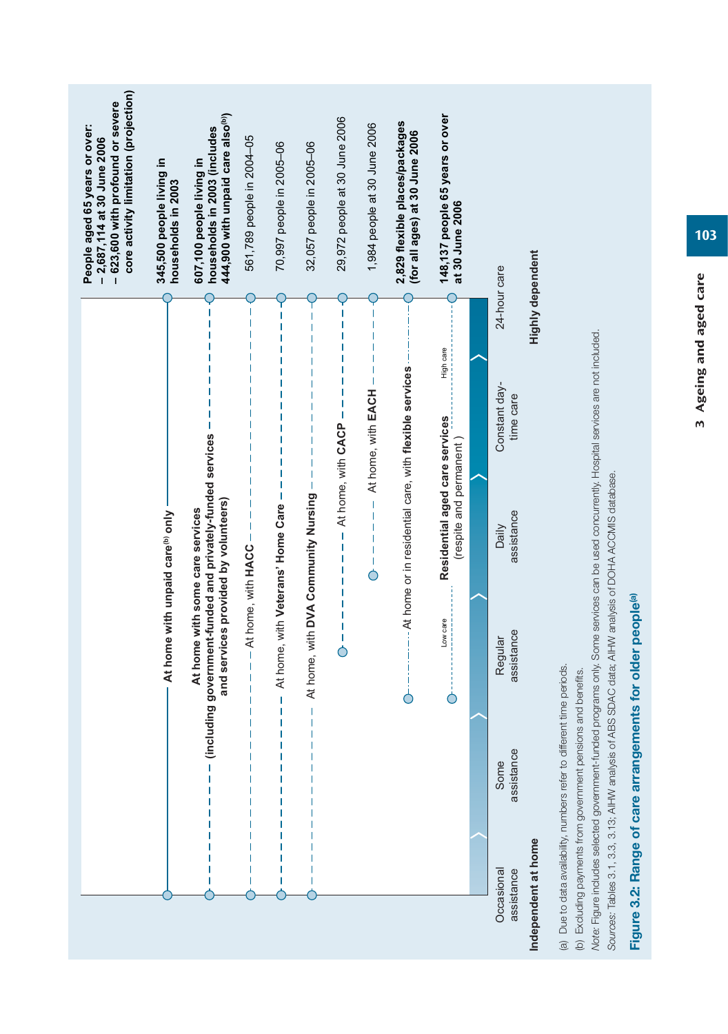|                                                  |                                                                                                                                         |                                                                                                                                                                                                      |                                                               |                            |                  | core activity limitation (projection)<br>-623,600 with profound or severe<br>People aged 65 years or over:<br>$-2,687,114$ at 30 June 2006 |
|--------------------------------------------------|-----------------------------------------------------------------------------------------------------------------------------------------|------------------------------------------------------------------------------------------------------------------------------------------------------------------------------------------------------|---------------------------------------------------------------|----------------------------|------------------|--------------------------------------------------------------------------------------------------------------------------------------------|
|                                                  |                                                                                                                                         | At home with unpaid care <sup>(b)</sup> only                                                                                                                                                         |                                                               |                            |                  | 345,500 people living in<br>households in 2003                                                                                             |
|                                                  |                                                                                                                                         | (including government-funded and privately-funded services<br>and services provided by volunteers)<br>At home with some care services                                                                |                                                               |                            |                  | 444,900 with unpaid care also <sup>(b)</sup> )<br>households in 2003 (includes<br>607,100 people living in                                 |
|                                                  |                                                                                                                                         | - At home, with HACC -                                                                                                                                                                               |                                                               |                            |                  | 561,789 people in 2004-05                                                                                                                  |
|                                                  |                                                                                                                                         | At home, with Veterans' Home Care<br>Ï                                                                                                                                                               |                                                               |                            |                  | 70,997 people in 2005-06                                                                                                                   |
|                                                  | Ī                                                                                                                                       | At home, with DVA Community Nursing                                                                                                                                                                  | I                                                             |                            |                  | 32,057 people in 2005-06                                                                                                                   |
|                                                  |                                                                                                                                         |                                                                                                                                                                                                      | At home, with CACP<br>$\overline{1}$<br>1                     | 1                          |                  | 29,972 people at 30 June 2006                                                                                                              |
|                                                  |                                                                                                                                         |                                                                                                                                                                                                      | $\mathsf I$<br>$\mathsf I$<br>$\mathbf{I}$                    | At home, with EACH         |                  | 1,984 people at 30 June 2006                                                                                                               |
|                                                  |                                                                                                                                         | Ċ                                                                                                                                                                                                    | --- At home or in residential care, with flexible services -- |                            |                  | 2,829 flexible places/packages<br>(for all ages) at 30 June 2006                                                                           |
|                                                  |                                                                                                                                         | Low care<br>Ċ                                                                                                                                                                                        | Residential aged care services<br>(respite and permanent)     | High care                  |                  | 148,137 people 65 years or over<br>at 30 June 2006                                                                                         |
|                                                  |                                                                                                                                         |                                                                                                                                                                                                      |                                                               |                            |                  |                                                                                                                                            |
| Occasional<br>assistance                         | assistance<br>Some                                                                                                                      | assistance<br>Regular                                                                                                                                                                                | assistance<br>Daily                                           | Constant day-<br>time care | 24-hour care     |                                                                                                                                            |
| Independent at home                              |                                                                                                                                         |                                                                                                                                                                                                      |                                                               |                            | Highly dependent |                                                                                                                                            |
| Sources: Tables 3.1, 3.3, 3.13; AIHW analysis of | (a) Due to data availability, numbers refer to different time periods.<br>(b) Excluding payments from government pensions and benefits. | Note: Figure includes selected government-funded programs only. Some services can be used concurrently. Hospital services are not included.<br>ABS SDAC data; AIHW analysis of DOHA ACCMIS database. |                                                               |                            |                  |                                                                                                                                            |
|                                                  |                                                                                                                                         | Figure 3.2: Range of care arrangements for older people <sup>(a)</sup>                                                                                                                               |                                                               |                            |                  |                                                                                                                                            |

3 Ageing and aged care 3 Ageing and aged care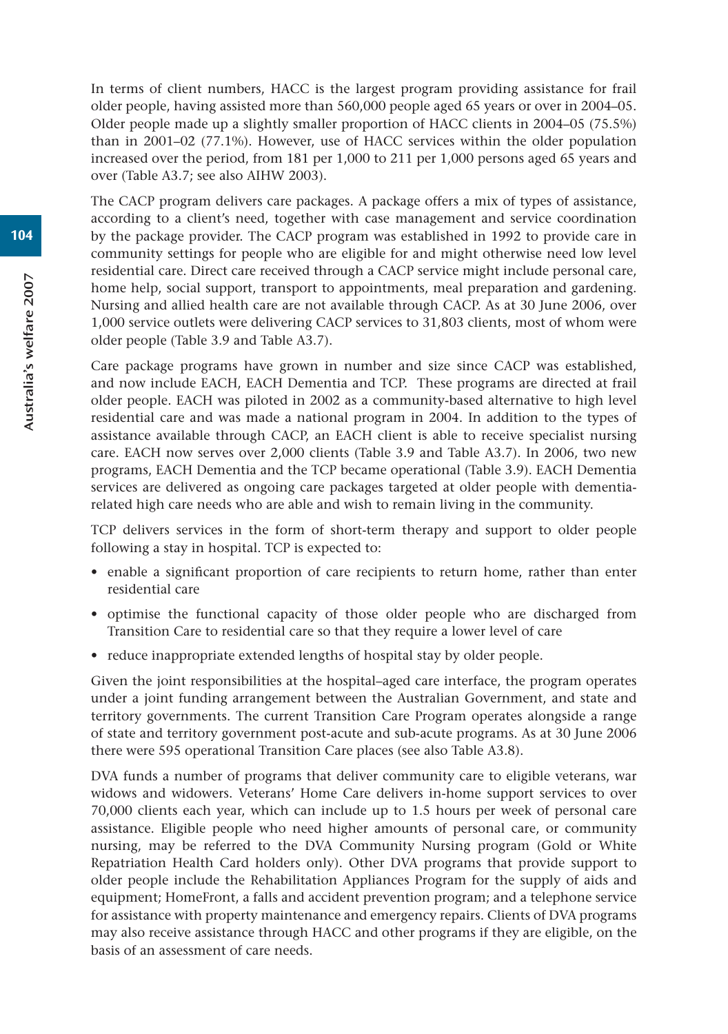In terms of client numbers, HACC is the largest program providing assistance for frail older people, having assisted more than 560,000 people aged 65 years or over in 2004–05. Older people made up a slightly smaller proportion of HACC clients in 2004–05 (75.5%) than in 2001–02 (77.1%). However, use of HACC services within the older population increased over the period, from 181 per 1,000 to 211 per 1,000 persons aged 65 years and over (Table A3.7; see also AIHW 2003).

The CACP program delivers care packages. A package offers a mix of types of assistance, according to a client's need, together with case management and service coordination by the package provider. The CACP program was established in 1992 to provide care in community settings for people who are eligible for and might otherwise need low level residential care. Direct care received through a CACP service might include personal care, home help, social support, transport to appointments, meal preparation and gardening. Nursing and allied health care are not available through CACP. As at 30 June 2006, over 1,000 service outlets were delivering CACP services to 31,803 clients, most of whom were older people (Table 3.9 and Table A3.7).

Care package programs have grown in number and size since CACP was established, and now include EACH, EACH Dementia and TCP. These programs are directed at frail older people. EACH was piloted in 2002 as a community-based alternative to high level residential care and was made a national program in 2004. In addition to the types of assistance available through CACP, an EACH client is able to receive specialist nursing care. EACH now serves over 2,000 clients (Table 3.9 and Table A3.7). In 2006, two new programs, EACH Dementia and the TCP became operational (Table 3.9). EACH Dementia services are delivered as ongoing care packages targeted at older people with dementiarelated high care needs who are able and wish to remain living in the community.

TCP delivers services in the form of short-term therapy and support to older people following a stay in hospital. TCP is expected to:

- enable a significant proportion of care recipients to return home, rather than enter residential care
- optimise the functional capacity of those older people who are discharged from Transition Care to residential care so that they require a lower level of care
- reduce inappropriate extended lengths of hospital stay by older people.

Given the joint responsibilities at the hospital–aged care interface, the program operates under a joint funding arrangement between the Australian Government, and state and territory governments. The current Transition Care Program operates alongside a range of state and territory government post-acute and sub-acute programs. As at 30 June 2006 there were 595 operational Transition Care places (see also Table A3.8).

DVA funds a number of programs that deliver community care to eligible veterans, war widows and widowers. Veterans' Home Care delivers in-home support services to over 70,000 clients each year, which can include up to 1.5 hours per week of personal care assistance. Eligible people who need higher amounts of personal care, or community nursing, may be referred to the DVA Community Nursing program (Gold or White Repatriation Health Card holders only). Other DVA programs that provide support to older people include the Rehabilitation Appliances Program for the supply of aids and equipment; HomeFront, a falls and accident prevention program; and a telephone service for assistance with property maintenance and emergency repairs. Clients of DVA programs may also receive assistance through HACC and other programs if they are eligible, on the basis of an assessment of care needs.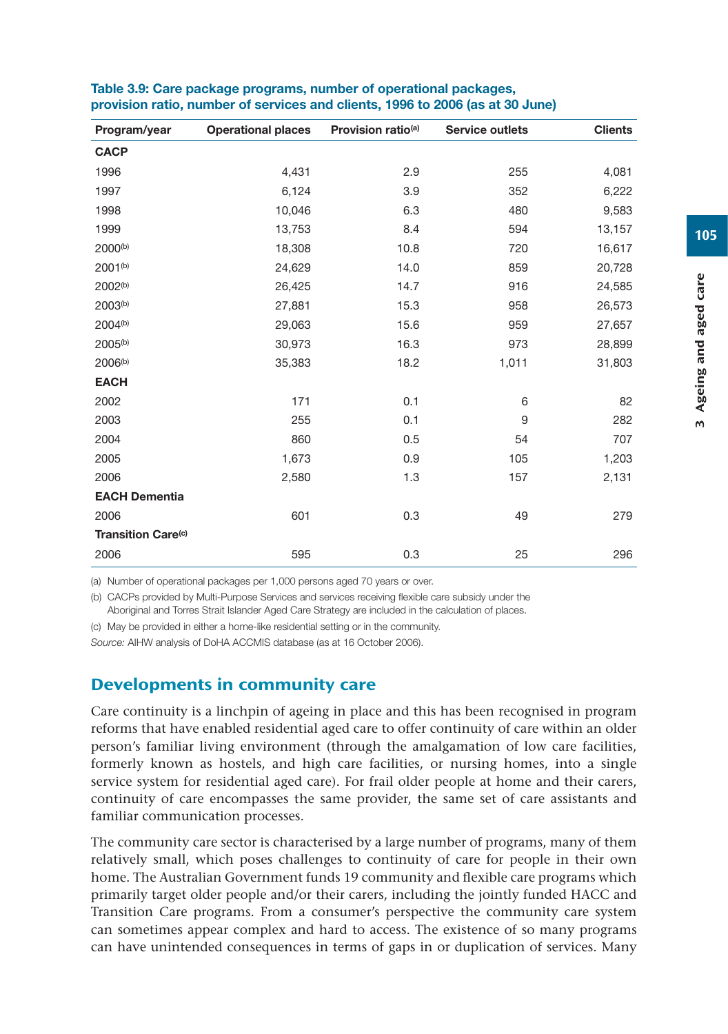| Program/year              | <b>Operational places</b> | Provision ratio <sup>(a)</sup> | Service outlets | <b>Clients</b> |
|---------------------------|---------------------------|--------------------------------|-----------------|----------------|
| <b>CACP</b>               |                           |                                |                 |                |
| 1996                      | 4,431                     | 2.9                            | 255             | 4,081          |
| 1997                      | 6,124                     | 3.9                            | 352             | 6,222          |
| 1998                      | 10,046                    | 6.3                            | 480             | 9,583          |
| 1999                      | 13,753                    | 8.4                            | 594             | 13,157         |
| 2000 <sup>(b)</sup>       | 18,308                    | 10.8                           | 720             | 16,617         |
| 2001 <sup>(b)</sup>       | 24,629                    | 14.0                           | 859             | 20,728         |
| 2002 <sup>(b)</sup>       | 26,425                    | 14.7                           | 916             | 24,585         |
| 2003 <sup>(b)</sup>       | 27,881                    | 15.3                           | 958             | 26,573         |
| 2004 <sup>(b)</sup>       | 29,063                    | 15.6                           | 959             | 27,657         |
| 2005 <sup>(b)</sup>       | 30,973                    | 16.3                           | 973             | 28,899         |
| 2006 <sup>(b)</sup>       | 35,383                    | 18.2                           | 1,011           | 31,803         |
| <b>EACH</b>               |                           |                                |                 |                |
| 2002                      | 171                       | 0.1                            | 6               | 82             |
| 2003                      | 255                       | 0.1                            | 9               | 282            |
| 2004                      | 860                       | 0.5                            | 54              | 707            |
| 2005                      | 1,673                     | 0.9                            | 105             | 1,203          |
| 2006                      | 2,580                     | 1.3                            | 157             | 2,131          |
| <b>EACH Dementia</b>      |                           |                                |                 |                |
| 2006                      | 601                       | 0.3                            | 49              | 279            |
| <b>Transition Care(c)</b> |                           |                                |                 |                |
| 2006                      | 595                       | 0.3                            | 25              | 296            |

#### **Table 3.9: Care package programs, number of operational packages, provision ratio, number of services and clients, 1996 to 2006 (as at 30 June)**

(a) Number of operational packages per 1,000 persons aged 70 years or over.

(b) CACPs provided by Multi-Purpose Services and services receiving flexible care subsidy under the Aboriginal and Torres Strait Islander Aged Care Strategy are included in the calculation of places.

(c) May be provided in either a home-like residential setting or in the community.

*Source:* AIHW analysis of DoHA ACCMIS database (as at 16 October 2006).

## Developments in community care

Care continuity is a linchpin of ageing in place and this has been recognised in program reforms that have enabled residential aged care to offer continuity of care within an older person's familiar living environment (through the amalgamation of low care facilities, formerly known as hostels, and high care facilities, or nursing homes, into a single service system for residential aged care). For frail older people at home and their carers, continuity of care encompasses the same provider, the same set of care assistants and familiar communication processes.

The community care sector is characterised by a large number of programs, many of them relatively small, which poses challenges to continuity of care for people in their own home. The Australian Government funds 19 community and flexible care programs which primarily target older people and/or their carers, including the jointly funded HACC and Transition Care programs. From a consumer's perspective the community care system can sometimes appear complex and hard to access. The existence of so many programs can have unintended consequences in terms of gaps in or duplication of services. Many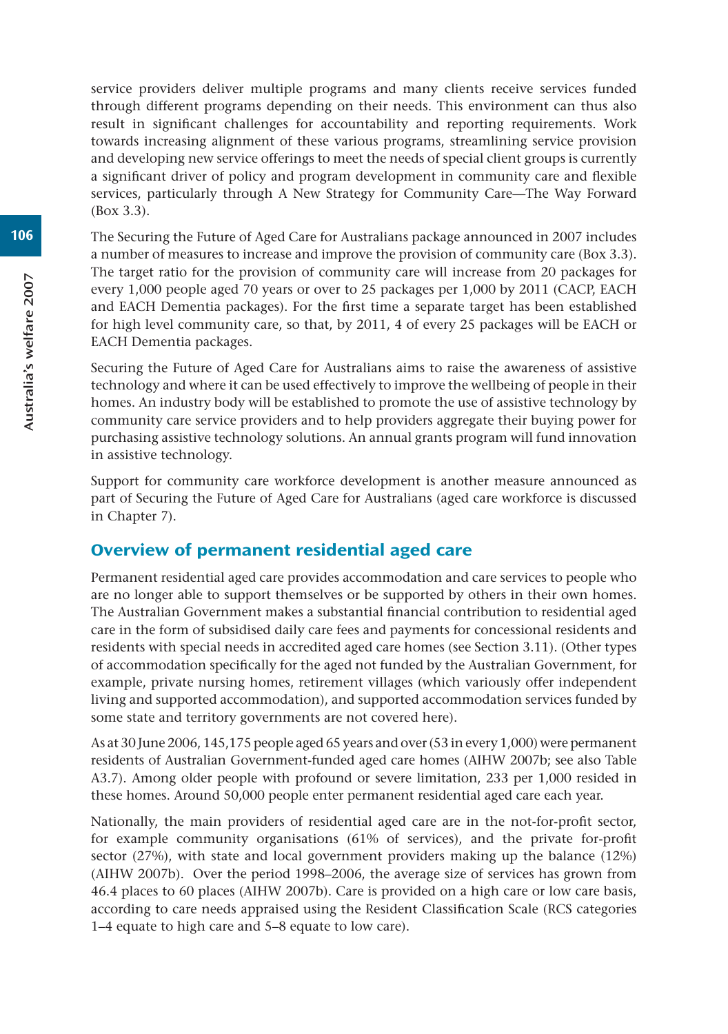service providers deliver multiple programs and many clients receive services funded through different programs depending on their needs. This environment can thus also result in significant challenges for accountability and reporting requirements. Work towards increasing alignment of these various programs, streamlining service provision and developing new service offerings to meet the needs of special client groups is currently a significant driver of policy and program development in community care and flexible services, particularly through A New Strategy for Community Care—The Way Forward (Box 3.3).

The Securing the Future of Aged Care for Australians package announced in 2007 includes a number of measures to increase and improve the provision of community care (Box 3.3). The target ratio for the provision of community care will increase from 20 packages for every 1,000 people aged 70 years or over to 25 packages per 1,000 by 2011 (CACP, EACH and EACH Dementia packages). For the first time a separate target has been established for high level community care, so that, by 2011, 4 of every 25 packages will be EACH or EACH Dementia packages.

Securing the Future of Aged Care for Australians aims to raise the awareness of assistive technology and where it can be used effectively to improve the wellbeing of people in their homes. An industry body will be established to promote the use of assistive technology by community care service providers and to help providers aggregate their buying power for purchasing assistive technology solutions. An annual grants program will fund innovation in assistive technology.

Support for community care workforce development is another measure announced as part of Securing the Future of Aged Care for Australians (aged care workforce is discussed in Chapter 7).

## Overview of permanent residential aged care

Permanent residential aged care provides accommodation and care services to people who are no longer able to support themselves or be supported by others in their own homes. The Australian Government makes a substantial financial contribution to residential aged care in the form of subsidised daily care fees and payments for concessional residents and residents with special needs in accredited aged care homes (see Section 3.11). (Other types of accommodation specifically for the aged not funded by the Australian Government, for example, private nursing homes, retirement villages (which variously offer independent living and supported accommodation), and supported accommodation services funded by some state and territory governments are not covered here).

As at 30 June 2006, 145,175 people aged 65 years and over (53 in every 1,000) were permanent residents of Australian Government-funded aged care homes (AIHW 2007b; see also Table A3.7). Among older people with profound or severe limitation, 233 per 1,000 resided in these homes. Around 50,000 people enter permanent residential aged care each year.

Nationally, the main providers of residential aged care are in the not-for-profit sector, for example community organisations (61% of services), and the private for-profit sector (27%), with state and local government providers making up the balance (12%) (AIHW 2007b). Over the period 1998–2006, the average size of services has grown from 46.4 places to 60 places (AIHW 2007b). Care is provided on a high care or low care basis, according to care needs appraised using the Resident Classification Scale (RCS categories 1–4 equate to high care and 5–8 equate to low care).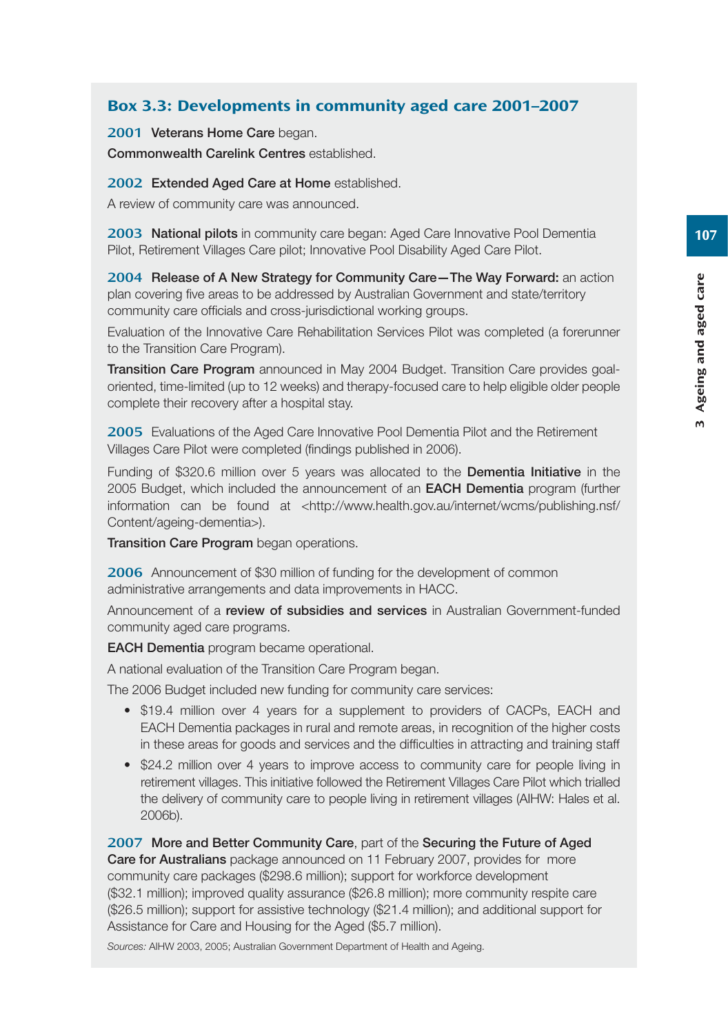## Box 3.3: Developments in community aged care 2001–2007

2001 **Veterans Home Care** began.

**Commonwealth Carelink Centres** established.

2002 **Extended Aged Care at Home** established.

A review of community care was announced.

2003 **National pilots** in community care began: Aged Care Innovative Pool Dementia Pilot, Retirement Villages Care pilot; Innovative Pool Disability Aged Care Pilot.

2004 **Release of A New Strategy for Community Care—The Way Forward:** an action plan covering five areas to be addressed by Australian Government and state/territory community care officials and cross-jurisdictional working groups.

Evaluation of the Innovative Care Rehabilitation Services Pilot was completed (a forerunner to the Transition Care Program).

**Transition Care Program** announced in May 2004 Budget. Transition Care provides goaloriented, time-limited (up to 12 weeks) and therapy-focused care to help eligible older people complete their recovery after a hospital stay.

2005 Evaluations of the Aged Care Innovative Pool Dementia Pilot and the Retirement Villages Care Pilot were completed (findings published in 2006).

Funding of \$320.6 million over 5 years was allocated to the **Dementia Initiative** in the 2005 Budget, which included the announcement of an **EACH Dementia** program (further information can be found at <http://www.health.gov.au/internet/wcms/publishing.nsf/ Content/ageing-dementia>).

**Transition Care Program** began operations.

2006 Announcement of \$30 million of funding for the development of common administrative arrangements and data improvements in HACC.

Announcement of a **review of subsidies and services** in Australian Government-funded community aged care programs.

**EACH Dementia** program became operational.

A national evaluation of the Transition Care Program began.

The 2006 Budget included new funding for community care services:

- \$19.4 million over 4 years for a supplement to providers of CACPs, EACH and EACH Dementia packages in rural and remote areas, in recognition of the higher costs in these areas for goods and services and the difficulties in attracting and training staff
- \$24.2 million over 4 years to improve access to community care for people living in retirement villages. This initiative followed the Retirement Villages Care Pilot which trialled the delivery of community care to people living in retirement villages (AIHW: Hales et al. 2006b).

2007 **More and Better Community Care**, part of the **Securing the Future of Aged Care for Australians** package announced on 11 February 2007, provides for more community care packages (\$298.6 million); support for workforce development (\$32.1 million); improved quality assurance (\$26.8 million); more community respite care (\$26.5 million); support for assistive technology (\$21.4 million); and additional support for Assistance for Care and Housing for the Aged (\$5.7 million).

*Sources:* AIHW 2003, 2005; Australian Government Department of Health and Ageing.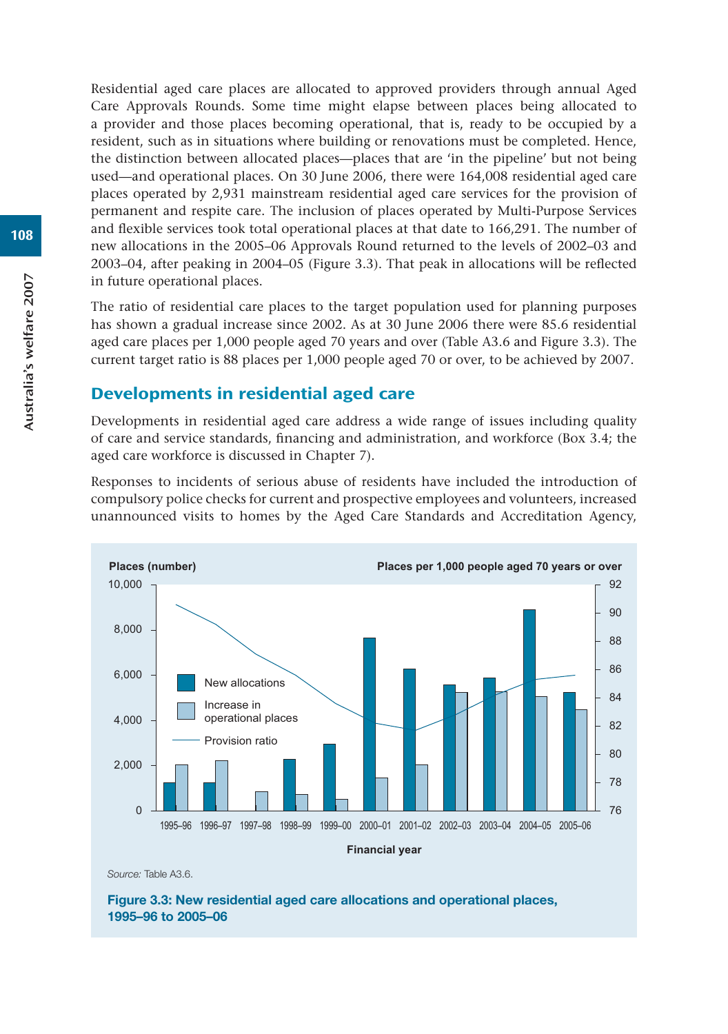Residential aged care places are allocated to approved providers through annual Aged Care Approvals Rounds. Some time might elapse between places being allocated to a provider and those places becoming operational, that is, ready to be occupied by a resident, such as in situations where building or renovations must be completed. Hence, the distinction between allocated places—places that are 'in the pipeline' but not being used—and operational places. On 30 June 2006, there were 164,008 residential aged care places operated by 2,931 mainstream residential aged care services for the provision of permanent and respite care. The inclusion of places operated by Multi-Purpose Services and flexible services took total operational places at that date to 166,291. The number of new allocations in the 2005–06 Approvals Round returned to the levels of 2002–03 and 2003–04, after peaking in 2004–05 (Figure 3.3). That peak in allocations will be reflected in future operational places.

The ratio of residential care places to the target population used for planning purposes has shown a gradual increase since 2002. As at 30 June 2006 there were 85.6 residential aged care places per 1,000 people aged 70 years and over (Table A3.6 and Figure 3.3). The current target ratio is 88 places per 1,000 people aged 70 or over, to be achieved by 2007.

## Developments in residential aged care

Developments in residential aged care address a wide range of issues including quality of care and service standards, financing and administration, and workforce (Box 3.4; the aged care workforce is discussed in Chapter 7).

Responses to incidents of serious abuse of residents have included the introduction of compulsory police checks for current and prospective employees and volunteers, increased unannounced visits to homes by the Aged Care Standards and Accreditation Agency,



*Source:* Table A3.6.

**Figure 3.3: New residential aged care allocations and operational places, 1995–96 to 2005–06**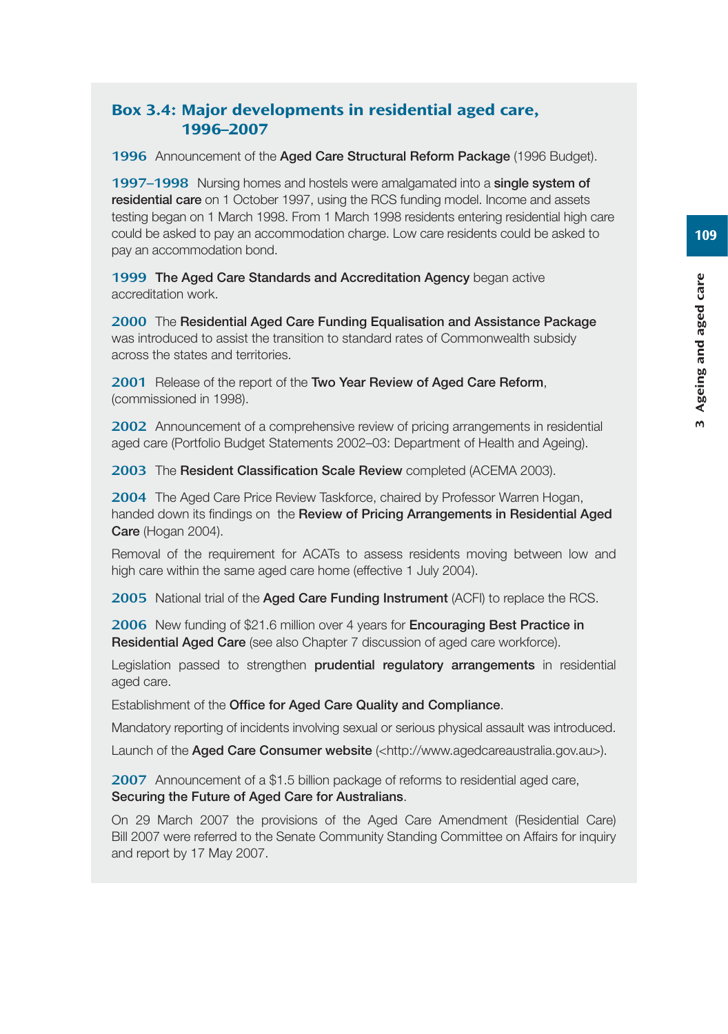## Box 3.4: Major developments in residential aged care, 1996–2007

1996 Announcement of the **Aged Care Structural Reform Package** (1996 Budget).

1997–1998 Nursing homes and hostels were amalgamated into a **single system of residential care** on 1 October 1997, using the RCS funding model. Income and assets testing began on 1 March 1998. From 1 March 1998 residents entering residential high care could be asked to pay an accommodation charge. Low care residents could be asked to pay an accommodation bond.

1999 **The Aged Care Standards and Accreditation Agency** began active accreditation work.

2000 The **Residential Aged Care Funding Equalisation and Assistance Package** was introduced to assist the transition to standard rates of Commonwealth subsidy across the states and territories.

2001 Release of the report of the **Two Year Review of Aged Care Reform**, (commissioned in 1998).

2002 Announcement of a comprehensive review of pricing arrangements in residential aged care (Portfolio Budget Statements 2002–03: Department of Health and Ageing).

2003 The **Resident Classification Scale Review** completed (ACEMA 2003).

2004 The Aged Care Price Review Taskforce, chaired by Professor Warren Hogan, handed down its findings on the **Review of Pricing Arrangements in Residential Aged Care** (Hogan 2004).

Removal of the requirement for ACATs to assess residents moving between low and high care within the same aged care home (effective 1 July 2004).

2005 National trial of the **Aged Care Funding Instrument** (ACFI) to replace the RCS.

2006 New funding of \$21.6 million over 4 years for **Encouraging Best Practice in Residential Aged Care** (see also Chapter 7 discussion of aged care workforce).

Legislation passed to strengthen **prudential regulatory arrangements** in residential aged care.

Establishment of the **Office for Aged Care Quality and Compliance**.

Mandatory reporting of incidents involving sexual or serious physical assault was introduced.

Launch of the **Aged Care Consumer website** (<http://www.agedcareaustralia.gov.au>).

2007 Announcement of a \$1.5 billion package of reforms to residential aged care, **Securing the Future of Aged Care for Australians**.

On 29 March 2007 the provisions of the Aged Care Amendment (Residential Care) Bill 2007 were referred to the Senate Community Standing Committee on Affairs for inquiry and report by 17 May 2007.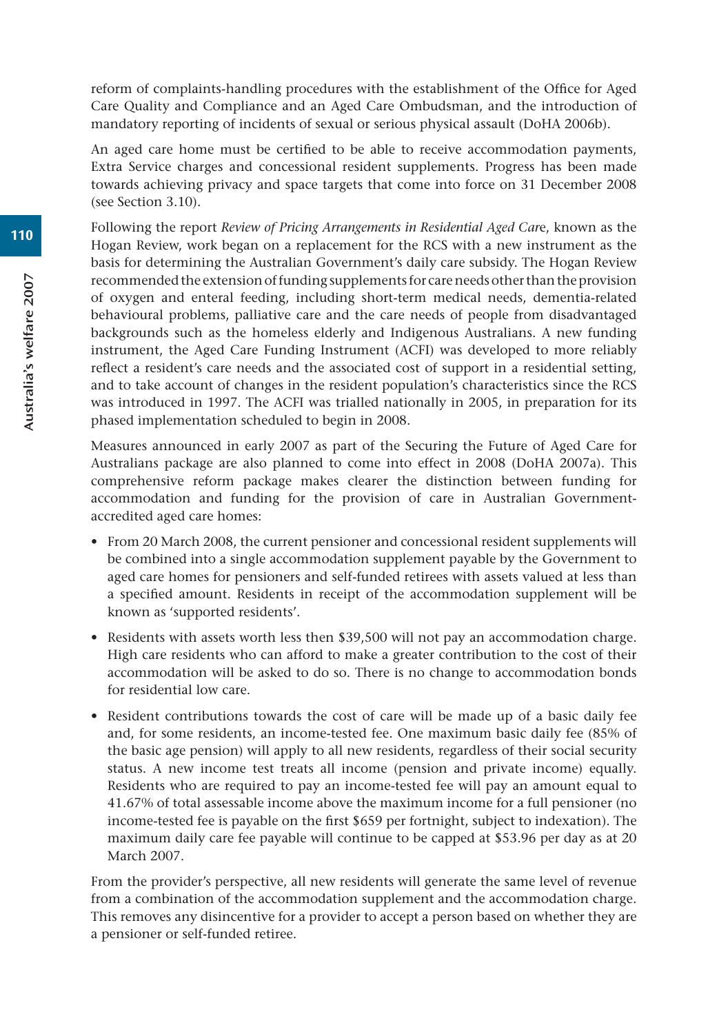reform of complaints-handling procedures with the establishment of the Office for Aged Care Quality and Compliance and an Aged Care Ombudsman, and the introduction of mandatory reporting of incidents of sexual or serious physical assault (DoHA 2006b).

An aged care home must be certified to be able to receive accommodation payments, Extra Service charges and concessional resident supplements. Progress has been made towards achieving privacy and space targets that come into force on 31 December 2008 (see Section 3.10).

Following the report *Review of Pricing Arrangements in Residential Aged Car*e, known as the Hogan Review, work began on a replacement for the RCS with a new instrument as the basis for determining the Australian Government's daily care subsidy. The Hogan Review recommended the extension of funding supplements for care needs other than the provision of oxygen and enteral feeding, including short-term medical needs, dementia-related behavioural problems, palliative care and the care needs of people from disadvantaged backgrounds such as the homeless elderly and Indigenous Australians. A new funding instrument, the Aged Care Funding Instrument (ACFI) was developed to more reliably reflect a resident's care needs and the associated cost of support in a residential setting, and to take account of changes in the resident population's characteristics since the RCS was introduced in 1997. The ACFI was trialled nationally in 2005, in preparation for its phased implementation scheduled to begin in 2008.

Measures announced in early 2007 as part of the Securing the Future of Aged Care for Australians package are also planned to come into effect in 2008 (DoHA 2007a). This comprehensive reform package makes clearer the distinction between funding for accommodation and funding for the provision of care in Australian Governmentaccredited aged care homes:

- From 20 March 2008, the current pensioner and concessional resident supplements will be combined into a single accommodation supplement payable by the Government to aged care homes for pensioners and self-funded retirees with assets valued at less than a specified amount. Residents in receipt of the accommodation supplement will be known as 'supported residents'.
- Residents with assets worth less then \$39,500 will not pay an accommodation charge. High care residents who can afford to make a greater contribution to the cost of their accommodation will be asked to do so. There is no change to accommodation bonds for residential low care.
- Resident contributions towards the cost of care will be made up of a basic daily fee and, for some residents, an income-tested fee. One maximum basic daily fee (85% of the basic age pension) will apply to all new residents, regardless of their social security status. A new income test treats all income (pension and private income) equally. Residents who are required to pay an income-tested fee will pay an amount equal to 41.67% of total assessable income above the maximum income for a full pensioner (no income-tested fee is payable on the first \$659 per fortnight, subject to indexation). The maximum daily care fee payable will continue to be capped at \$53.96 per day as at 20 March 2007.

From the provider's perspective, all new residents will generate the same level of revenue from a combination of the accommodation supplement and the accommodation charge. This removes any disincentive for a provider to accept a person based on whether they are a pensioner or self-funded retiree.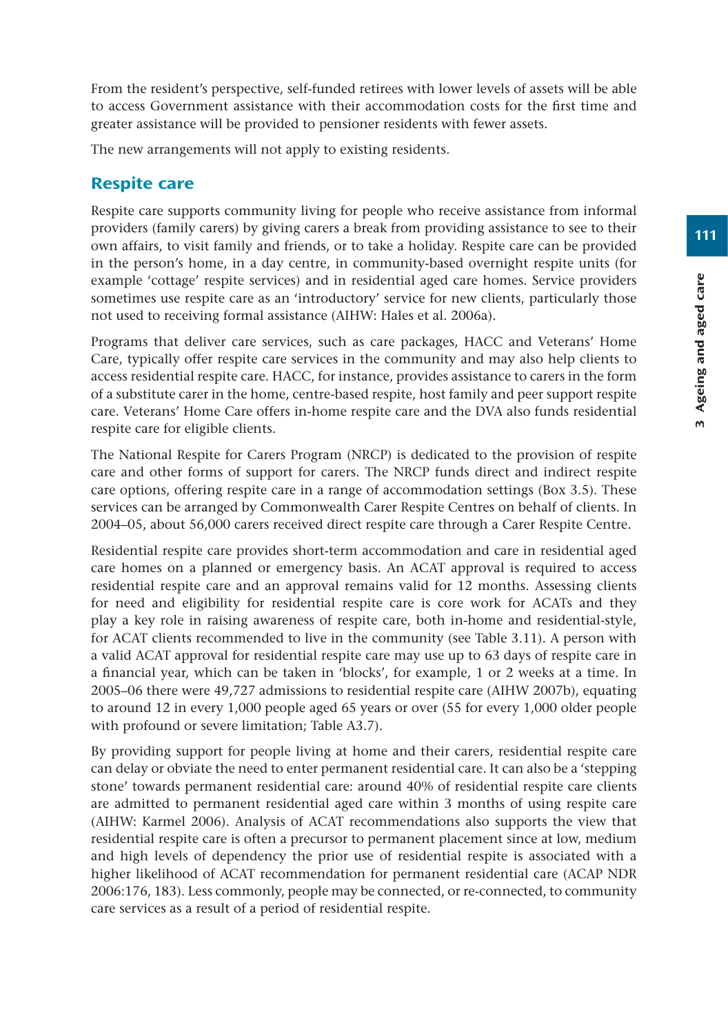From the resident's perspective, self-funded retirees with lower levels of assets will be able to access Government assistance with their accommodation costs for the first time and greater assistance will be provided to pensioner residents with fewer assets.

The new arrangements will not apply to existing residents.

#### Respite care

Respite care supports community living for people who receive assistance from informal providers (family carers) by giving carers a break from providing assistance to see to their own affairs, to visit family and friends, or to take a holiday. Respite care can be provided in the person's home, in a day centre, in community-based overnight respite units (for example 'cottage' respite services) and in residential aged care homes. Service providers sometimes use respite care as an 'introductory' service for new clients, particularly those not used to receiving formal assistance (AIHW: Hales et al. 2006a).

Programs that deliver care services, such as care packages, HACC and Veterans' Home Care, typically offer respite care services in the community and may also help clients to access residential respite care. HACC, for instance, provides assistance to carers in the form of a substitute carer in the home, centre-based respite, host family and peer support respite care. Veterans' Home Care offers in-home respite care and the DVA also funds residential respite care for eligible clients.

The National Respite for Carers Program (NRCP) is dedicated to the provision of respite care and other forms of support for carers. The NRCP funds direct and indirect respite care options, offering respite care in a range of accommodation settings (Box 3.5). These services can be arranged by Commonwealth Carer Respite Centres on behalf of clients. In 2004–05, about 56,000 carers received direct respite care through a Carer Respite Centre.

Residential respite care provides short-term accommodation and care in residential aged care homes on a planned or emergency basis. An ACAT approval is required to access residential respite care and an approval remains valid for 12 months. Assessing clients for need and eligibility for residential respite care is core work for ACATs and they play a key role in raising awareness of respite care, both in-home and residential-style, for ACAT clients recommended to live in the community (see Table 3.11). A person with a valid ACAT approval for residential respite care may use up to 63 days of respite care in a financial year, which can be taken in 'blocks', for example, 1 or 2 weeks at a time. In 2005–06 there were 49,727 admissions to residential respite care (AIHW 2007b), equating to around 12 in every 1,000 people aged 65 years or over (55 for every 1,000 older people with profound or severe limitation; Table A3.7).

By providing support for people living at home and their carers, residential respite care can delay or obviate the need to enter permanent residential care. It can also be a 'stepping stone' towards permanent residential care: around 40% of residential respite care clients are admitted to permanent residential aged care within 3 months of using respite care (AIHW: Karmel 2006). Analysis of ACAT recommendations also supports the view that residential respite care is often a precursor to permanent placement since at low, medium and high levels of dependency the prior use of residential respite is associated with a higher likelihood of ACAT recommendation for permanent residential care (ACAP NDR 2006:176, 183). Less commonly, people may be connected, or re-connected, to community care services as a result of a period of residential respite.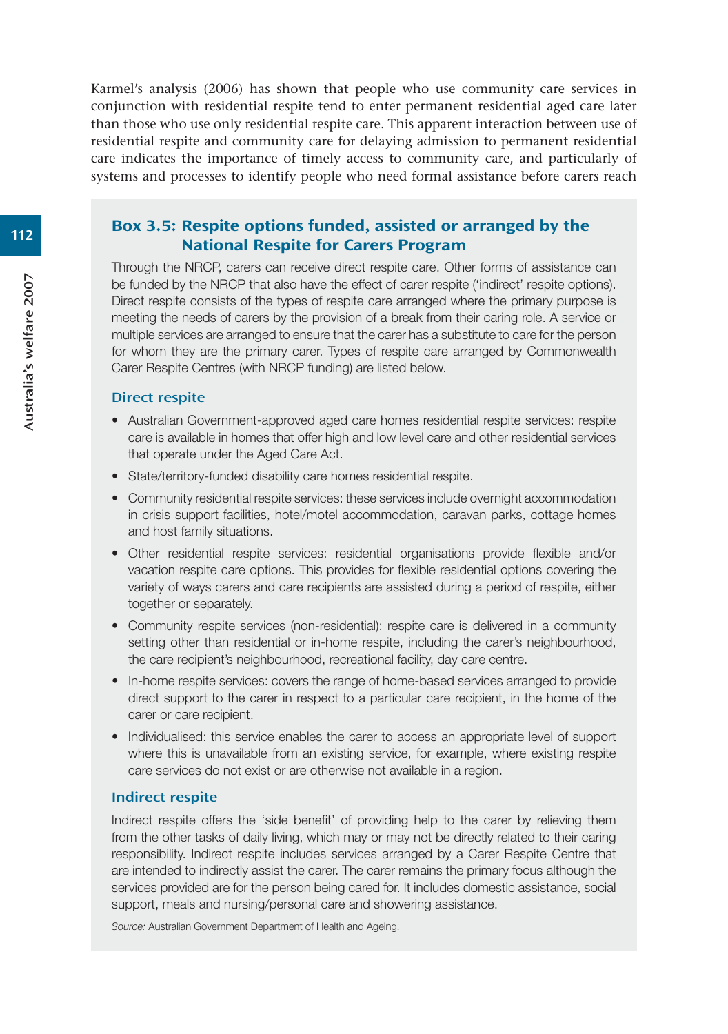Karmel's analysis (2006) has shown that people who use community care services in conjunction with residential respite tend to enter permanent residential aged care later than those who use only residential respite care. This apparent interaction between use of residential respite and community care for delaying admission to permanent residential care indicates the importance of timely access to community care, and particularly of systems and processes to identify people who need formal assistance before carers reach

#### Box 3.5: Respite options funded, assisted or arranged by the National Respite for Carers Program

Through the NRCP, carers can receive direct respite care. Other forms of assistance can be funded by the NRCP that also have the effect of carer respite ('indirect' respite options). Direct respite consists of the types of respite care arranged where the primary purpose is meeting the needs of carers by the provision of a break from their caring role. A service or multiple services are arranged to ensure that the carer has a substitute to care for the person for whom they are the primary carer. Types of respite care arranged by Commonwealth Carer Respite Centres (with NRCP funding) are listed below.

#### Direct respite

- Australian Government-approved aged care homes residential respite services: respite care is available in homes that offer high and low level care and other residential services that operate under the Aged Care Act.
- State/territory-funded disability care homes residential respite.
- Community residential respite services: these services include overnight accommodation in crisis support facilities, hotel/motel accommodation, caravan parks, cottage homes and host family situations.
- Other residential respite services: residential organisations provide flexible and/or vacation respite care options. This provides for flexible residential options covering the variety of ways carers and care recipients are assisted during a period of respite, either together or separately.
- Community respite services (non-residential): respite care is delivered in a community setting other than residential or in-home respite, including the carer's neighbourhood, the care recipient's neighbourhood, recreational facility, day care centre.
- In-home respite services: covers the range of home-based services arranged to provide direct support to the carer in respect to a particular care recipient, in the home of the carer or care recipient.
- Individualised: this service enables the carer to access an appropriate level of support where this is unavailable from an existing service, for example, where existing respite care services do not exist or are otherwise not available in a region.

#### Indirect respite

Indirect respite offers the 'side benefit' of providing help to the carer by relieving them from the other tasks of daily living, which may or may not be directly related to their caring responsibility. Indirect respite includes services arranged by a Carer Respite Centre that are intended to indirectly assist the carer. The carer remains the primary focus although the services provided are for the person being cared for. It includes domestic assistance, social support, meals and nursing/personal care and showering assistance.

*Source:* Australian Government Department of Health and Ageing.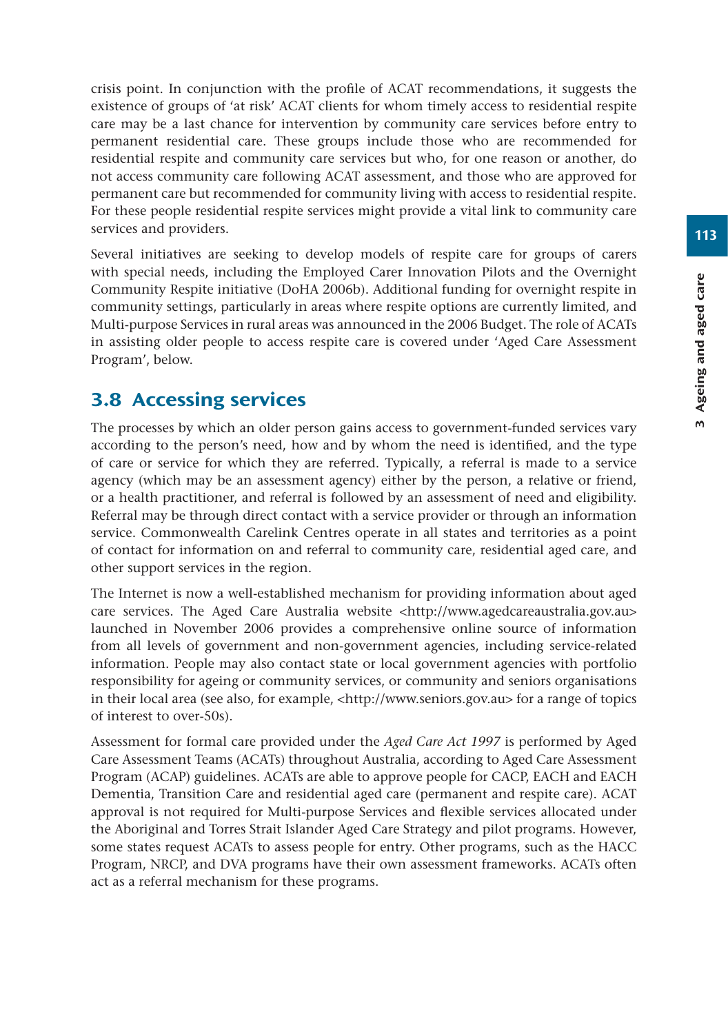crisis point. In conjunction with the profile of ACAT recommendations, it suggests the existence of groups of 'at risk' ACAT clients for whom timely access to residential respite care may be a last chance for intervention by community care services before entry to permanent residential care. These groups include those who are recommended for residential respite and community care services but who, for one reason or another, do not access community care following ACAT assessment, and those who are approved for permanent care but recommended for community living with access to residential respite. For these people residential respite services might provide a vital link to community care services and providers.

Several initiatives are seeking to develop models of respite care for groups of carers with special needs, including the Employed Carer Innovation Pilots and the Overnight Community Respite initiative (DoHA 2006b). Additional funding for overnight respite in community settings, particularly in areas where respite options are currently limited, and Multi-purpose Services in rural areas was announced in the 2006 Budget. The role of ACATs in assisting older people to access respite care is covered under 'Aged Care Assessment Program', below.

# 3.8 Accessing services

The processes by which an older person gains access to government-funded services vary according to the person's need, how and by whom the need is identified, and the type of care or service for which they are referred. Typically, a referral is made to a service agency (which may be an assessment agency) either by the person, a relative or friend, or a health practitioner, and referral is followed by an assessment of need and eligibility. Referral may be through direct contact with a service provider or through an information service. Commonwealth Carelink Centres operate in all states and territories as a point of contact for information on and referral to community care, residential aged care, and other support services in the region.

The Internet is now a well-established mechanism for providing information about aged care services. The Aged Care Australia website <http://www.agedcareaustralia.gov.au> launched in November 2006 provides a comprehensive online source of information from all levels of government and non-government agencies, including service-related information. People may also contact state or local government agencies with portfolio responsibility for ageing or community services, or community and seniors organisations in their local area (see also, for example, <http://www.seniors.gov.au> for a range of topics of interest to over-50s).

Assessment for formal care provided under the *Aged Care Act 1997* is performed by Aged Care Assessment Teams (ACATs) throughout Australia, according to Aged Care Assessment Program (ACAP) guidelines. ACATs are able to approve people for CACP, EACH and EACH Dementia, Transition Care and residential aged care (permanent and respite care). ACAT approval is not required for Multi-purpose Services and flexible services allocated under the Aboriginal and Torres Strait Islander Aged Care Strategy and pilot programs. However, some states request ACATs to assess people for entry. Other programs, such as the HACC Program, NRCP, and DVA programs have their own assessment frameworks. ACATs often act as a referral mechanism for these programs.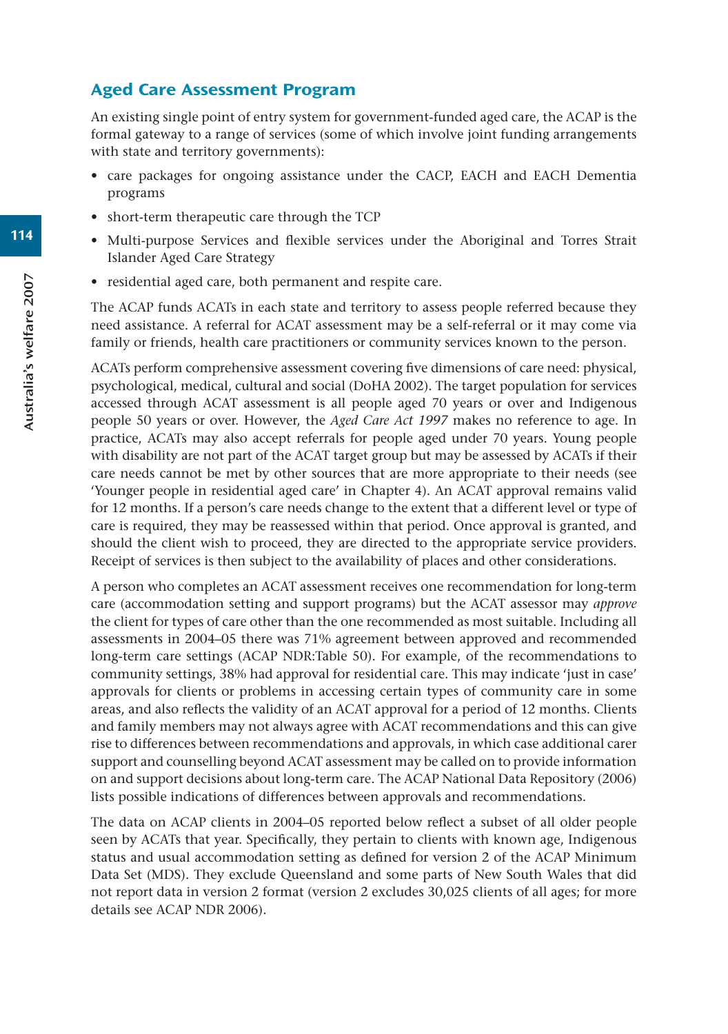### Aged Care Assessment Program

An existing single point of entry system for government-funded aged care, the ACAP is the formal gateway to a range of services (some of which involve joint funding arrangements with state and territory governments):

- care packages for ongoing assistance under the CACP, EACH and EACH Dementia programs
- short-term therapeutic care through the TCP
- Multi-purpose Services and flexible services under the Aboriginal and Torres Strait Islander Aged Care Strategy
- residential aged care, both permanent and respite care.

The ACAP funds ACATs in each state and territory to assess people referred because they need assistance. A referral for ACAT assessment may be a self-referral or it may come via family or friends, health care practitioners or community services known to the person.

ACATs perform comprehensive assessment covering five dimensions of care need: physical, psychological, medical, cultural and social (DoHA 2002). The target population for services accessed through ACAT assessment is all people aged 70 years or over and Indigenous people 50 years or over. However, the *Aged Care Act 1997* makes no reference to age. In practice, ACATs may also accept referrals for people aged under 70 years. Young people with disability are not part of the ACAT target group but may be assessed by ACATs if their care needs cannot be met by other sources that are more appropriate to their needs (see 'Younger people in residential aged care' in Chapter 4). An ACAT approval remains valid for 12 months. If a person's care needs change to the extent that a different level or type of care is required, they may be reassessed within that period. Once approval is granted, and should the client wish to proceed, they are directed to the appropriate service providers. Receipt of services is then subject to the availability of places and other considerations.

A person who completes an ACAT assessment receives one recommendation for long-term care (accommodation setting and support programs) but the ACAT assessor may *approve* the client for types of care other than the one recommended as most suitable. Including all assessments in 2004–05 there was 71% agreement between approved and recommended long-term care settings (ACAP NDR:Table 50). For example, of the recommendations to community settings, 38% had approval for residential care. This may indicate 'just in case' approvals for clients or problems in accessing certain types of community care in some areas, and also reflects the validity of an ACAT approval for a period of 12 months. Clients and family members may not always agree with ACAT recommendations and this can give rise to differences between recommendations and approvals, in which case additional carer support and counselling beyond ACAT assessment may be called on to provide information on and support decisions about long-term care. The ACAP National Data Repository (2006) lists possible indications of differences between approvals and recommendations.

The data on ACAP clients in 2004–05 reported below reflect a subset of all older people seen by ACATs that year. Specifically, they pertain to clients with known age, Indigenous status and usual accommodation setting as defined for version 2 of the ACAP Minimum Data Set (MDS). They exclude Queensland and some parts of New South Wales that did not report data in version 2 format (version 2 excludes 30,025 clients of all ages; for more details see ACAP NDR 2006).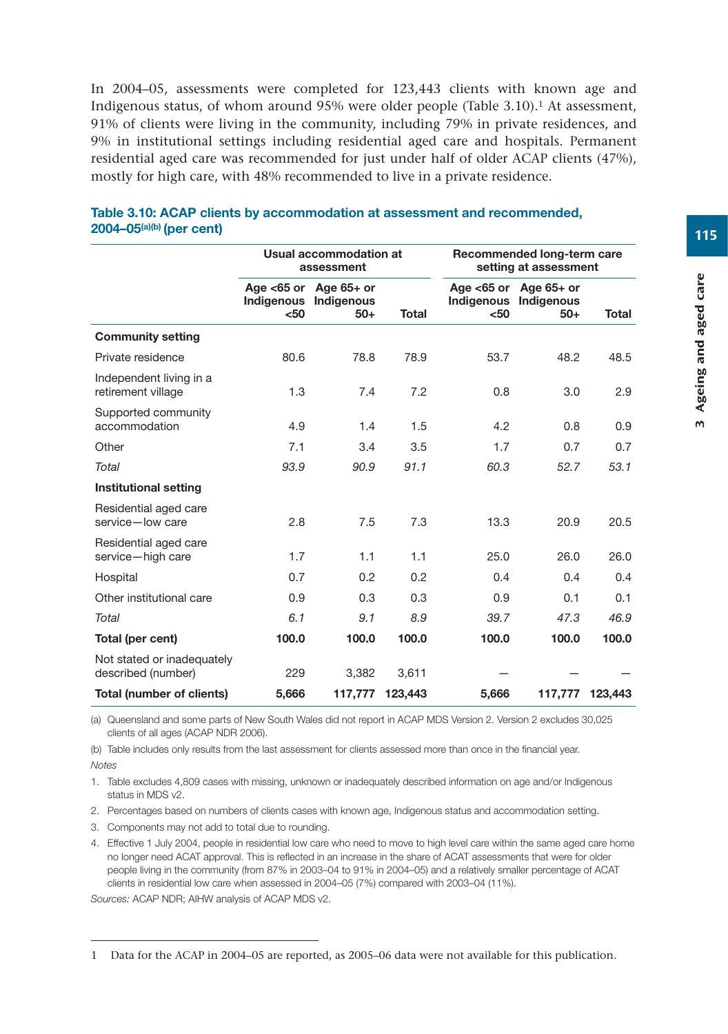In 2004–05, assessments were completed for 123,443 clients with known age and Indigenous status, of whom around 95% were older people (Table 3.10).1 At assessment, 91% of clients were living in the community, including 79% in private residences, and 9% in institutional settings including residential aged care and hospitals. Permanent residential aged care was recommended for just under half of older ACAP clients (47%), mostly for high care, with 48% recommended to live in a private residence.

|                                                  |       | Usual accommodation at<br>assessment                       |              | Recommended long-term care<br>setting at assessment |                                                            |              |  |
|--------------------------------------------------|-------|------------------------------------------------------------|--------------|-----------------------------------------------------|------------------------------------------------------------|--------------|--|
|                                                  | $50$  | Age $<$ 65 or Age 65+ or<br>Indigenous Indigenous<br>$50+$ | <b>Total</b> | $50$                                                | Age $<$ 65 or Age 65+ or<br>Indigenous Indigenous<br>$50+$ | <b>Total</b> |  |
| <b>Community setting</b>                         |       |                                                            |              |                                                     |                                                            |              |  |
| Private residence                                | 80.6  | 78.8                                                       | 78.9         | 53.7                                                | 48.2                                                       | 48.5         |  |
| Independent living in a<br>retirement village    | 1.3   | 7.4                                                        | 7.2          | 0.8                                                 | 3.0                                                        | 2.9          |  |
| Supported community<br>accommodation             | 4.9   | 1.4                                                        | 1.5          | 4.2                                                 | 0.8                                                        | 0.9          |  |
| Other                                            | 7.1   | 3.4                                                        | 3.5          | 1.7                                                 | 0.7                                                        | 0.7          |  |
| Total                                            | 93.9  | 90.9                                                       | 91.1         | 60.3                                                | 52.7                                                       | 53.1         |  |
| Institutional setting                            |       |                                                            |              |                                                     |                                                            |              |  |
| Residential aged care<br>service-low care        | 2.8   | 7.5                                                        | 7.3          | 13.3                                                | 20.9                                                       | 20.5         |  |
| Residential aged care<br>service-high care       | 1.7   | 1.1                                                        | 1.1          | 25.0                                                | 26.0                                                       | 26.0         |  |
| Hospital                                         | 0.7   | 0.2                                                        | 0.2          | 0.4                                                 | 0.4                                                        | 0.4          |  |
| Other institutional care                         | 0.9   | 0.3                                                        | 0.3          | 0.9                                                 | 0.1                                                        | 0.1          |  |
| Total                                            | 6.1   | 9.1                                                        | 8.9          | 39.7                                                | 47.3                                                       | 46.9         |  |
| Total (per cent)                                 | 100.0 | 100.0                                                      | 100.0        | 100.0                                               | 100.0                                                      | 100.0        |  |
| Not stated or inadequately<br>described (number) | 229   | 3,382                                                      | 3,611        |                                                     |                                                            |              |  |
| Total (number of clients)                        | 5,666 | 117,777                                                    | 123,443      | 5,666                                               | 117,777                                                    | 123,443      |  |

#### **Table 3.10: ACAP clients by accommodation at assessment and recommended, 2004–05(a)(b) (per cent)**

(a) Queensland and some parts of New South Wales did not report in ACAP MDS Version 2. Version 2 excludes 30,025 clients of all ages (ACAP NDR 2006).

(b) Table includes only results from the last assessment for clients assessed more than once in the financial year. *Notes*

1. Table excludes 4,809 cases with missing, unknown or inadequately described information on age and/or Indigenous status in MDS v2.

2. Percentages based on numbers of clients cases with known age, Indigenous status and accommodation setting.

3. Components may not add to total due to rounding.

4. Effective 1 July 2004, people in residential low care who need to move to high level care within the same aged care home no longer need ACAT approval. This is reflected in an increase in the share of ACAT assessments that were for older people living in the community (from 87% in 2003–04 to 91% in 2004–05) and a relatively smaller percentage of ACAT clients in residential low care when assessed in 2004–05 (7%) compared with 2003–04 (11%).

*Sources:* ACAP NDR; AIHW analysis of ACAP MDS v2.

<sup>1</sup> Data for the ACAP in 2004–05 are reported, as 2005–06 data were not available for this publication.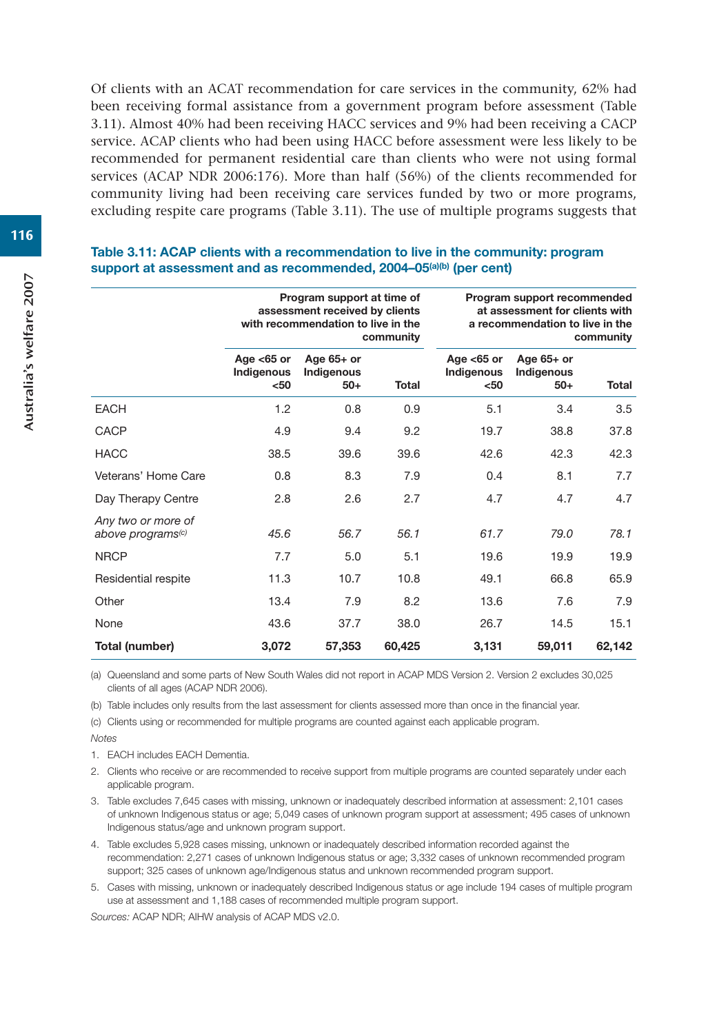Of clients with an ACAT recommendation for care services in the community, 62% had been receiving formal assistance from a government program before assessment (Table 3.11). Almost 40% had been receiving HACC services and 9% had been receiving a CACP service. ACAP clients who had been using HACC before assessment were less likely to be recommended for permanent residential care than clients who were not using formal services (ACAP NDR 2006:176). More than half (56%) of the clients recommended for community living had been receiving care services funded by two or more programs, excluding respite care programs (Table 3.11). The use of multiple programs suggests that

#### **Table 3.11: ACAP clients with a recommendation to live in the community: program**  support at assessment and as recommended, 2004–05<sup>(a)(b)</sup> (per cent)

|                                                     |                                     | Program support at time of<br>assessment received by clients<br>with recommendation to live in the | community    |                                     | Program support recommended<br>at assessment for clients with<br>a recommendation to live in the | community    |
|-----------------------------------------------------|-------------------------------------|----------------------------------------------------------------------------------------------------|--------------|-------------------------------------|--------------------------------------------------------------------------------------------------|--------------|
|                                                     | Age $<$ 65 or<br>Indigenous<br>$50$ | Age $65+$ or<br>Indigenous<br>$50+$                                                                | <b>Total</b> | Age $<$ 65 or<br>Indigenous<br>$50$ | Age $65+$ or<br>Indigenous<br>$50+$                                                              | <b>Total</b> |
| <b>EACH</b>                                         | 1.2                                 | 0.8                                                                                                | 0.9          | 5.1                                 | 3.4                                                                                              | 3.5          |
| CACP                                                | 4.9                                 | 9.4                                                                                                | 9.2          | 19.7                                | 38.8                                                                                             | 37.8         |
| <b>HACC</b>                                         | 38.5                                | 39.6                                                                                               | 39.6         | 42.6                                | 42.3                                                                                             | 42.3         |
| Veterans' Home Care                                 | 0.8                                 | 8.3                                                                                                | 7.9          | 0.4                                 | 8.1                                                                                              | 7.7          |
| Day Therapy Centre                                  | 2.8                                 | 2.6                                                                                                | 2.7          | 4.7                                 | 4.7                                                                                              | 4.7          |
| Any two or more of<br>above programs <sup>(c)</sup> | 45.6                                | 56.7                                                                                               | 56.1         | 61.7                                | 79.0                                                                                             | 78.1         |
| <b>NRCP</b>                                         | 7.7                                 | 5.0                                                                                                | 5.1          | 19.6                                | 19.9                                                                                             | 19.9         |
| Residential respite                                 | 11.3                                | 10.7                                                                                               | 10.8         | 49.1                                | 66.8                                                                                             | 65.9         |
| Other                                               | 13.4                                | 7.9                                                                                                | 8.2          | 13.6                                | 7.6                                                                                              | 7.9          |
| None                                                | 43.6                                | 37.7                                                                                               | 38.0         | 26.7                                | 14.5                                                                                             | 15.1         |
| Total (number)                                      | 3,072                               | 57,353                                                                                             | 60,425       | 3,131                               | 59,011                                                                                           | 62,142       |

(a) Queensland and some parts of New South Wales did not report in ACAP MDS Version 2. Version 2 excludes 30,025 clients of all ages (ACAP NDR 2006).

(b) Table includes only results from the last assessment for clients assessed more than once in the financial year.

(c) Clients using or recommended for multiple programs are counted against each applicable program.

*Notes*

1. EACH includes EACH Dementia.

2. Clients who receive or are recommended to receive support from multiple programs are counted separately under each applicable program.

3. Table excludes 7,645 cases with missing, unknown or inadequately described information at assessment: 2,101 cases of unknown Indigenous status or age; 5,049 cases of unknown program support at assessment; 495 cases of unknown Indigenous status/age and unknown program support.

4. Table excludes 5,928 cases missing, unknown or inadequately described information recorded against the recommendation: 2,271 cases of unknown Indigenous status or age; 3,332 cases of unknown recommended program support; 325 cases of unknown age/Indigenous status and unknown recommended program support.

5. Cases with missing, unknown or inadequately described Indigenous status or age include 194 cases of multiple program use at assessment and 1,188 cases of recommended multiple program support.

*Sources:* ACAP NDR; AIHW analysis of ACAP MDS v2.0.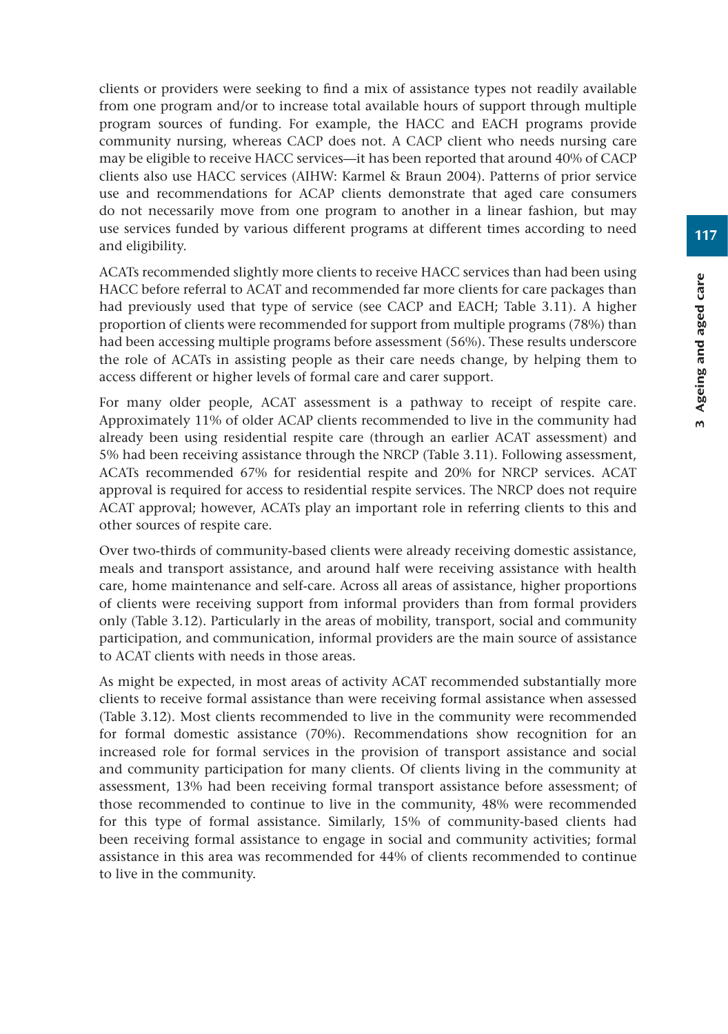clients or providers were seeking to find a mix of assistance types not readily available from one program and/or to increase total available hours of support through multiple program sources of funding. For example, the HACC and EACH programs provide community nursing, whereas CACP does not. A CACP client who needs nursing care may be eligible to receive HACC services—it has been reported that around 40% of CACP clients also use HACC services (AIHW: Karmel & Braun 2004). Patterns of prior service use and recommendations for ACAP clients demonstrate that aged care consumers do not necessarily move from one program to another in a linear fashion, but may use services funded by various different programs at different times according to need and eligibility.

ACATs recommended slightly more clients to receive HACC services than had been using HACC before referral to ACAT and recommended far more clients for care packages than had previously used that type of service (see CACP and EACH; Table 3.11). A higher proportion of clients were recommended for support from multiple programs (78%) than had been accessing multiple programs before assessment (56%). These results underscore the role of ACATs in assisting people as their care needs change, by helping them to access different or higher levels of formal care and carer support.

For many older people, ACAT assessment is a pathway to receipt of respite care. Approximately 11% of older ACAP clients recommended to live in the community had already been using residential respite care (through an earlier ACAT assessment) and 5% had been receiving assistance through the NRCP (Table 3.11). Following assessment, ACATs recommended 67% for residential respite and 20% for NRCP services. ACAT approval is required for access to residential respite services. The NRCP does not require ACAT approval; however, ACATs play an important role in referring clients to this and other sources of respite care.

Over two-thirds of community-based clients were already receiving domestic assistance, meals and transport assistance, and around half were receiving assistance with health care, home maintenance and self-care. Across all areas of assistance, higher proportions of clients were receiving support from informal providers than from formal providers only (Table 3.12). Particularly in the areas of mobility, transport, social and community participation, and communication, informal providers are the main source of assistance to ACAT clients with needs in those areas.

As might be expected, in most areas of activity ACAT recommended substantially more clients to receive formal assistance than were receiving formal assistance when assessed (Table 3.12). Most clients recommended to live in the community were recommended for formal domestic assistance (70%). Recommendations show recognition for an increased role for formal services in the provision of transport assistance and social and community participation for many clients. Of clients living in the community at assessment, 13% had been receiving formal transport assistance before assessment; of those recommended to continue to live in the community, 48% were recommended for this type of formal assistance. Similarly, 15% of community-based clients had been receiving formal assistance to engage in social and community activities; formal assistance in this area was recommended for 44% of clients recommended to continue to live in the community.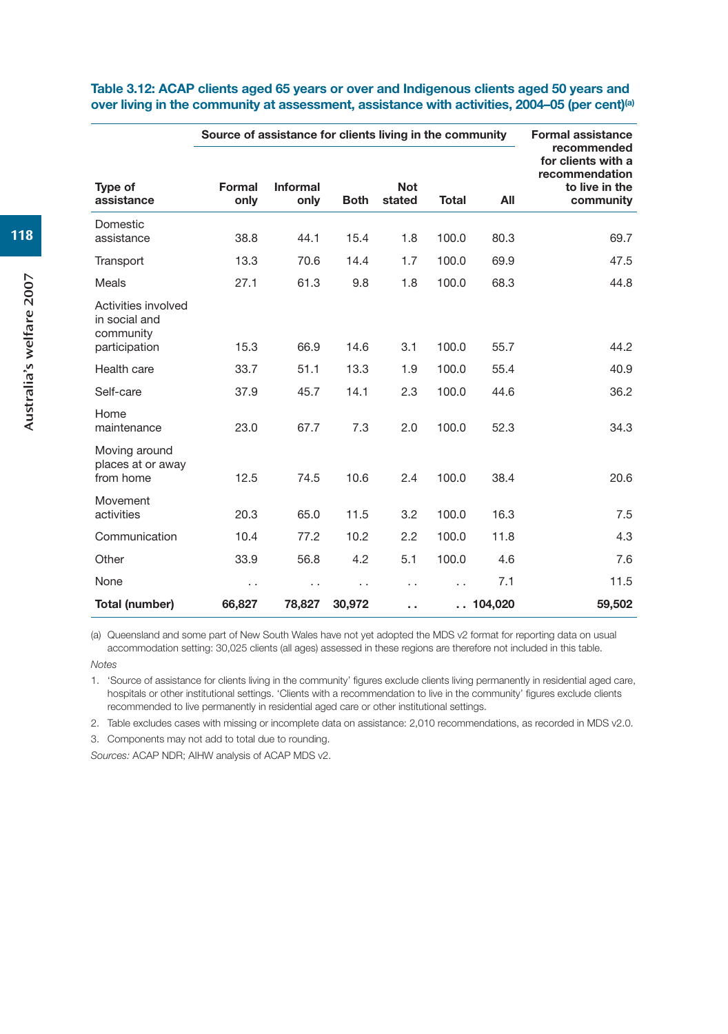|                                                   | Source of assistance for clients living in the community |                  |                      |                      |                      |         | <b>Formal assistance</b><br>recommended                             |
|---------------------------------------------------|----------------------------------------------------------|------------------|----------------------|----------------------|----------------------|---------|---------------------------------------------------------------------|
| Type of<br>assistance                             | Formal<br>only                                           | Informal<br>only | <b>Both</b>          | <b>Not</b><br>stated | <b>Total</b>         | All     | for clients with a<br>recommendation<br>to live in the<br>community |
| Domestic<br>assistance                            | 38.8                                                     | 44.1             | 15.4                 | 1.8                  | 100.0                | 80.3    | 69.7                                                                |
| Transport                                         | 13.3                                                     | 70.6             | 14.4                 | 1.7                  | 100.0                | 69.9    | 47.5                                                                |
| Meals                                             | 27.1                                                     | 61.3             | 9.8                  | 1.8                  | 100.0                | 68.3    | 44.8                                                                |
| Activities involved<br>in social and<br>community |                                                          |                  |                      |                      |                      |         |                                                                     |
| participation                                     | 15.3                                                     | 66.9             | 14.6                 | 3.1                  | 100.0                | 55.7    | 44.2                                                                |
| Health care                                       | 33.7                                                     | 51.1             | 13.3                 | 1.9                  | 100.0                | 55.4    | 40.9                                                                |
| Self-care                                         | 37.9                                                     | 45.7             | 14.1                 | 2.3                  | 100.0                | 44.6    | 36.2                                                                |
| Home<br>maintenance                               | 23.0                                                     | 67.7             | 7.3                  | 2.0                  | 100.0                | 52.3    | 34.3                                                                |
| Moving around<br>places at or away<br>from home   | 12.5                                                     | 74.5             | 10.6                 | 2.4                  | 100.0                | 38.4    | 20.6                                                                |
| Movement<br>activities                            | 20.3                                                     | 65.0             | 11.5                 | 3.2                  | 100.0                | 16.3    | 7.5                                                                 |
| Communication                                     | 10.4                                                     | 77.2             | 10.2                 | 2.2                  | 100.0                | 11.8    | 4.3                                                                 |
| Other                                             | 33.9                                                     | 56.8             | 4.2                  | 5.1                  | 100.0                | 4.6     | 7.6                                                                 |
| None                                              | . .                                                      | . .              | $\ddot{\phantom{0}}$ | $\cdot$ .            |                      | 7.1     | 11.5                                                                |
| Total (number)                                    | 66,827                                                   | 78,827           | 30,972               | Ω.                   | $\ddot{\phantom{0}}$ | 104,020 | 59,502                                                              |

#### **Table 3.12: ACAP clients aged 65 years or over and Indigenous clients aged 50 years and over living in the community at assessment, assistance with activities, 2004–05 (per cent)(a)**

(a) Queensland and some part of New South Wales have not yet adopted the MDS v2 format for reporting data on usual accommodation setting: 30,025 clients (all ages) assessed in these regions are therefore not included in this table.

*Notes*

1. 'Source of assistance for clients living in the community' figures exclude clients living permanently in residential aged care, hospitals or other institutional settings. 'Clients with a recommendation to live in the community' figures exclude clients recommended to live permanently in residential aged care or other institutional settings.

2. Table excludes cases with missing or incomplete data on assistance: 2,010 recommendations, as recorded in MDS v2.0.

3. Components may not add to total due to rounding.

*Sources:* ACAP NDR; AIHW analysis of ACAP MDS v2.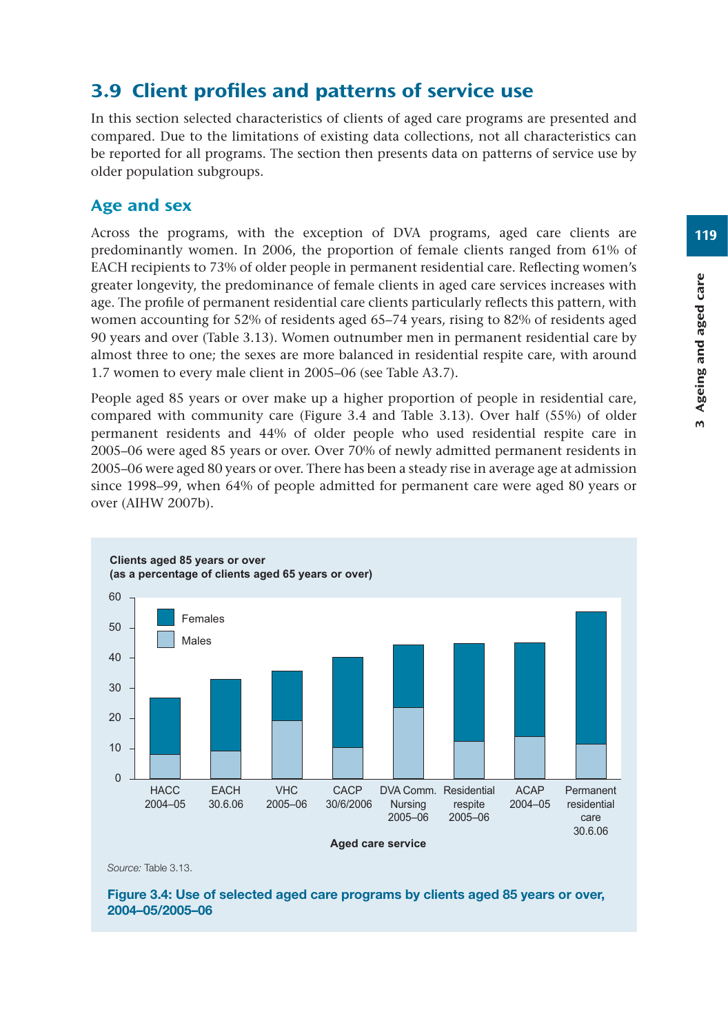# 3.9 Client profiles and patterns of service use

In this section selected characteristics of clients of aged care programs are presented and compared. Due to the limitations of existing data collections, not all characteristics can be reported for all programs. The section then presents data on patterns of service use by older population subgroups.

# Age and sex

Across the programs, with the exception of DVA programs, aged care clients are predominantly women. In 2006, the proportion of female clients ranged from 61% of EACH recipients to 73% of older people in permanent residential care. Reflecting women's greater longevity, the predominance of female clients in aged care services increases with age. The profile of permanent residential care clients particularly reflects this pattern, with women accounting for 52% of residents aged 65–74 years, rising to 82% of residents aged 90 years and over (Table 3.13). Women outnumber men in permanent residential care by almost three to one; the sexes are more balanced in residential respite care, with around 1.7 women to every male client in 2005–06 (see Table A3.7).

People aged 85 years or over make up a higher proportion of people in residential care, compared with community care (Figure 3.4 and Table 3.13). Over half (55%) of older permanent residents and 44% of older people who used residential respite care in 2005–06 were aged 85 years or over. Over 70% of newly admitted permanent residents in 2005–06 were aged 80 years or over. There has been a steady rise in average age at admission since 1998–99, when 64% of people admitted for permanent care were aged 80 years or over (AIHW 2007b).



*Source:* Table 3.13.

**Figure 3.4: Use of selected aged care programs by clients aged 85 years or over, 2004–05/2005–06**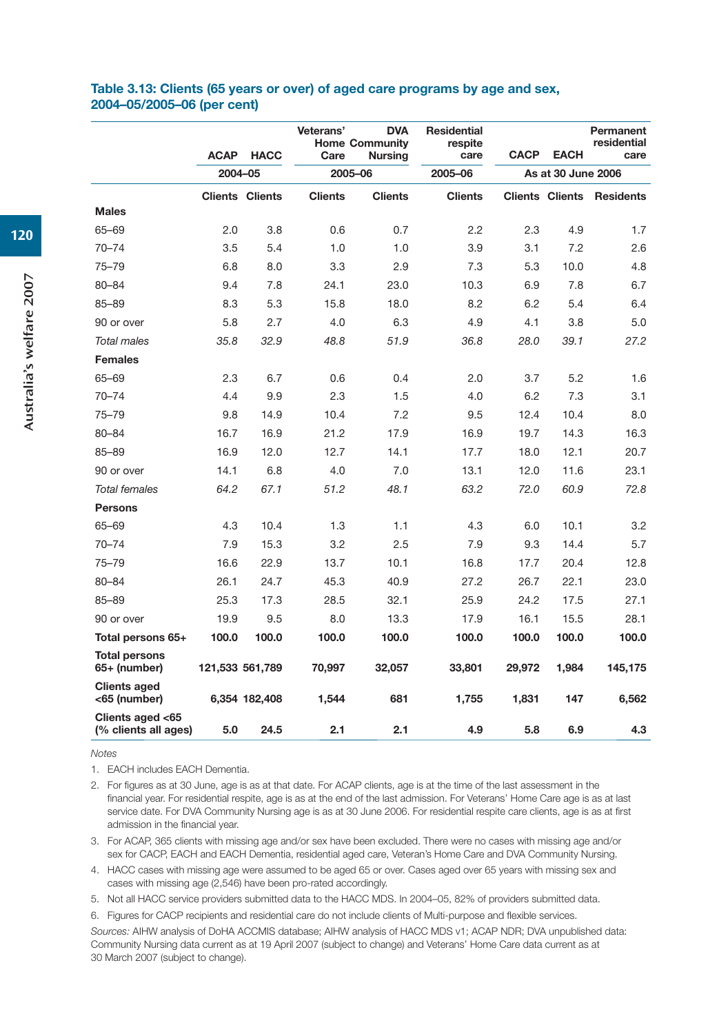#### **Table 3.13: Clients (65 years or over) of aged care programs by age and sex, 2004–05/2005–06 (per cent)**

|                                          | <b>ACAP</b> | <b>HACC</b>            | Veterans'<br><b>DVA</b><br><b>Home Community</b><br>Care<br><b>Nursing</b> |                | <b>Residential</b><br>respite<br>care | <b>CACP</b> | <b>EACH</b>        | Permanent<br>residential<br>care |
|------------------------------------------|-------------|------------------------|----------------------------------------------------------------------------|----------------|---------------------------------------|-------------|--------------------|----------------------------------|
|                                          | 2004-05     |                        |                                                                            | 2005-06        | 2005-06                               |             | As at 30 June 2006 |                                  |
|                                          |             | <b>Clients Clients</b> | <b>Clients</b>                                                             | <b>Clients</b> | <b>Clients</b>                        |             |                    | <b>Clients Clients Residents</b> |
| <b>Males</b>                             |             |                        |                                                                            |                |                                       |             |                    |                                  |
| 65-69                                    | 2.0         | 3.8                    | 0.6                                                                        | 0.7            | 2.2                                   | 2.3         | 4.9                | 1.7                              |
| $70 - 74$                                | 3.5         | 5.4                    | 1.0                                                                        | 1.0            | 3.9                                   | 3.1         | 7.2                | 2.6                              |
| $75 - 79$                                | 6.8         | 8.0                    | 3.3                                                                        | 2.9            | 7.3                                   | 5.3         | 10.0               | 4.8                              |
| $80 - 84$                                | 9.4         | 7.8                    | 24.1                                                                       | 23.0           | 10.3                                  | 6.9         | 7.8                | 6.7                              |
| $85 - 89$                                | 8.3         | 5.3                    | 15.8                                                                       | 18.0           | 8.2                                   | 6.2         | 5.4                | 6.4                              |
| 90 or over                               | 5.8         | 2.7                    | 4.0                                                                        | 6.3            | 4.9                                   | 4.1         | 3.8                | 5.0                              |
| <b>Total males</b>                       | 35.8        | 32.9                   | 48.8                                                                       | 51.9           | 36.8                                  | 28.0        | 39.1               | 27.2                             |
| <b>Females</b>                           |             |                        |                                                                            |                |                                       |             |                    |                                  |
| 65-69                                    | 2.3         | 6.7                    | 0.6                                                                        | 0.4            | 2.0                                   | 3.7         | 5.2                | 1.6                              |
| $70 - 74$                                | 4.4         | 9.9                    | 2.3                                                                        | 1.5            | 4.0                                   | 6.2         | 7.3                | 3.1                              |
| $75 - 79$                                | 9.8         | 14.9                   | 10.4                                                                       | 7.2            | 9.5                                   | 12.4        | 10.4               | 8.0                              |
| $80 - 84$                                | 16.7        | 16.9                   | 21.2                                                                       | 17.9           | 16.9                                  | 19.7        | 14.3               | 16.3                             |
| $85 - 89$                                | 16.9        | 12.0                   | 12.7                                                                       | 14.1           | 17.7                                  | 18.0        | 12.1               | 20.7                             |
| 90 or over                               | 14.1        | 6.8                    | 4.0                                                                        | 7.0            | 13.1                                  | 12.0        | 11.6               | 23.1                             |
| <b>Total females</b>                     | 64.2        | 67.1                   | 51.2                                                                       | 48.1           | 63.2                                  | 72.0        | 60.9               | 72.8                             |
| <b>Persons</b>                           |             |                        |                                                                            |                |                                       |             |                    |                                  |
| 65-69                                    | 4.3         | 10.4                   | 1.3                                                                        | 1.1            | 4.3                                   | 6.0         | 10.1               | 3.2                              |
| $70 - 74$                                | 7.9         | 15.3                   | 3.2                                                                        | 2.5            | 7.9                                   | 9.3         | 14.4               | 5.7                              |
| $75 - 79$                                | 16.6        | 22.9                   | 13.7                                                                       | 10.1           | 16.8                                  | 17.7        | 20.4               | 12.8                             |
| $80 - 84$                                | 26.1        | 24.7                   | 45.3                                                                       | 40.9           | 27.2                                  | 26.7        | 22.1               | 23.0                             |
| $85 - 89$                                | 25.3        | 17.3                   | 28.5                                                                       | 32.1           | 25.9                                  | 24.2        | 17.5               | 27.1                             |
| 90 or over                               | 19.9        | 9.5                    | 8.0                                                                        | 13.3           | 17.9                                  | 16.1        | 15.5               | 28.1                             |
| Total persons 65+                        | 100.0       | 100.0                  | 100.0                                                                      | 100.0          | 100.0                                 | 100.0       | 100.0              | 100.0                            |
| <b>Total persons</b><br>65+ (number)     |             | 121,533 561,789        | 70,997                                                                     | 32,057         | 33,801                                | 29,972      | 1,984              | 145,175                          |
| <b>Clients aged</b><br><65 (number)      |             | 6,354 182,408          | 1,544                                                                      | 681            | 1,755                                 | 1,831       | 147                | 6,562                            |
| Clients aged <65<br>(% clients all ages) | 5.0         | 24.5                   | 2.1                                                                        | 2.1            | 4.9                                   | 5.8         | 6.9                | 4.3                              |

*Notes*

1. EACH includes EACH Dementia.

2. For figures as at 30 June, age is as at that date. For ACAP clients, age is at the time of the last assessment in the financial year. For residential respite, age is as at the end of the last admission. For Veterans' Home Care age is as at last service date. For DVA Community Nursing age is as at 30 June 2006. For residential respite care clients, age is as at first admission in the financial year.

3. For ACAP, 365 clients with missing age and/or sex have been excluded. There were no cases with missing age and/or sex for CACP, EACH and EACH Dementia, residential aged care, Veteran's Home Care and DVA Community Nursing.

4. HACC cases with missing age were assumed to be aged 65 or over. Cases aged over 65 years with missing sex and cases with missing age (2,546) have been pro-rated accordingly.

5. Not all HACC service providers submitted data to the HACC MDS. In 2004–05, 82% of providers submitted data.

6. Figures for CACP recipients and residential care do not include clients of Multi-purpose and flexible services.

*Sources:* AIHW analysis of DoHA ACCMIS database; AIHW analysis of HACC MDS v1; ACAP NDR; DVA unpublished data: Community Nursing data current as at 19 April 2007 (subject to change) and Veterans' Home Care data current as at 30 March 2007 (subject to change).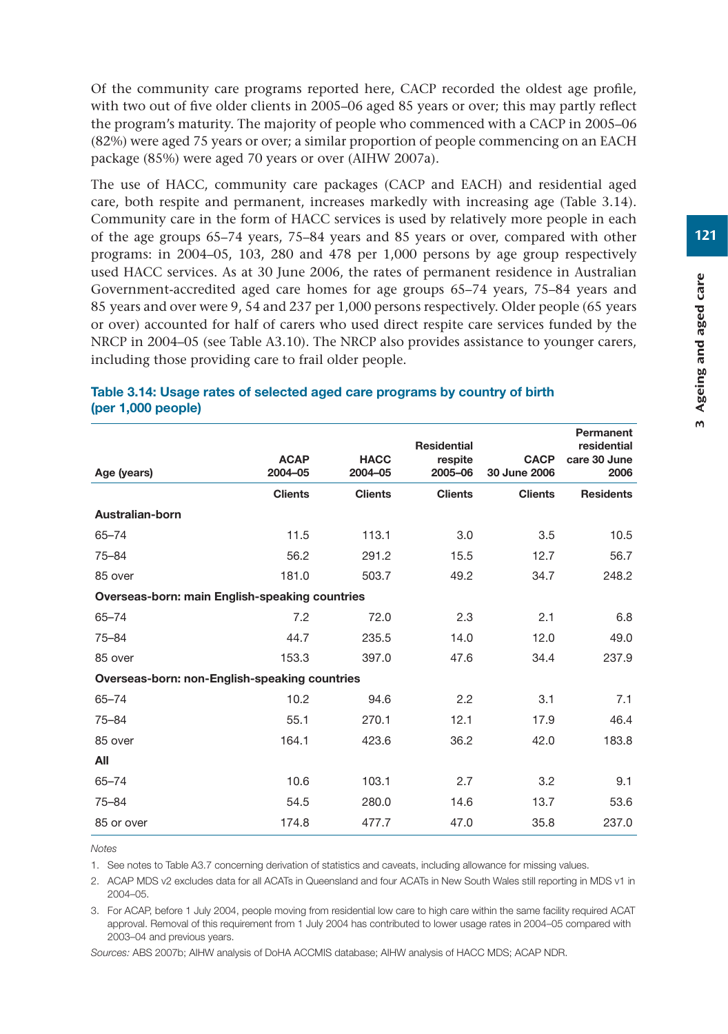Of the community care programs reported here, CACP recorded the oldest age profile, with two out of five older clients in 2005–06 aged 85 years or over; this may partly reflect the program's maturity. The majority of people who commenced with a CACP in 2005–06 (82%) were aged 75 years or over; a similar proportion of people commencing on an EACH package (85%) were aged 70 years or over (AIHW 2007a).

The use of HACC, community care packages (CACP and EACH) and residential aged care, both respite and permanent, increases markedly with increasing age (Table 3.14). Community care in the form of HACC services is used by relatively more people in each of the age groups 65–74 years, 75–84 years and 85 years or over, compared with other programs: in 2004–05, 103, 280 and 478 per 1,000 persons by age group respectively used HACC services. As at 30 June 2006, the rates of permanent residence in Australian Government-accredited aged care homes for age groups 65–74 years, 75–84 years and 85 years and over were 9, 54 and 237 per 1,000 persons respectively. Older people (65 years or over) accounted for half of carers who used direct respite care services funded by the NRCP in 2004–05 (see Table A3.10). The NRCP also provides assistance to younger carers, including those providing care to frail older people.

|                                                       | <b>ACAP</b>    | <b>HACC</b>    | <b>Residential</b><br>respite | <b>CACP</b>    | Permanent<br>residential<br>care 30 June |  |  |  |  |  |
|-------------------------------------------------------|----------------|----------------|-------------------------------|----------------|------------------------------------------|--|--|--|--|--|
| Age (years)                                           | 2004-05        | 2004-05        | 2005-06                       | 30 June 2006   | 2006                                     |  |  |  |  |  |
|                                                       | <b>Clients</b> | <b>Clients</b> | <b>Clients</b>                | <b>Clients</b> | <b>Residents</b>                         |  |  |  |  |  |
| Australian-born                                       |                |                |                               |                |                                          |  |  |  |  |  |
| $65 - 74$                                             | 11.5           | 113.1          | 3.0                           | 3.5            | 10.5                                     |  |  |  |  |  |
| $75 - 84$                                             | 56.2           | 291.2          | 15.5                          | 12.7           | 56.7                                     |  |  |  |  |  |
| 85 over                                               | 181.0          | 503.7          | 49.2                          | 34.7           | 248.2                                    |  |  |  |  |  |
| <b>Overseas-born: main English-speaking countries</b> |                |                |                               |                |                                          |  |  |  |  |  |
| $65 - 74$                                             | 7.2            | 72.0           | 2.3                           | 2.1            | 6.8                                      |  |  |  |  |  |
| $75 - 84$                                             | 44.7           | 235.5          | 14.0                          | 12.0           | 49.0                                     |  |  |  |  |  |
| 85 over                                               | 153.3          | 397.0          | 47.6                          | 34.4           | 237.9                                    |  |  |  |  |  |
| Overseas-born: non-English-speaking countries         |                |                |                               |                |                                          |  |  |  |  |  |
| $65 - 74$                                             | 10.2           | 94.6           | 2.2                           | 3.1            | 7.1                                      |  |  |  |  |  |
| $75 - 84$                                             | 55.1           | 270.1          | 12.1                          | 17.9           | 46.4                                     |  |  |  |  |  |
| 85 over                                               | 164.1          | 423.6          | 36.2                          | 42.0           | 183.8                                    |  |  |  |  |  |
| All                                                   |                |                |                               |                |                                          |  |  |  |  |  |
| $65 - 74$                                             | 10.6           | 103.1          | 2.7                           | 3.2            | 9.1                                      |  |  |  |  |  |
| $75 - 84$                                             | 54.5           | 280.0          | 14.6                          | 13.7           | 53.6                                     |  |  |  |  |  |
| 85 or over                                            | 174.8          | 477.7          | 47.0                          | 35.8           | 237.0                                    |  |  |  |  |  |

#### **Table 3.14: Usage rates of selected aged care programs by country of birth (per 1,000 people)**

*Notes* 

1. See notes to Table A3.7 concerning derivation of statistics and caveats, including allowance for missing values.

2. ACAP MDS v2 excludes data for all ACATs in Queensland and four ACATs in New South Wales still reporting in MDS v1 in 2004–05.

3. For ACAP, before 1 July 2004, people moving from residential low care to high care within the same facility required ACAT approval. Removal of this requirement from 1 July 2004 has contributed to lower usage rates in 2004–05 compared with 2003–04 and previous years.

*Sources:* ABS 2007b; AIHW analysis of DoHA ACCMIS database; AIHW analysis of HACC MDS; ACAP NDR.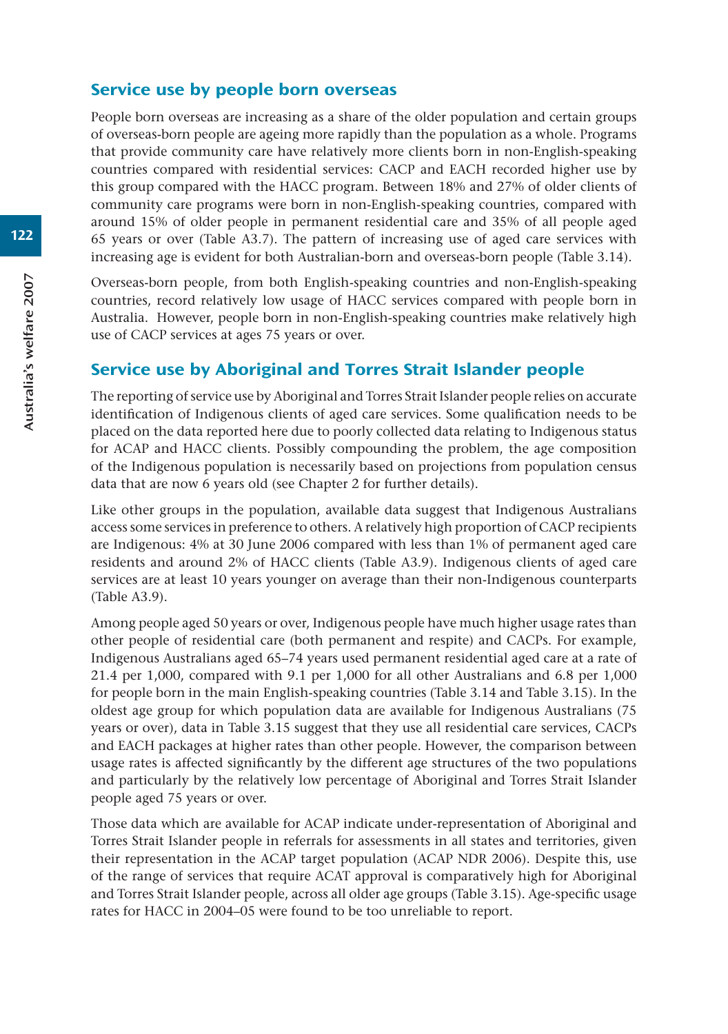## Service use by people born overseas

People born overseas are increasing as a share of the older population and certain groups of overseas-born people are ageing more rapidly than the population as a whole. Programs that provide community care have relatively more clients born in non-English-speaking countries compared with residential services: CACP and EACH recorded higher use by this group compared with the HACC program. Between 18% and 27% of older clients of community care programs were born in non-English-speaking countries, compared with around 15% of older people in permanent residential care and 35% of all people aged 65 years or over (Table A3.7). The pattern of increasing use of aged care services with increasing age is evident for both Australian-born and overseas-born people (Table 3.14).

Overseas-born people, from both English-speaking countries and non-English-speaking countries, record relatively low usage of HACC services compared with people born in Australia. However, people born in non-English-speaking countries make relatively high use of CACP services at ages 75 years or over.

## Service use by Aboriginal and Torres Strait Islander people

The reporting of service use by Aboriginal and Torres Strait Islander people relies on accurate identification of Indigenous clients of aged care services. Some qualification needs to be placed on the data reported here due to poorly collected data relating to Indigenous status for ACAP and HACC clients. Possibly compounding the problem, the age composition of the Indigenous population is necessarily based on projections from population census data that are now 6 years old (see Chapter 2 for further details).

Like other groups in the population, available data suggest that Indigenous Australians access some services in preference to others. A relatively high proportion of CACP recipients are Indigenous: 4% at 30 June 2006 compared with less than 1% of permanent aged care residents and around 2% of HACC clients (Table A3.9). Indigenous clients of aged care services are at least 10 years younger on average than their non-Indigenous counterparts (Table A3.9).

Among people aged 50 years or over, Indigenous people have much higher usage rates than other people of residential care (both permanent and respite) and CACPs. For example, Indigenous Australians aged 65–74 years used permanent residential aged care at a rate of 21.4 per 1,000, compared with 9.1 per 1,000 for all other Australians and 6.8 per 1,000 for people born in the main English-speaking countries (Table 3.14 and Table 3.15). In the oldest age group for which population data are available for Indigenous Australians (75 years or over), data in Table 3.15 suggest that they use all residential care services, CACPs and EACH packages at higher rates than other people. However, the comparison between usage rates is affected significantly by the different age structures of the two populations and particularly by the relatively low percentage of Aboriginal and Torres Strait Islander people aged 75 years or over.

Those data which are available for ACAP indicate under-representation of Aboriginal and Torres Strait Islander people in referrals for assessments in all states and territories, given their representation in the ACAP target population (ACAP NDR 2006). Despite this, use of the range of services that require ACAT approval is comparatively high for Aboriginal and Torres Strait Islander people, across all older age groups (Table 3.15). Age-specific usage rates for HACC in 2004–05 were found to be too unreliable to report.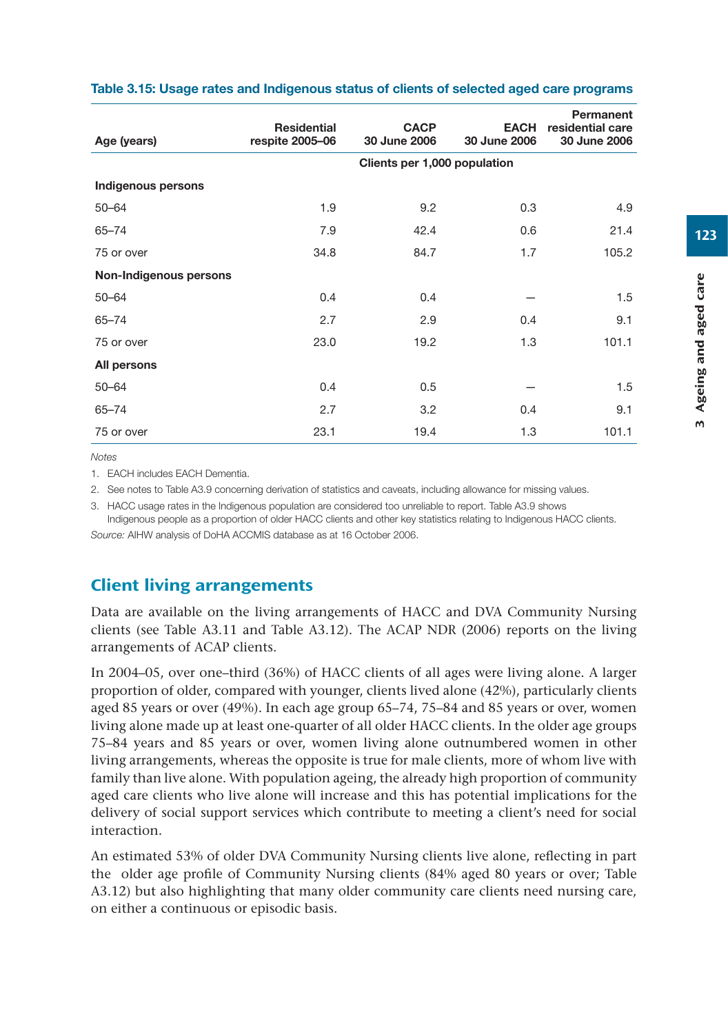| Age (years)            | <b>Residential</b><br>respite 2005-06 | <b>CACP</b><br>30 June 2006 | <b>EACH</b><br>30 June 2006 | Permanent<br>residential care<br>30 June 2006 |  |  |  |  |  |  |
|------------------------|---------------------------------------|-----------------------------|-----------------------------|-----------------------------------------------|--|--|--|--|--|--|
|                        | Clients per 1,000 population          |                             |                             |                                               |  |  |  |  |  |  |
| Indigenous persons     |                                       |                             |                             |                                               |  |  |  |  |  |  |
| $50 - 64$              | 1.9                                   | 9.2                         | 0.3                         | 4.9                                           |  |  |  |  |  |  |
| $65 - 74$              | 7.9                                   | 42.4                        | 0.6                         | 21.4                                          |  |  |  |  |  |  |
| 75 or over             | 34.8                                  | 84.7                        | 1.7                         | 105.2                                         |  |  |  |  |  |  |
| Non-Indigenous persons |                                       |                             |                             |                                               |  |  |  |  |  |  |
| $50 - 64$              | 0.4                                   | 0.4                         |                             | 1.5                                           |  |  |  |  |  |  |
| $65 - 74$              | 2.7                                   | 2.9                         | 0.4                         | 9.1                                           |  |  |  |  |  |  |
| 75 or over             | 23.0                                  | 19.2                        | 1.3                         | 101.1                                         |  |  |  |  |  |  |
| All persons            |                                       |                             |                             |                                               |  |  |  |  |  |  |
| $50 - 64$              | 0.4                                   | 0.5                         |                             | 1.5                                           |  |  |  |  |  |  |
| $65 - 74$              | 2.7                                   | 3.2                         | 0.4                         | 9.1                                           |  |  |  |  |  |  |
| 75 or over             | 23.1                                  | 19.4                        | 1.3                         | 101.1                                         |  |  |  |  |  |  |

#### **Table 3.15: Usage rates and Indigenous status of clients of selected aged care programs**

*Notes*

1. EACH includes EACH Dementia.

2. See notes to Table A3.9 concerning derivation of statistics and caveats, including allowance for missing values.

3. HACC usage rates in the Indigenous population are considered too unreliable to report. Table A3.9 shows

Indigenous people as a proportion of older HACC clients and other key statistics relating to Indigenous HACC clients. *Source:* AIHW analysis of DoHA ACCMIS database as at 16 October 2006.

## Client living arrangements

Data are available on the living arrangements of HACC and DVA Community Nursing clients (see Table A3.11 and Table A3.12). The ACAP NDR (2006) reports on the living arrangements of ACAP clients.

In 2004–05, over one–third (36%) of HACC clients of all ages were living alone. A larger proportion of older, compared with younger, clients lived alone (42%), particularly clients aged 85 years or over (49%). In each age group 65–74, 75–84 and 85 years or over, women living alone made up at least one-quarter of all older HACC clients. In the older age groups 75–84 years and 85 years or over, women living alone outnumbered women in other living arrangements, whereas the opposite is true for male clients, more of whom live with family than live alone. With population ageing, the already high proportion of community aged care clients who live alone will increase and this has potential implications for the delivery of social support services which contribute to meeting a client's need for social interaction.

An estimated 53% of older DVA Community Nursing clients live alone, reflecting in part the older age profile of Community Nursing clients (84% aged 80 years or over; Table A3.12) but also highlighting that many older community care clients need nursing care, on either a continuous or episodic basis.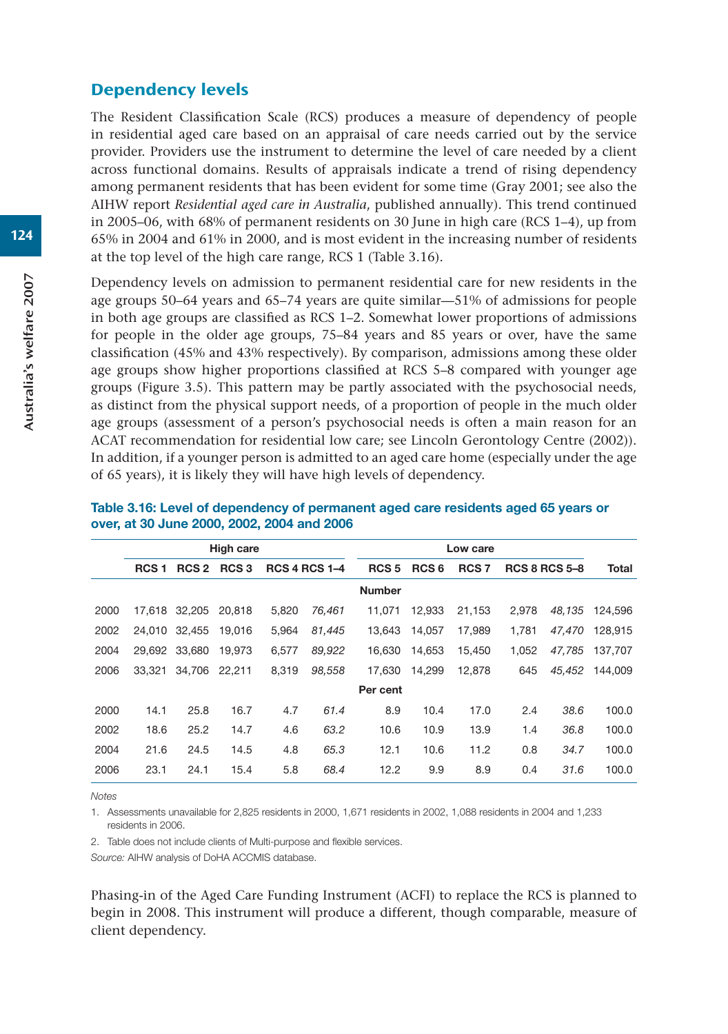#### Dependency levels

The Resident Classification Scale (RCS) produces a measure of dependency of people in residential aged care based on an appraisal of care needs carried out by the service provider. Providers use the instrument to determine the level of care needed by a client across functional domains. Results of appraisals indicate a trend of rising dependency among permanent residents that has been evident for some time (Gray 2001; see also the AIHW report *Residential aged care in Australia*, published annually). This trend continued in 2005–06, with 68% of permanent residents on 30 June in high care (RCS 1–4), up from 65% in 2004 and 61% in 2000, and is most evident in the increasing number of residents at the top level of the high care range, RCS 1 (Table 3.16).

Dependency levels on admission to permanent residential care for new residents in the age groups 50–64 years and 65–74 years are quite similar—51% of admissions for people in both age groups are classified as RCS 1–2. Somewhat lower proportions of admissions for people in the older age groups, 75–84 years and 85 years or over, have the same classification (45% and 43% respectively). By comparison, admissions among these older age groups show higher proportions classified at RCS 5–8 compared with younger age groups (Figure 3.5). This pattern may be partly associated with the psychosocial needs, as distinct from the physical support needs, of a proportion of people in the much older age groups (assessment of a person's psychosocial needs is often a main reason for an ACAT recommendation for residential low care; see Lincoln Gerontology Centre (2002)). In addition, if a younger person is admitted to an aged care home (especially under the age of 65 years), it is likely they will have high levels of dependency.

|      | <b>High care</b> |                  |                  |       |                      | Low care         |                  |                  |       |                      |              |
|------|------------------|------------------|------------------|-------|----------------------|------------------|------------------|------------------|-------|----------------------|--------------|
|      | RCS <sub>1</sub> | RCS <sub>2</sub> | RCS <sub>3</sub> |       | <b>RCS 4 RCS 1-4</b> | RCS <sub>5</sub> | RCS <sub>6</sub> | RCS <sub>7</sub> |       | <b>RCS 8 RCS 5-8</b> | <b>Total</b> |
|      |                  |                  |                  |       |                      | <b>Number</b>    |                  |                  |       |                      |              |
| 2000 | 17.618           | 32,205           | 20.818           | 5,820 | 76,461               | 11.071           | 12.933           | 21,153           | 2,978 | 48.135               | 124.596      |
| 2002 | 24.010           | 32.455           | 19.016           | 5.964 | 81.445               | 13.643           | 14.057           | 17.989           | 1.781 | 47.470               | 128.915      |
| 2004 | 29.692           | 33.680           | 19.973           | 6.577 | 89,922               | 16.630           | 14.653           | 15.450           | 1.052 | 47.785               | 137.707      |
| 2006 | 33.321           | 34.706           | 22.211           | 8.319 | 98,558               | 17.630           | 14.299           | 12.878           | 645   | 45.452               | 144,009      |
|      |                  |                  |                  |       |                      | Per cent         |                  |                  |       |                      |              |
| 2000 | 14.1             | 25.8             | 16.7             | 4.7   | 61.4                 | 8.9              | 10.4             | 17.0             | 2.4   | 38.6                 | 100.0        |
| 2002 | 18.6             | 25.2             | 14.7             | 4.6   | 63.2                 | 10.6             | 10.9             | 13.9             | 1.4   | 36.8                 | 100.0        |
| 2004 | 21.6             | 24.5             | 14.5             | 4.8   | 65.3                 | 12.1             | 10.6             | 11.2             | 0.8   | 34.7                 | 100.0        |
| 2006 | 23.1             | 24.1             | 15.4             | 5.8   | 68.4                 | 12.2             | 9.9              | 8.9              | 0.4   | 31.6                 | 100.0        |
|      |                  |                  |                  |       |                      |                  |                  |                  |       |                      |              |

#### **Table 3.16: Level of dependency of permanent aged care residents aged 65 years or over, at 30 June 2000, 2002, 2004 and 2006**

*Notes*

1. Assessments unavailable for 2,825 residents in 2000, 1,671 residents in 2002, 1,088 residents in 2004 and 1,233 residents in 2006.

2. Table does not include clients of Multi-purpose and flexible services.

*Source:* AIHW analysis of DoHA ACCMIS database.

Phasing-in of the Aged Care Funding Instrument (ACFI) to replace the RCS is planned to begin in 2008. This instrument will produce a different, though comparable, measure of client dependency.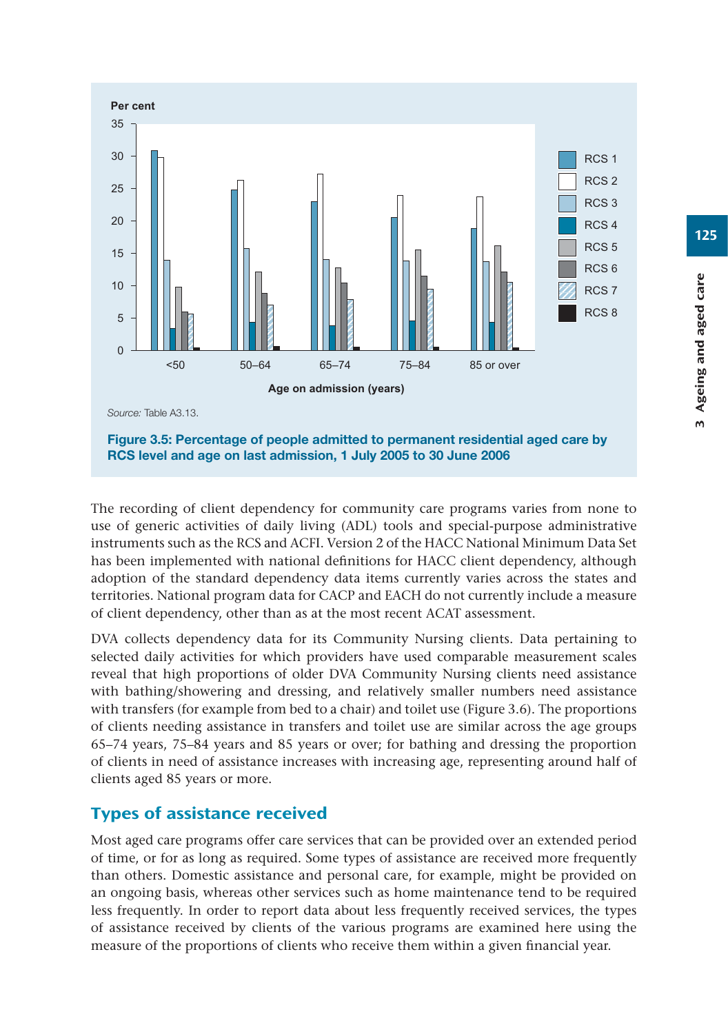

The recording of client dependency for community care programs varies from none to use of generic activities of daily living (ADL) tools and special-purpose administrative instruments such as the RCS and ACFI. Version 2 of the HACC National Minimum Data Set has been implemented with national definitions for HACC client dependency, although adoption of the standard dependency data items currently varies across the states and territories. National program data for CACP and EACH do not currently include a measure of client dependency, other than as at the most recent ACAT assessment.

DVA collects dependency data for its Community Nursing clients. Data pertaining to selected daily activities for which providers have used comparable measurement scales reveal that high proportions of older DVA Community Nursing clients need assistance with bathing/showering and dressing, and relatively smaller numbers need assistance with transfers (for example from bed to a chair) and toilet use (Figure 3.6). The proportions of clients needing assistance in transfers and toilet use are similar across the age groups 65–74 years, 75–84 years and 85 years or over; for bathing and dressing the proportion of clients in need of assistance increases with increasing age, representing around half of clients aged 85 years or more.

# Types of assistance received

Most aged care programs offer care services that can be provided over an extended period of time, or for as long as required. Some types of assistance are received more frequently than others. Domestic assistance and personal care, for example, might be provided on an ongoing basis, whereas other services such as home maintenance tend to be required less frequently. In order to report data about less frequently received services, the types of assistance received by clients of the various programs are examined here using the measure of the proportions of clients who receive them within a given financial year.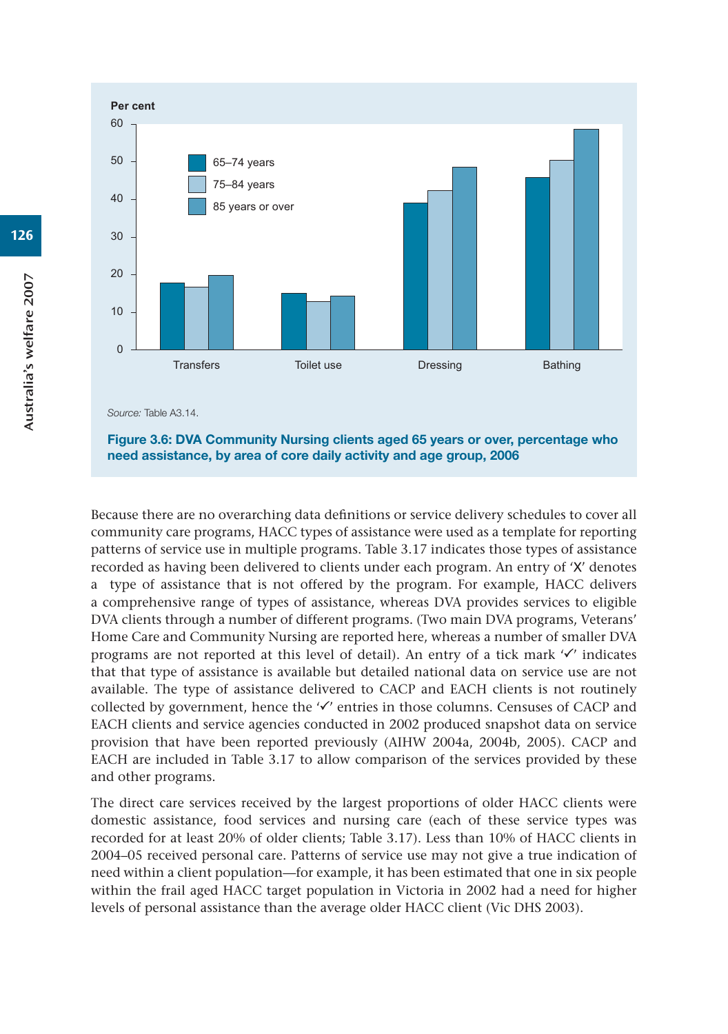

*Source:* Table A3.14.

**Figure 3.6: DVA Community Nursing clients aged 65 years or over, percentage who need assistance, by area of core daily activity and age group, 2006**

Because there are no overarching data definitions or service delivery schedules to cover all community care programs, HACC types of assistance were used as a template for reporting patterns of service use in multiple programs. Table 3.17 indicates those types of assistance recorded as having been delivered to clients under each program. An entry of 'X' denotes a type of assistance that is not offered by the program. For example, HACC delivers a comprehensive range of types of assistance, whereas DVA provides services to eligible DVA clients through a number of different programs. (Two main DVA programs, Veterans' Home Care and Community Nursing are reported here, whereas a number of smaller DVA programs are not reported at this level of detail). An entry of a tick mark  $\checkmark$  indicates that that type of assistance is available but detailed national data on service use are not available. The type of assistance delivered to CACP and EACH clients is not routinely collected by government, hence the  $\checkmark$  entries in those columns. Censuses of CACP and EACH clients and service agencies conducted in 2002 produced snapshot data on service provision that have been reported previously (AIHW 2004a, 2004b, 2005). CACP and EACH are included in Table 3.17 to allow comparison of the services provided by these and other programs.

The direct care services received by the largest proportions of older HACC clients were domestic assistance, food services and nursing care (each of these service types was recorded for at least 20% of older clients; Table 3.17). Less than 10% of HACC clients in 2004–05 received personal care. Patterns of service use may not give a true indication of need within a client population—for example, it has been estimated that one in six people within the frail aged HACC target population in Victoria in 2002 had a need for higher levels of personal assistance than the average older HACC client (Vic DHS 2003).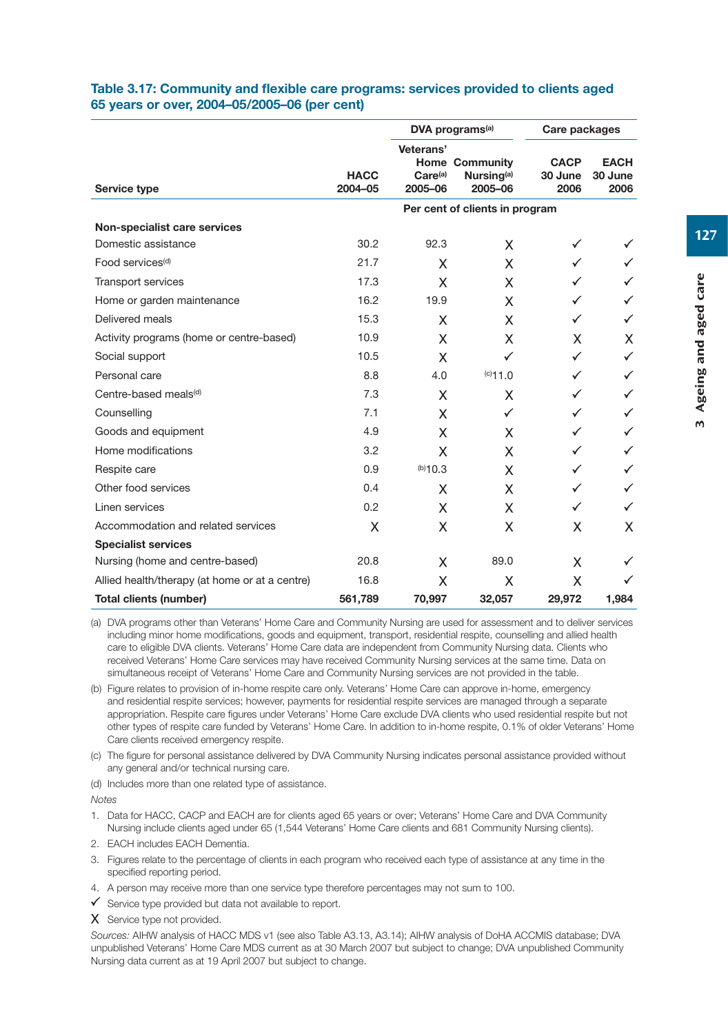| Table 3.17: Community and flexible care programs: services provided to clients aged |  |
|-------------------------------------------------------------------------------------|--|
| 65 years or over, 2004–05/2005–06 (per cent)                                        |  |

|                                                |                        |                                             | DVA programs <sup>(a)</sup>                                | Care packages                  |                                |  |
|------------------------------------------------|------------------------|---------------------------------------------|------------------------------------------------------------|--------------------------------|--------------------------------|--|
| Service type                                   | <b>HACC</b><br>2004-05 | Veterans'<br>Care <sup>(a)</sup><br>2005-06 | <b>Home Community</b><br>Nursing <sup>(a)</sup><br>2005-06 | <b>CACP</b><br>30 June<br>2006 | <b>EACH</b><br>30 June<br>2006 |  |
|                                                |                        |                                             | Per cent of clients in program                             |                                |                                |  |
| Non-specialist care services                   |                        |                                             |                                                            |                                |                                |  |
| Domestic assistance                            | 30.2                   | 92.3                                        | X                                                          | ✓                              |                                |  |
| Food services <sup>(d)</sup>                   | 21.7                   | X                                           | X                                                          | ✓                              |                                |  |
| <b>Transport services</b>                      | 17.3                   | X                                           | X                                                          | ✓                              | ✓                              |  |
| Home or garden maintenance                     | 16.2                   | 19.9                                        | X                                                          | ✓                              | ✓                              |  |
| Delivered meals                                | 15.3                   | X                                           | X                                                          | ✓                              | ✓                              |  |
| Activity programs (home or centre-based)       | 10.9                   | X                                           | X                                                          | X                              | X                              |  |
| Social support                                 | 10.5                   | X                                           | ✓                                                          | ✓                              | ✓                              |  |
| Personal care                                  | 8.8                    | 4.0                                         | (c)11.0                                                    | ✓                              | $\checkmark$                   |  |
| Centre-based meals <sup>(d)</sup>              | 7.3                    | Χ                                           | Χ                                                          | ✓                              | ✓                              |  |
| Counselling                                    | 7.1                    | X                                           | ✓                                                          | ✓                              | ✓                              |  |
| Goods and equipment                            | 4.9                    | X                                           | X                                                          | ✓                              | ✓                              |  |
| Home modifications                             | 3.2                    | X                                           | X                                                          | ✓                              | ✓                              |  |
| Respite care                                   | 0.9                    | (b)10.3                                     | X                                                          | ✓                              | ✓                              |  |
| Other food services                            | 0.4                    | Χ                                           | Χ                                                          | ✓                              | ✓                              |  |
| Linen services                                 | 0.2                    | X                                           | X                                                          | ✓                              | ✓                              |  |
| Accommodation and related services             | X                      | X                                           | X                                                          | X                              | X                              |  |
| <b>Specialist services</b>                     |                        |                                             |                                                            |                                |                                |  |
| Nursing (home and centre-based)                | 20.8                   | X                                           | 89.0                                                       | X                              | ✓                              |  |
| Allied health/therapy (at home or at a centre) | 16.8                   | Χ                                           | Χ                                                          | X                              |                                |  |
| Total clients (number)                         | 561,789                | 70,997                                      | 32,057                                                     | 29,972                         | 1,984                          |  |

(a) DVA programs other than Veterans' Home Care and Community Nursing are used for assessment and to deliver services including minor home modifications, goods and equipment, transport, residential respite, counselling and allied health care to eligible DVA clients. Veterans' Home Care data are independent from Community Nursing data. Clients who received Veterans' Home Care services may have received Community Nursing services at the same time. Data on simultaneous receipt of Veterans' Home Care and Community Nursing services are not provided in the table.

- (b) Figure relates to provision of in-home respite care only. Veterans' Home Care can approve in-home, emergency and residential respite services; however, payments for residential respite services are managed through a separate appropriation. Respite care figures under Veterans' Home Care exclude DVA clients who used residential respite but not other types of respite care funded by Veterans' Home Care. In addition to in-home respite, 0.1% of older Veterans' Home Care clients received emergency respite.
- (c) The figure for personal assistance delivered by DVA Community Nursing indicates personal assistance provided without any general and/or technical nursing care.
- (d) Includes more than one related type of assistance.

*Notes* 

- 1. Data for HACC, CACP and EACH are for clients aged 65 years or over; Veterans' Home Care and DVA Community Nursing include clients aged under 65 (1,544 Veterans' Home Care clients and 681 Community Nursing clients).
- 2. EACH includes EACH Dementia.
- 3. Figures relate to the percentage of clients in each program who received each type of assistance at any time in the specified reporting period.
- 4. A person may receive more than one service type therefore percentages may not sum to 100.
- $\checkmark$  Service type provided but data not available to report.
- X Service type not provided.

*Sources:* AIHW analysis of HACC MDS v1 (see also Table A3.13, A3.14); AIHW analysis of DoHA ACCMIS database; DVA unpublished Veterans' Home Care MDS current as at 30 March 2007 but subject to change; DVA unpublished Community Nursing data current as at 19 April 2007 but subject to change.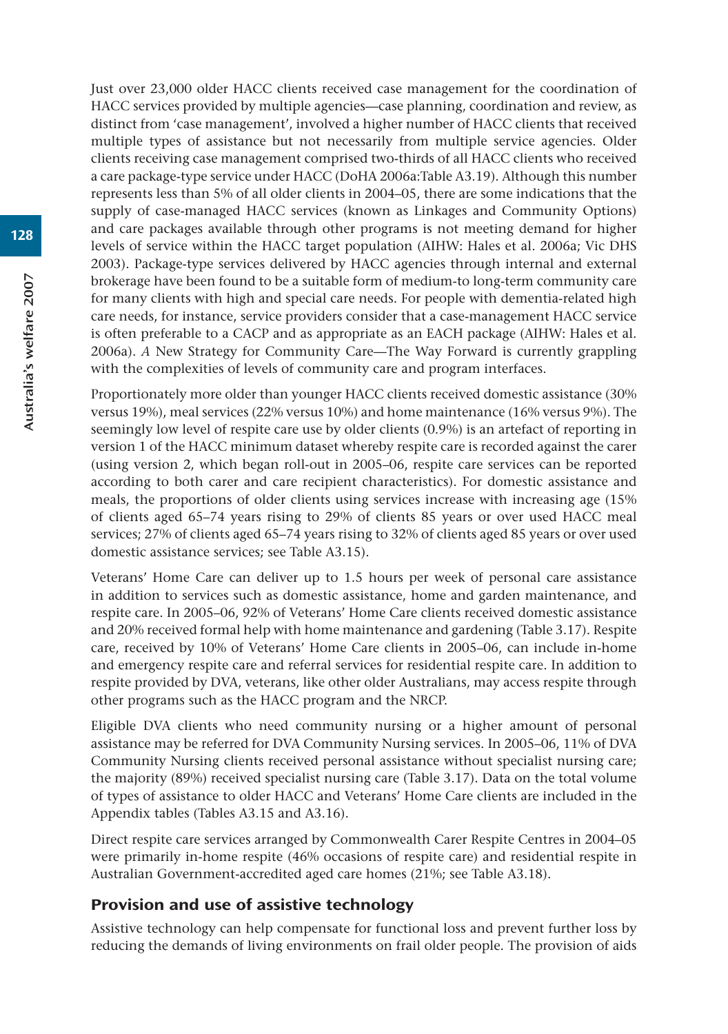Just over 23,000 older HACC clients received case management for the coordination of HACC services provided by multiple agencies—case planning, coordination and review, as distinct from 'case management', involved a higher number of HACC clients that received multiple types of assistance but not necessarily from multiple service agencies. Older clients receiving case management comprised two-thirds of all HACC clients who received a care package-type service under HACC (DoHA 2006a:Table A3.19). Although this number represents less than 5% of all older clients in 2004–05, there are some indications that the supply of case-managed HACC services (known as Linkages and Community Options) and care packages available through other programs is not meeting demand for higher levels of service within the HACC target population (AIHW: Hales et al. 2006a; Vic DHS 2003). Package-type services delivered by HACC agencies through internal and external brokerage have been found to be a suitable form of medium-to long-term community care for many clients with high and special care needs. For people with dementia-related high care needs, for instance, service providers consider that a case-management HACC service is often preferable to a CACP and as appropriate as an EACH package (AIHW: Hales et al. 2006a). *A* New Strategy for Community Care—The Way Forward is currently grappling with the complexities of levels of community care and program interfaces.

Proportionately more older than younger HACC clients received domestic assistance (30% versus 19%), meal services (22% versus 10%) and home maintenance (16% versus 9%). The seemingly low level of respite care use by older clients (0.9%) is an artefact of reporting in version 1 of the HACC minimum dataset whereby respite care is recorded against the carer (using version 2, which began roll-out in 2005–06, respite care services can be reported according to both carer and care recipient characteristics). For domestic assistance and meals, the proportions of older clients using services increase with increasing age (15% of clients aged 65–74 years rising to 29% of clients 85 years or over used HACC meal services; 27% of clients aged 65–74 years rising to 32% of clients aged 85 years or over used domestic assistance services; see Table A3.15).

Veterans' Home Care can deliver up to 1.5 hours per week of personal care assistance in addition to services such as domestic assistance, home and garden maintenance, and respite care. In 2005–06, 92% of Veterans' Home Care clients received domestic assistance and 20% received formal help with home maintenance and gardening (Table 3.17). Respite care, received by 10% of Veterans' Home Care clients in 2005–06, can include in-home and emergency respite care and referral services for residential respite care. In addition to respite provided by DVA, veterans, like other older Australians, may access respite through other programs such as the HACC program and the NRCP.

Eligible DVA clients who need community nursing or a higher amount of personal assistance may be referred for DVA Community Nursing services. In 2005–06, 11% of DVA Community Nursing clients received personal assistance without specialist nursing care; the majority (89%) received specialist nursing care (Table 3.17). Data on the total volume of types of assistance to older HACC and Veterans' Home Care clients are included in the Appendix tables (Tables A3.15 and A3.16).

Direct respite care services arranged by Commonwealth Carer Respite Centres in 2004–05 were primarily in-home respite (46% occasions of respite care) and residential respite in Australian Government-accredited aged care homes (21%; see Table A3.18).

# Provision and use of assistive technology

Assistive technology can help compensate for functional loss and prevent further loss by reducing the demands of living environments on frail older people. The provision of aids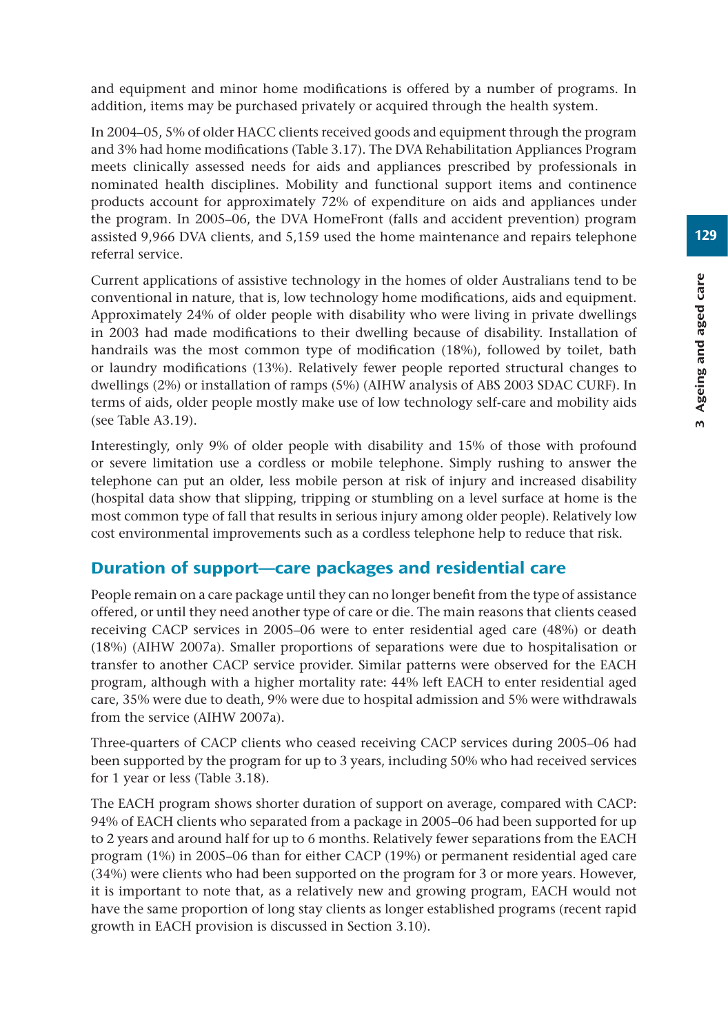and equipment and minor home modifications is offered by a number of programs. In addition, items may be purchased privately or acquired through the health system.

In 2004–05, 5% of older HACC clients received goods and equipment through the program and 3% had home modifications (Table 3.17). The DVA Rehabilitation Appliances Program meets clinically assessed needs for aids and appliances prescribed by professionals in nominated health disciplines. Mobility and functional support items and continence products account for approximately 72% of expenditure on aids and appliances under the program. In 2005–06, the DVA HomeFront (falls and accident prevention) program assisted 9,966 DVA clients, and 5,159 used the home maintenance and repairs telephone referral service.

Current applications of assistive technology in the homes of older Australians tend to be conventional in nature, that is, low technology home modifications, aids and equipment. Approximately 24% of older people with disability who were living in private dwellings in 2003 had made modifications to their dwelling because of disability. Installation of handrails was the most common type of modification (18%), followed by toilet, bath or laundry modifications (13%). Relatively fewer people reported structural changes to dwellings (2%) or installation of ramps (5%) (AIHW analysis of ABS 2003 SDAC CURF). In terms of aids, older people mostly make use of low technology self-care and mobility aids (see Table A3.19).

Interestingly, only 9% of older people with disability and 15% of those with profound or severe limitation use a cordless or mobile telephone. Simply rushing to answer the telephone can put an older, less mobile person at risk of injury and increased disability (hospital data show that slipping, tripping or stumbling on a level surface at home is the most common type of fall that results in serious injury among older people). Relatively low cost environmental improvements such as a cordless telephone help to reduce that risk.

# Duration of support—care packages and residential care

People remain on a care package until they can no longer benefit from the type of assistance offered, or until they need another type of care or die. The main reasons that clients ceased receiving CACP services in 2005–06 were to enter residential aged care (48%) or death (18%) (AIHW 2007a). Smaller proportions of separations were due to hospitalisation or transfer to another CACP service provider. Similar patterns were observed for the EACH program, although with a higher mortality rate: 44% left EACH to enter residential aged care, 35% were due to death, 9% were due to hospital admission and 5% were withdrawals from the service (AIHW 2007a).

Three-quarters of CACP clients who ceased receiving CACP services during 2005–06 had been supported by the program for up to 3 years, including 50% who had received services for 1 year or less (Table 3.18).

The EACH program shows shorter duration of support on average, compared with CACP: 94% of EACH clients who separated from a package in 2005–06 had been supported for up to 2 years and around half for up to 6 months. Relatively fewer separations from the EACH program (1%) in 2005–06 than for either CACP (19%) or permanent residential aged care (34%) were clients who had been supported on the program for 3 or more years. However, it is important to note that, as a relatively new and growing program, EACH would not have the same proportion of long stay clients as longer established programs (recent rapid growth in EACH provision is discussed in Section 3.10).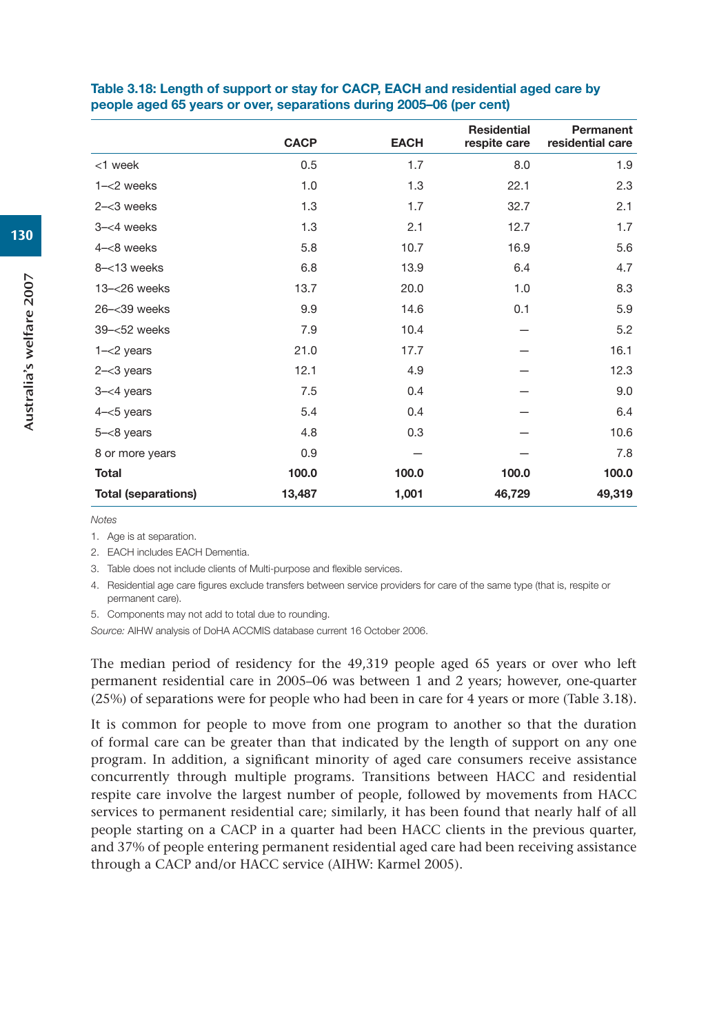|                            | <b>CACP</b> | <b>EACH</b> | <b>Residential</b><br>respite care | Permanent<br>residential care |
|----------------------------|-------------|-------------|------------------------------------|-------------------------------|
| <1 week                    | 0.5         | 1.7         | 8.0                                | 1.9                           |
| $1 - < 2$ weeks            | 1.0         | 1.3         | 22.1                               | 2.3                           |
| $2 - < 3$ weeks            | 1.3         | 1.7         | 32.7                               | 2.1                           |
| $3 - < 4$ weeks            | 1.3         | 2.1         | 12.7                               | 1.7                           |
| $4 - < 8$ weeks            | 5.8         | 10.7        | 16.9                               | 5.6                           |
| $8 - 13$ weeks             | 6.8         | 13.9        | 6.4                                | 4.7                           |
| $13 - < 26$ weeks          | 13.7        | 20.0        | 1.0                                | 8.3                           |
| 26-<39 weeks               | 9.9         | 14.6        | 0.1                                | 5.9                           |
| 39-<52 weeks               | 7.9         | 10.4        |                                    | 5.2                           |
| $1 - < 2$ years            | 21.0        | 17.7        |                                    | 16.1                          |
| $2 - < 3$ years            | 12.1        | 4.9         |                                    | 12.3                          |
| $3 - < 4$ years            | 7.5         | 0.4         |                                    | 9.0                           |
| $4 - 5$ years              | 5.4         | 0.4         |                                    | 6.4                           |
| $5 - < 8$ years            | 4.8         | 0.3         |                                    | 10.6                          |
| 8 or more years            | 0.9         |             |                                    | 7.8                           |
| <b>Total</b>               | 100.0       | 100.0       | 100.0                              | 100.0                         |
| <b>Total (separations)</b> | 13,487      | 1,001       | 46,729                             | 49,319                        |

#### **Table 3.18: Length of support or stay for CACP, EACH and residential aged care by people aged 65 years or over, separations during 2005–06 (per cent)**

*Notes*

1. Age is at separation.

2. EACH includes EACH Dementia.

3. Table does not include clients of Multi-purpose and flexible services.

4. Residential age care figures exclude transfers between service providers for care of the same type (that is, respite or permanent care).

5. Components may not add to total due to rounding.

*Source:* AIHW analysis of DoHA ACCMIS database current 16 October 2006.

The median period of residency for the 49,319 people aged 65 years or over who left permanent residential care in 2005–06 was between 1 and 2 years; however, one-quarter (25%) of separations were for people who had been in care for 4 years or more (Table 3.18).

It is common for people to move from one program to another so that the duration of formal care can be greater than that indicated by the length of support on any one program. In addition, a significant minority of aged care consumers receive assistance concurrently through multiple programs. Transitions between HACC and residential respite care involve the largest number of people, followed by movements from HACC services to permanent residential care; similarly, it has been found that nearly half of all people starting on a CACP in a quarter had been HACC clients in the previous quarter, and 37% of people entering permanent residential aged care had been receiving assistance through a CACP and/or HACC service (AIHW: Karmel 2005).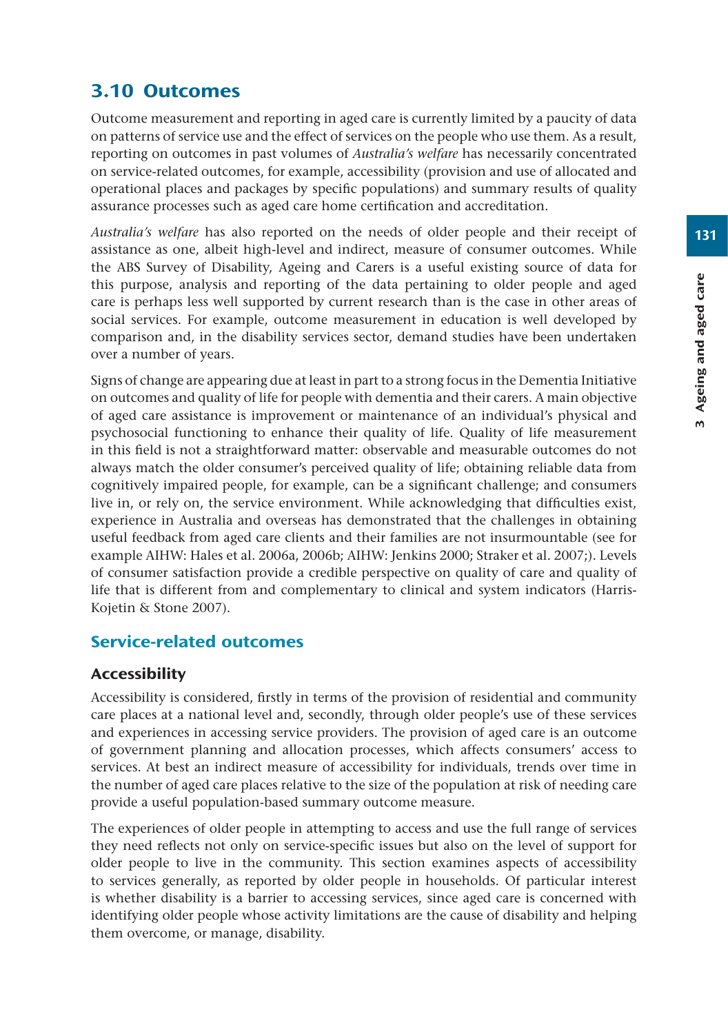# 3.10 Outcomes

Outcome measurement and reporting in aged care is currently limited by a paucity of data on patterns of service use and the effect of services on the people who use them. As a result, reporting on outcomes in past volumes of *Australia's welfare* has necessarily concentrated on service-related outcomes, for example, accessibility (provision and use of allocated and operational places and packages by specific populations) and summary results of quality assurance processes such as aged care home certification and accreditation.

*Australia's welfare* has also reported on the needs of older people and their receipt of assistance as one, albeit high-level and indirect, measure of consumer outcomes. While the ABS Survey of Disability, Ageing and Carers is a useful existing source of data for this purpose, analysis and reporting of the data pertaining to older people and aged care is perhaps less well supported by current research than is the case in other areas of social services. For example, outcome measurement in education is well developed by comparison and, in the disability services sector, demand studies have been undertaken over a number of years.

Signs of change are appearing due at least in part to a strong focus in the Dementia Initiative on outcomes and quality of life for people with dementia and their carers. A main objective of aged care assistance is improvement or maintenance of an individual's physical and psychosocial functioning to enhance their quality of life. Quality of life measurement in this field is not a straightforward matter: observable and measurable outcomes do not always match the older consumer's perceived quality of life; obtaining reliable data from cognitively impaired people, for example, can be a significant challenge; and consumers live in, or rely on, the service environment. While acknowledging that difficulties exist, experience in Australia and overseas has demonstrated that the challenges in obtaining useful feedback from aged care clients and their families are not insurmountable (see for example AIHW: Hales et al. 2006a, 2006b; AIHW: Jenkins 2000; Straker et al. 2007;). Levels of consumer satisfaction provide a credible perspective on quality of care and quality of life that is different from and complementary to clinical and system indicators (Harris-Kojetin & Stone 2007).

## Service-related outcomes

## Accessibility

Accessibility is considered, firstly in terms of the provision of residential and community care places at a national level and, secondly, through older people's use of these services and experiences in accessing service providers. The provision of aged care is an outcome of government planning and allocation processes, which affects consumers' access to services. At best an indirect measure of accessibility for individuals, trends over time in the number of aged care places relative to the size of the population at risk of needing care provide a useful population-based summary outcome measure.

The experiences of older people in attempting to access and use the full range of services they need reflects not only on service-specific issues but also on the level of support for older people to live in the community. This section examines aspects of accessibility to services generally, as reported by older people in households. Of particular interest is whether disability is a barrier to accessing services, since aged care is concerned with identifying older people whose activity limitations are the cause of disability and helping them overcome, or manage, disability.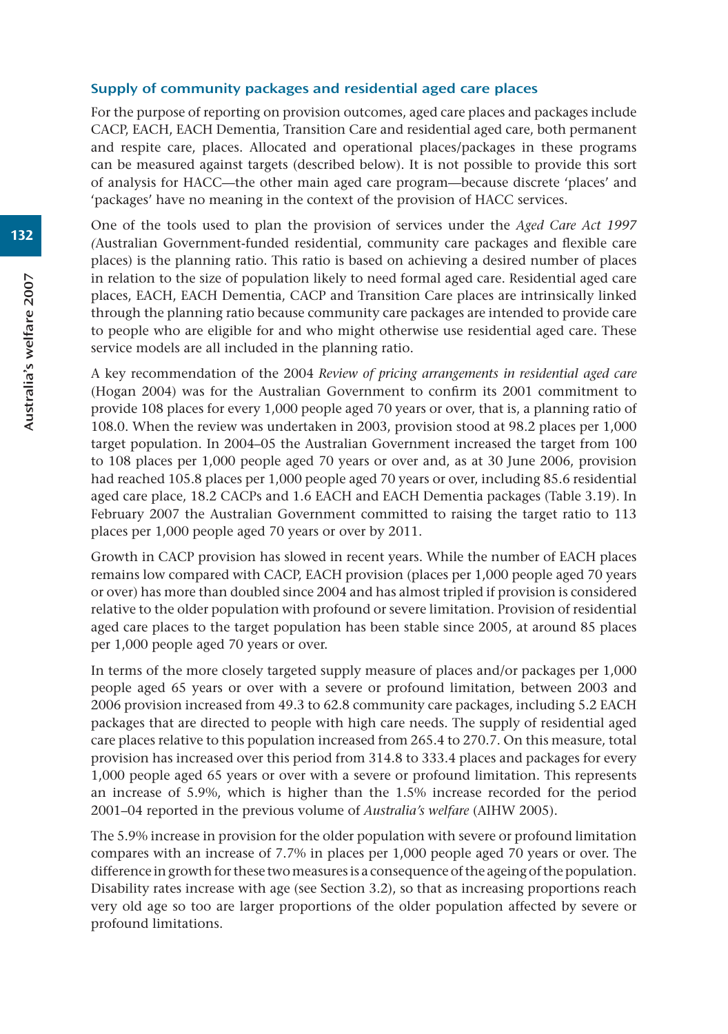#### Supply of community packages and residential aged care places

For the purpose of reporting on provision outcomes, aged care places and packages include CACP, EACH, EACH Dementia, Transition Care and residential aged care, both permanent and respite care, places. Allocated and operational places/packages in these programs can be measured against targets (described below). It is not possible to provide this sort of analysis for HACC—the other main aged care program—because discrete 'places' and 'packages' have no meaning in the context of the provision of HACC services.

One of the tools used to plan the provision of services under the *Aged Care Act 1997 (*Australian Government-funded residential, community care packages and flexible care places) is the planning ratio. This ratio is based on achieving a desired number of places in relation to the size of population likely to need formal aged care. Residential aged care places, EACH, EACH Dementia, CACP and Transition Care places are intrinsically linked through the planning ratio because community care packages are intended to provide care to people who are eligible for and who might otherwise use residential aged care. These service models are all included in the planning ratio.

A key recommendation of the 2004 *Review of pricing arrangements in residential aged care* (Hogan 2004) was for the Australian Government to confirm its 2001 commitment to provide 108 places for every 1,000 people aged 70 years or over, that is, a planning ratio of 108.0. When the review was undertaken in 2003, provision stood at 98.2 places per 1,000 target population. In 2004–05 the Australian Government increased the target from 100 to 108 places per 1,000 people aged 70 years or over and, as at 30 June 2006, provision had reached 105.8 places per 1,000 people aged 70 years or over, including 85.6 residential aged care place, 18.2 CACPs and 1.6 EACH and EACH Dementia packages (Table 3.19). In February 2007 the Australian Government committed to raising the target ratio to 113 places per 1,000 people aged 70 years or over by 2011.

Growth in CACP provision has slowed in recent years. While the number of EACH places remains low compared with CACP, EACH provision (places per 1,000 people aged 70 years or over) has more than doubled since 2004 and has almost tripled if provision is considered relative to the older population with profound or severe limitation. Provision of residential aged care places to the target population has been stable since 2005, at around 85 places per 1,000 people aged 70 years or over.

In terms of the more closely targeted supply measure of places and/or packages per 1,000 people aged 65 years or over with a severe or profound limitation, between 2003 and 2006 provision increased from 49.3 to 62.8 community care packages, including 5.2 EACH packages that are directed to people with high care needs. The supply of residential aged care places relative to this population increased from 265.4 to 270.7. On this measure, total provision has increased over this period from 314.8 to 333.4 places and packages for every 1,000 people aged 65 years or over with a severe or profound limitation. This represents an increase of 5.9%, which is higher than the 1.5% increase recorded for the period 2001–04 reported in the previous volume of *Australia's welfare* (AIHW 2005).

The 5.9% increase in provision for the older population with severe or profound limitation compares with an increase of 7.7% in places per 1,000 people aged 70 years or over. The difference in growth for these two measures is a consequence of the ageing of the population. Disability rates increase with age (see Section 3.2), so that as increasing proportions reach very old age so too are larger proportions of the older population affected by severe or profound limitations.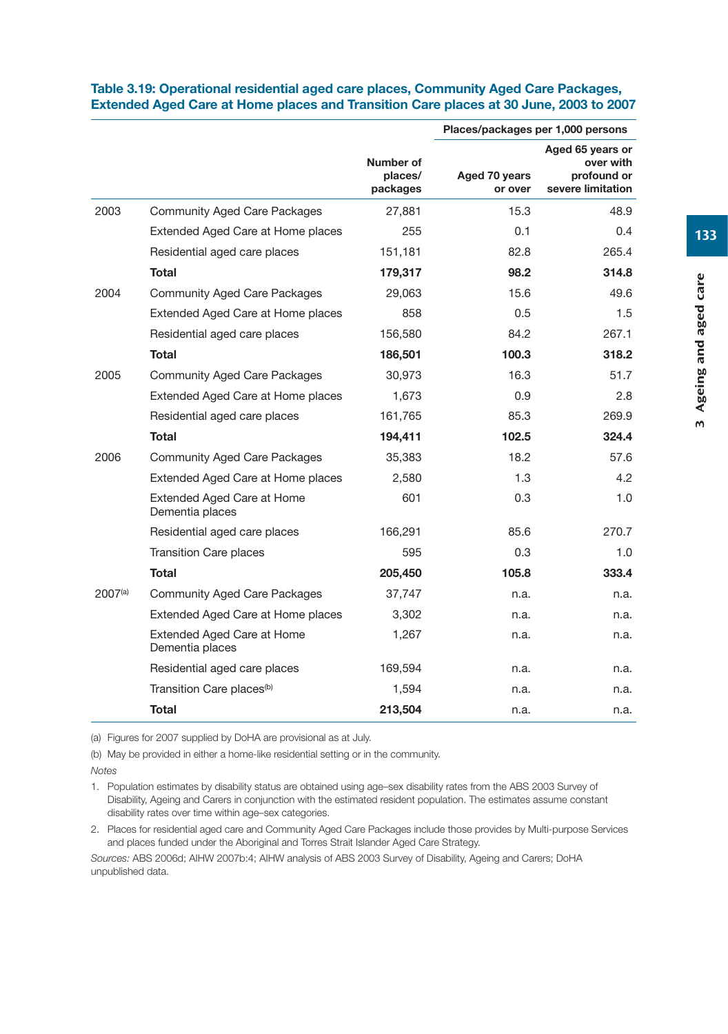|         |                                               |                                  | Places/packages per 1,000 persons |                                                                   |
|---------|-----------------------------------------------|----------------------------------|-----------------------------------|-------------------------------------------------------------------|
|         |                                               | Number of<br>places/<br>packages | Aged 70 years<br>or over          | Aged 65 years or<br>over with<br>profound or<br>severe limitation |
| 2003    | <b>Community Aged Care Packages</b>           | 27,881                           | 15.3                              | 48.9                                                              |
|         | Extended Aged Care at Home places             | 255                              | 0.1                               | 0.4                                                               |
|         | Residential aged care places                  | 151,181                          | 82.8                              | 265.4                                                             |
|         | <b>Total</b>                                  | 179,317                          | 98.2                              | 314.8                                                             |
| 2004    | <b>Community Aged Care Packages</b>           | 29,063                           | 15.6                              | 49.6                                                              |
|         | Extended Aged Care at Home places             | 858                              | 0.5                               | 1.5                                                               |
|         | Residential aged care places                  | 156,580                          | 84.2                              | 267.1                                                             |
|         | Total                                         | 186,501                          | 100.3                             | 318.2                                                             |
| 2005    | <b>Community Aged Care Packages</b>           | 30,973                           | 16.3                              | 51.7                                                              |
|         | Extended Aged Care at Home places             | 1,673                            | 0.9                               | 2.8                                                               |
|         | Residential aged care places                  | 161,765                          | 85.3                              | 269.9                                                             |
|         | <b>Total</b>                                  | 194,411                          | 102.5                             | 324.4                                                             |
| 2006    | <b>Community Aged Care Packages</b>           | 35,383                           | 18.2                              | 57.6                                                              |
|         | Extended Aged Care at Home places             | 2,580                            | 1.3                               | 4.2                                                               |
|         | Extended Aged Care at Home<br>Dementia places | 601                              | 0.3                               | 1.0                                                               |
|         | Residential aged care places                  | 166,291                          | 85.6                              | 270.7                                                             |
|         | <b>Transition Care places</b>                 | 595                              | 0.3                               | 1.0                                                               |
|         | <b>Total</b>                                  | 205,450                          | 105.8                             | 333.4                                                             |
| 2007(a) | <b>Community Aged Care Packages</b>           | 37,747                           | n.a.                              | n.a.                                                              |
|         | Extended Aged Care at Home places             | 3,302                            | n.a.                              | n.a.                                                              |
|         | Extended Aged Care at Home<br>Dementia places | 1,267                            | n.a.                              | n.a.                                                              |
|         | Residential aged care places                  | 169,594                          | n.a.                              | n.a.                                                              |
|         | Transition Care places <sup>(b)</sup>         | 1,594                            | n.a.                              | n.a.                                                              |

#### **Table 3.19: Operational residential aged care places, Community Aged Care Packages, Extended Aged Care at Home places and Transition Care places at 30 June, 2003 to 2007**

(a) Figures for 2007 supplied by DoHA are provisional as at July.

(b) May be provided in either a home-like residential setting or in the community.

*Notes*

1. Population estimates by disability status are obtained using age–sex disability rates from the ABS 2003 Survey of Disability, Ageing and Carers in conjunction with the estimated resident population. The estimates assume constant disability rates over time within age–sex categories.

2. Places for residential aged care and Community Aged Care Packages include those provides by Multi-purpose Services and places funded under the Aboriginal and Torres Strait Islander Aged Care Strategy.

**Total 213,504** n.a. n.a.

*Sources:* ABS 2006d; AIHW 2007b:4; AIHW analysis of ABS 2003 Survey of Disability, Ageing and Carers; DoHA unpublished data.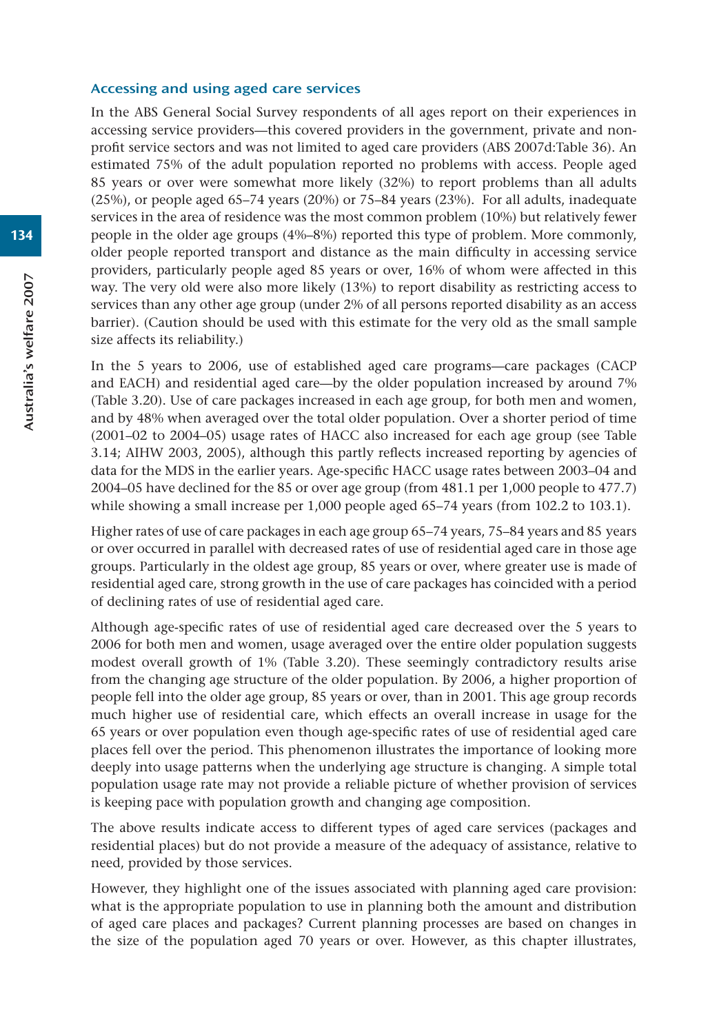#### Accessing and using aged care services

In the ABS General Social Survey respondents of all ages report on their experiences in accessing service providers—this covered providers in the government, private and nonprofit service sectors and was not limited to aged care providers (ABS 2007d:Table 36). An estimated 75% of the adult population reported no problems with access. People aged 85 years or over were somewhat more likely (32%) to report problems than all adults (25%), or people aged 65–74 years (20%) or 75–84 years (23%). For all adults, inadequate services in the area of residence was the most common problem (10%) but relatively fewer people in the older age groups (4%–8%) reported this type of problem. More commonly, older people reported transport and distance as the main difficulty in accessing service providers, particularly people aged 85 years or over, 16% of whom were affected in this way. The very old were also more likely (13%) to report disability as restricting access to services than any other age group (under 2% of all persons reported disability as an access barrier). (Caution should be used with this estimate for the very old as the small sample size affects its reliability.)

In the 5 years to 2006, use of established aged care programs—care packages (CACP and EACH) and residential aged care—by the older population increased by around 7% (Table 3.20). Use of care packages increased in each age group, for both men and women, and by 48% when averaged over the total older population. Over a shorter period of time (2001–02 to 2004–05) usage rates of HACC also increased for each age group (see Table 3.14; AIHW 2003, 2005), although this partly reflects increased reporting by agencies of data for the MDS in the earlier years. Age-specific HACC usage rates between 2003–04 and 2004–05 have declined for the 85 or over age group (from 481.1 per 1,000 people to 477.7) while showing a small increase per 1,000 people aged 65–74 years (from 102.2 to 103.1).

Higher rates of use of care packages in each age group 65–74 years, 75–84 years and 85 years or over occurred in parallel with decreased rates of use of residential aged care in those age groups. Particularly in the oldest age group, 85 years or over, where greater use is made of residential aged care, strong growth in the use of care packages has coincided with a period of declining rates of use of residential aged care.

Although age-specific rates of use of residential aged care decreased over the 5 years to 2006 for both men and women, usage averaged over the entire older population suggests modest overall growth of 1% (Table 3.20). These seemingly contradictory results arise from the changing age structure of the older population. By 2006, a higher proportion of people fell into the older age group, 85 years or over, than in 2001. This age group records much higher use of residential care, which effects an overall increase in usage for the 65 years or over population even though age-specific rates of use of residential aged care places fell over the period. This phenomenon illustrates the importance of looking more deeply into usage patterns when the underlying age structure is changing. A simple total population usage rate may not provide a reliable picture of whether provision of services is keeping pace with population growth and changing age composition.

The above results indicate access to different types of aged care services (packages and residential places) but do not provide a measure of the adequacy of assistance, relative to need, provided by those services.

However, they highlight one of the issues associated with planning aged care provision: what is the appropriate population to use in planning both the amount and distribution of aged care places and packages? Current planning processes are based on changes in the size of the population aged 70 years or over. However, as this chapter illustrates,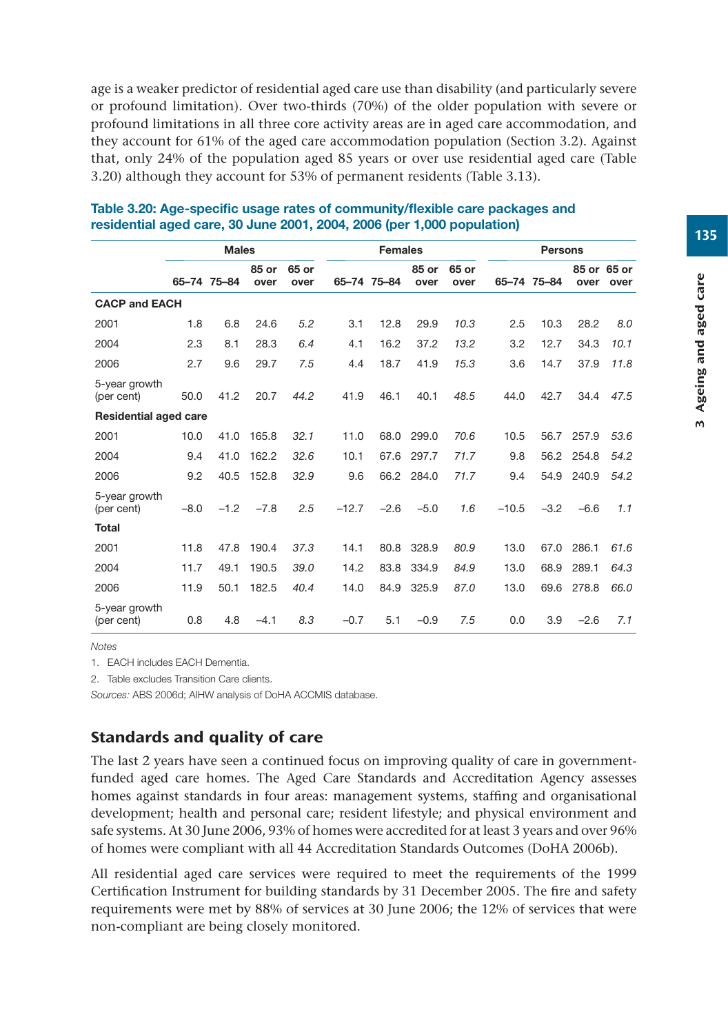age is a weaker predictor of residential aged care use than disability (and particularly severe or profound limitation). Over two-thirds (70%) of the older population with severe or profound limitations in all three core activity areas are in aged care accommodation, and they account for 61% of the aged care accommodation population (Section 3.2). Against that, only 24% of the population aged 85 years or over use residential aged care (Table 3.20) although they account for 53% of permanent residents (Table 3.13).

|                              | <b>Males</b> |             |               |               |         | <b>Females</b> |               |               | <b>Persons</b> |             |        |                     |
|------------------------------|--------------|-------------|---------------|---------------|---------|----------------|---------------|---------------|----------------|-------------|--------|---------------------|
|                              |              | 65-74 75-84 | 85 or<br>over | 65 or<br>over |         | 65-74 75-84    | 85 or<br>over | 65 or<br>over |                | 65-74 75-84 | over   | 85 or 65 or<br>over |
| <b>CACP and EACH</b>         |              |             |               |               |         |                |               |               |                |             |        |                     |
| 2001                         | 1.8          | 6.8         | 24.6          | 5.2           | 3.1     | 12.8           | 29.9          | 10.3          | 2.5            | 10.3        | 28.2   | 8.0                 |
| 2004                         | 2.3          | 8.1         | 28.3          | 6.4           | 4.1     | 16.2           | 37.2          | 13.2          | 3.2            | 12.7        | 34.3   | 10.1                |
| 2006                         | 2.7          | 9.6         | 29.7          | 7.5           | 4.4     | 18.7           | 41.9          | 15.3          | 3.6            | 14.7        | 37.9   | 11.8                |
| 5-year growth<br>(per cent)  | 50.0         | 41.2        | 20.7          | 44.2          | 41.9    | 46.1           | 40.1          | 48.5          | 44.0           | 42.7        | 34.4   | 47.5                |
| <b>Residential aged care</b> |              |             |               |               |         |                |               |               |                |             |        |                     |
| 2001                         | 10.0         | 41.0        | 165.8         | 32.1          | 11.0    | 68.0           | 299.0         | 70.6          | 10.5           | 56.7        | 257.9  | 53.6                |
| 2004                         | 9.4          | 41.0        | 162.2         | 32.6          | 10.1    | 67.6           | 297.7         | 71.7          | 9.8            | 56.2        | 254.8  | 54.2                |
| 2006                         | 9.2          | 40.5        | 152.8         | 32.9          | 9.6     | 66.2           | 284.0         | 71.7          | 9.4            | 54.9        | 240.9  | 54.2                |
| 5-year growth<br>(per cent)  | $-8.0$       | $-1.2$      | $-7.8$        | 2.5           | $-12.7$ | $-2.6$         | $-5.0$        | 1.6           | $-10.5$        | $-3.2$      | $-6.6$ | 1.1                 |
| Total                        |              |             |               |               |         |                |               |               |                |             |        |                     |
| 2001                         | 11.8         | 47.8        | 190.4         | 37.3          | 14.1    | 80.8           | 328.9         | 80.9          | 13.0           | 67.0        | 286.1  | 61.6                |
| 2004                         | 11.7         | 49.1        | 190.5         | 39.0          | 14.2    | 83.8           | 334.9         | 84.9          | 13.0           | 68.9        | 289.1  | 64.3                |
| 2006                         | 11.9         | 50.1        | 182.5         | 40.4          | 14.0    | 84.9           | 325.9         | 87.0          | 13.0           | 69.6        | 278.8  | 66.0                |
| 5-year growth<br>(per cent)  | 0.8          | 4.8         | $-4.1$        | 8.3           | $-0.7$  | 5.1            | $-0.9$        | 7.5           | 0.0            | 3.9         | $-2.6$ | 7.1                 |

#### **Table 3.20: Age-specific usage rates of community/flexible care packages and residential aged care, 30 June 2001, 2004, 2006 (per 1,000 population)**

*Notes*

1. EACH includes EACH Dementia.

2. Table excludes Transition Care clients.

*Sources:* ABS 2006d; AIHW analysis of DoHA ACCMIS database.

## Standards and quality of care

The last 2 years have seen a continued focus on improving quality of care in governmentfunded aged care homes. The Aged Care Standards and Accreditation Agency assesses homes against standards in four areas: management systems, staffing and organisational development; health and personal care; resident lifestyle; and physical environment and safe systems. At 30 June 2006, 93% of homes were accredited for at least 3 years and over 96% of homes were compliant with all 44 Accreditation Standards Outcomes (DoHA 2006b).

All residential aged care services were required to meet the requirements of the 1999 Certification Instrument for building standards by 31 December 2005. The fire and safety requirements were met by 88% of services at 30 June 2006; the 12% of services that were non-compliant are being closely monitored.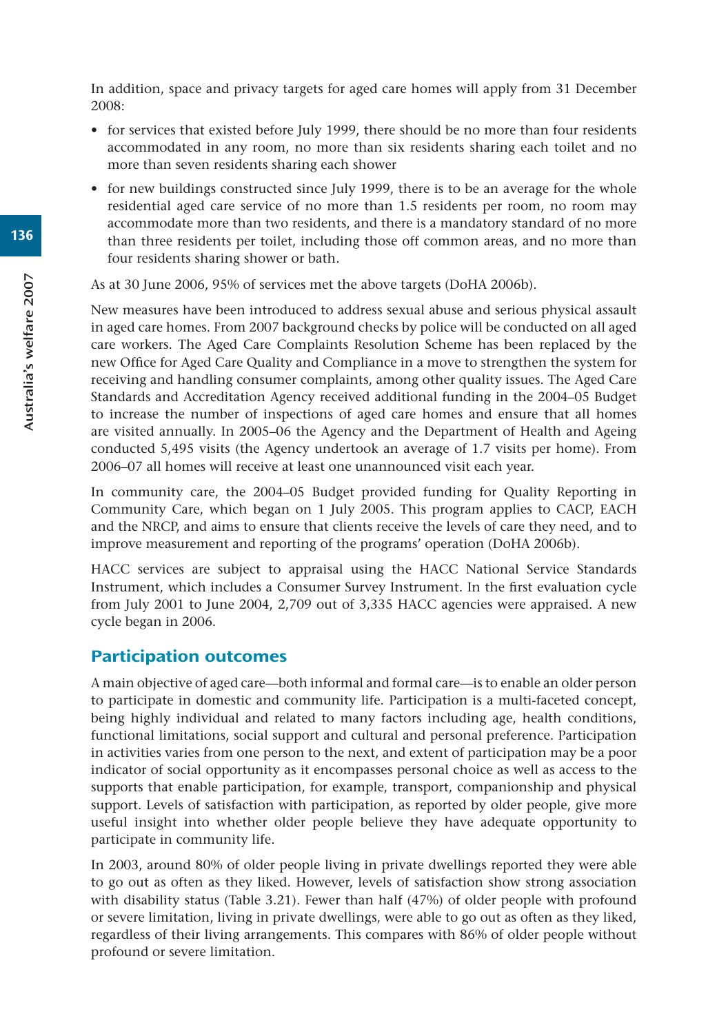In addition, space and privacy targets for aged care homes will apply from 31 December 2008:

- for services that existed before July 1999, there should be no more than four residents accommodated in any room, no more than six residents sharing each toilet and no more than seven residents sharing each shower
- for new buildings constructed since July 1999, there is to be an average for the whole residential aged care service of no more than 1.5 residents per room, no room may accommodate more than two residents, and there is a mandatory standard of no more than three residents per toilet, including those off common areas, and no more than four residents sharing shower or bath.

As at 30 June 2006, 95% of services met the above targets (DoHA 2006b).

New measures have been introduced to address sexual abuse and serious physical assault in aged care homes. From 2007 background checks by police will be conducted on all aged care workers. The Aged Care Complaints Resolution Scheme has been replaced by the new Office for Aged Care Quality and Compliance in a move to strengthen the system for receiving and handling consumer complaints, among other quality issues. The Aged Care Standards and Accreditation Agency received additional funding in the 2004–05 Budget to increase the number of inspections of aged care homes and ensure that all homes are visited annually. In 2005–06 the Agency and the Department of Health and Ageing conducted 5,495 visits (the Agency undertook an average of 1.7 visits per home). From 2006–07 all homes will receive at least one unannounced visit each year.

In community care, the 2004–05 Budget provided funding for Quality Reporting in Community Care, which began on 1 July 2005. This program applies to CACP, EACH and the NRCP, and aims to ensure that clients receive the levels of care they need, and to improve measurement and reporting of the programs' operation (DoHA 2006b).

HACC services are subject to appraisal using the HACC National Service Standards Instrument, which includes a Consumer Survey Instrument. In the first evaluation cycle from July 2001 to June 2004, 2,709 out of 3,335 HACC agencies were appraised. A new cycle began in 2006.

## Participation outcomes

A main objective of aged care—both informal and formal care—is to enable an older person to participate in domestic and community life. Participation is a multi-faceted concept, being highly individual and related to many factors including age, health conditions, functional limitations, social support and cultural and personal preference. Participation in activities varies from one person to the next, and extent of participation may be a poor indicator of social opportunity as it encompasses personal choice as well as access to the supports that enable participation, for example, transport, companionship and physical support. Levels of satisfaction with participation, as reported by older people, give more useful insight into whether older people believe they have adequate opportunity to participate in community life.

In 2003, around 80% of older people living in private dwellings reported they were able to go out as often as they liked. However, levels of satisfaction show strong association with disability status (Table 3.21). Fewer than half (47%) of older people with profound or severe limitation, living in private dwellings, were able to go out as often as they liked, regardless of their living arrangements. This compares with 86% of older people without profound or severe limitation.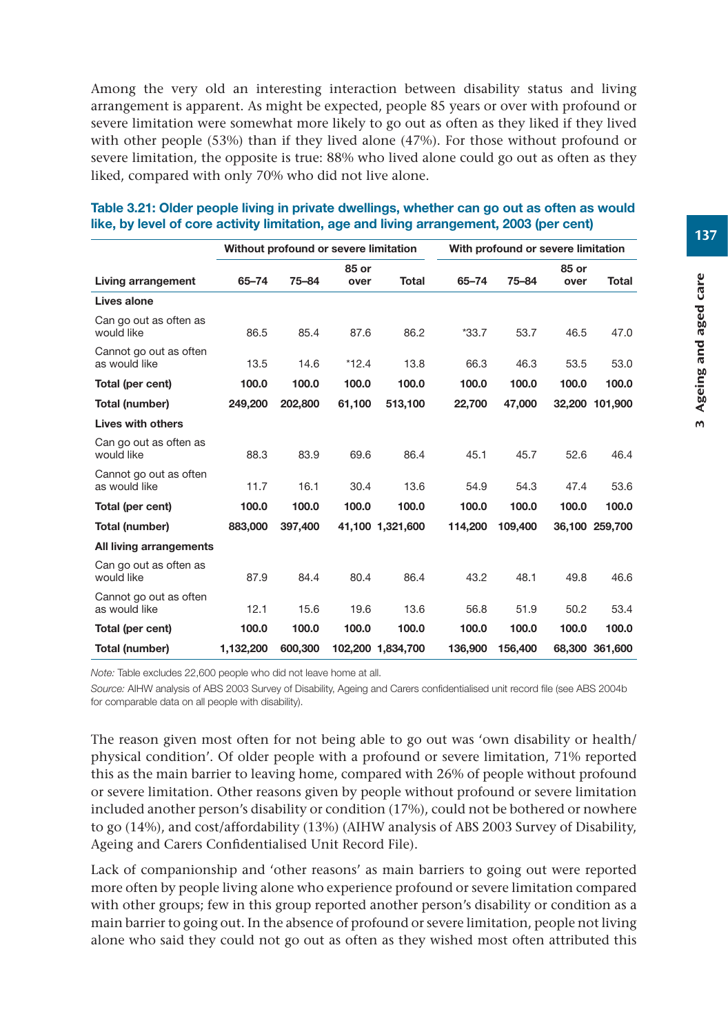Among the very old an interesting interaction between disability status and living arrangement is apparent. As might be expected, people 85 years or over with profound or severe limitation were somewhat more likely to go out as often as they liked if they lived with other people (53%) than if they lived alone (47%). For those without profound or severe limitation, the opposite is true: 88% who lived alone could go out as often as they liked, compared with only 70% who did not live alone.

|                                         | Without profound or severe limitation |         |               | With profound or severe limitation |         |         |               |                |
|-----------------------------------------|---------------------------------------|---------|---------------|------------------------------------|---------|---------|---------------|----------------|
| Living arrangement                      | 65-74                                 | 75-84   | 85 or<br>over | Total                              | 65-74   | 75-84   | 85 or<br>over | Total          |
| Lives alone                             |                                       |         |               |                                    |         |         |               |                |
| Can go out as often as<br>would like    | 86.5                                  | 85.4    | 87.6          | 86.2                               | $*33.7$ | 53.7    | 46.5          | 47.0           |
| Cannot go out as often<br>as would like | 13.5                                  | 14.6    | $*12.4$       | 13.8                               | 66.3    | 46.3    | 53.5          | 53.0           |
| Total (per cent)                        | 100.0                                 | 100.0   | 100.0         | 100.0                              | 100.0   | 100.0   | 100.0         | 100.0          |
| Total (number)                          | 249,200                               | 202,800 | 61,100        | 513,100                            | 22,700  | 47,000  |               | 32,200 101,900 |
| <b>Lives with others</b>                |                                       |         |               |                                    |         |         |               |                |
| Can go out as often as<br>would like    | 88.3                                  | 83.9    | 69.6          | 86.4                               | 45.1    | 45.7    | 52.6          | 46.4           |
| Cannot go out as often<br>as would like | 11.7                                  | 16.1    | 30.4          | 13.6                               | 54.9    | 54.3    | 47.4          | 53.6           |
| Total (per cent)                        | 100.0                                 | 100.0   | 100.0         | 100.0                              | 100.0   | 100.0   | 100.0         | 100.0          |
| Total (number)                          | 883,000                               | 397.400 |               | 41.100 1.321.600                   | 114.200 | 109,400 |               | 36.100 259.700 |
| All living arrangements                 |                                       |         |               |                                    |         |         |               |                |
| Can go out as often as<br>would like    | 87.9                                  | 84.4    | 80.4          | 86.4                               | 43.2    | 48.1    | 49.8          | 46.6           |
| Cannot go out as often<br>as would like | 12.1                                  | 15.6    | 19.6          | 13.6                               | 56.8    | 51.9    | 50.2          | 53.4           |
| Total (per cent)                        | 100.0                                 | 100.0   | 100.0         | 100.0                              | 100.0   | 100.0   | 100.0         | 100.0          |
| Total (number)                          | 1,132,200                             | 600,300 |               | 102,200 1,834,700                  | 136.900 | 156,400 |               | 68,300 361,600 |

#### **Table 3.21: Older people living in private dwellings, whether can go out as often as would like, by level of core activity limitation, age and living arrangement, 2003 (per cent)**

*Note:* Table excludes 22,600 people who did not leave home at all.

*Source:* AIHW analysis of ABS 2003 Survey of Disability, Ageing and Carers confidentialised unit record file (see ABS 2004b for comparable data on all people with disability).

The reason given most often for not being able to go out was 'own disability or health/ physical condition'. Of older people with a profound or severe limitation, 71% reported this as the main barrier to leaving home, compared with 26% of people without profound or severe limitation. Other reasons given by people without profound or severe limitation included another person's disability or condition (17%), could not be bothered or nowhere to go (14%), and cost/affordability (13%) (AIHW analysis of ABS 2003 Survey of Disability, Ageing and Carers Confidentialised Unit Record File).

Lack of companionship and 'other reasons' as main barriers to going out were reported more often by people living alone who experience profound or severe limitation compared with other groups; few in this group reported another person's disability or condition as a main barrier to going out. In the absence of profound or severe limitation, people not living alone who said they could not go out as often as they wished most often attributed this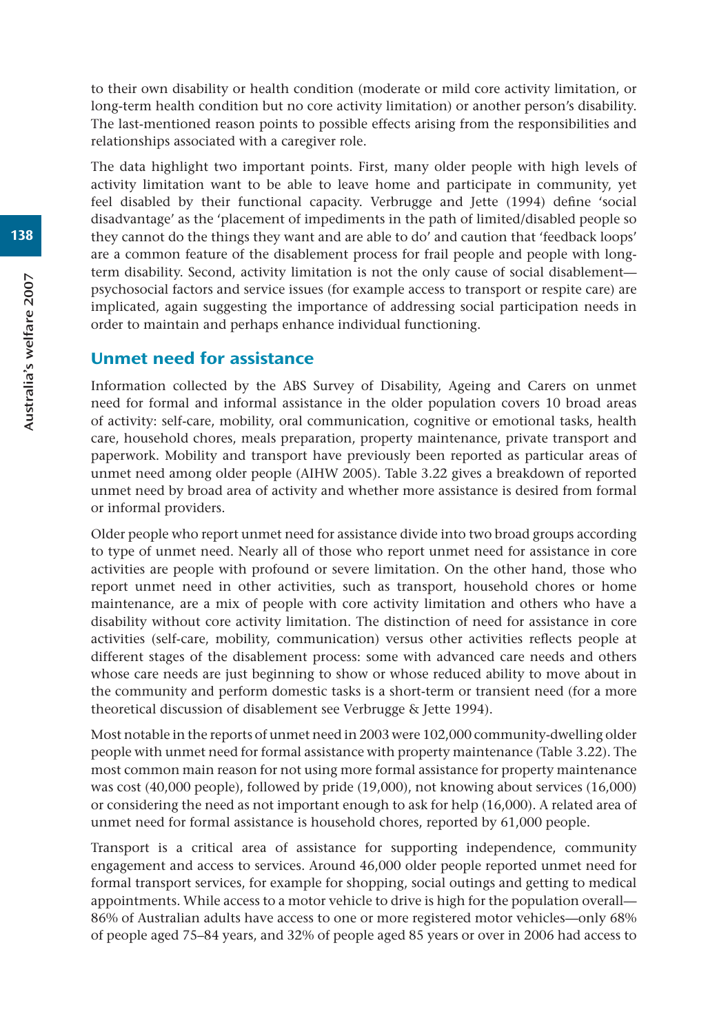to their own disability or health condition (moderate or mild core activity limitation, or long-term health condition but no core activity limitation) or another person's disability. The last-mentioned reason points to possible effects arising from the responsibilities and relationships associated with a caregiver role.

The data highlight two important points. First, many older people with high levels of activity limitation want to be able to leave home and participate in community, yet feel disabled by their functional capacity. Verbrugge and Jette (1994) define 'social disadvantage' as the 'placement of impediments in the path of limited/disabled people so they cannot do the things they want and are able to do' and caution that 'feedback loops' are a common feature of the disablement process for frail people and people with longterm disability. Second, activity limitation is not the only cause of social disablement psychosocial factors and service issues (for example access to transport or respite care) are implicated, again suggesting the importance of addressing social participation needs in order to maintain and perhaps enhance individual functioning.

### Unmet need for assistance

Information collected by the ABS Survey of Disability, Ageing and Carers on unmet need for formal and informal assistance in the older population covers 10 broad areas of activity: self-care, mobility, oral communication, cognitive or emotional tasks, health care, household chores, meals preparation, property maintenance, private transport and paperwork. Mobility and transport have previously been reported as particular areas of unmet need among older people (AIHW 2005). Table 3.22 gives a breakdown of reported unmet need by broad area of activity and whether more assistance is desired from formal or informal providers.

Older people who report unmet need for assistance divide into two broad groups according to type of unmet need. Nearly all of those who report unmet need for assistance in core activities are people with profound or severe limitation. On the other hand, those who report unmet need in other activities, such as transport, household chores or home maintenance, are a mix of people with core activity limitation and others who have a disability without core activity limitation. The distinction of need for assistance in core activities (self-care, mobility, communication) versus other activities reflects people at different stages of the disablement process: some with advanced care needs and others whose care needs are just beginning to show or whose reduced ability to move about in the community and perform domestic tasks is a short-term or transient need (for a more theoretical discussion of disablement see Verbrugge & Jette 1994).

Most notable in the reports of unmet need in 2003 were 102,000 community-dwelling older people with unmet need for formal assistance with property maintenance (Table 3.22). The most common main reason for not using more formal assistance for property maintenance was cost (40,000 people), followed by pride (19,000), not knowing about services (16,000) or considering the need as not important enough to ask for help (16,000). A related area of unmet need for formal assistance is household chores, reported by 61,000 people.

Transport is a critical area of assistance for supporting independence, community engagement and access to services. Around 46,000 older people reported unmet need for formal transport services, for example for shopping, social outings and getting to medical appointments. While access to a motor vehicle to drive is high for the population overall— 86% of Australian adults have access to one or more registered motor vehicles—only 68% of people aged 75–84 years, and 32% of people aged 85 years or over in 2006 had access to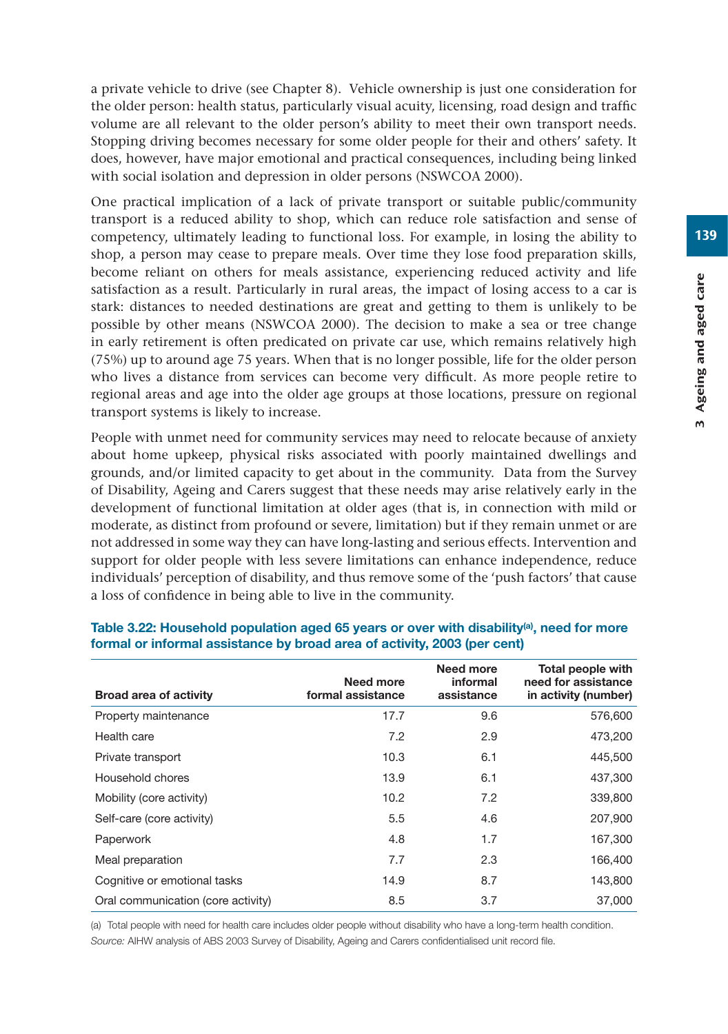a private vehicle to drive (see Chapter 8). Vehicle ownership is just one consideration for the older person: health status, particularly visual acuity, licensing, road design and traffic volume are all relevant to the older person's ability to meet their own transport needs. Stopping driving becomes necessary for some older people for their and others' safety. It does, however, have major emotional and practical consequences, including being linked with social isolation and depression in older persons (NSWCOA 2000).

One practical implication of a lack of private transport or suitable public/community transport is a reduced ability to shop, which can reduce role satisfaction and sense of competency, ultimately leading to functional loss. For example, in losing the ability to shop, a person may cease to prepare meals. Over time they lose food preparation skills, become reliant on others for meals assistance, experiencing reduced activity and life satisfaction as a result. Particularly in rural areas, the impact of losing access to a car is stark: distances to needed destinations are great and getting to them is unlikely to be possible by other means (NSWCOA 2000). The decision to make a sea or tree change in early retirement is often predicated on private car use, which remains relatively high (75%) up to around age 75 years. When that is no longer possible, life for the older person who lives a distance from services can become very difficult. As more people retire to regional areas and age into the older age groups at those locations, pressure on regional transport systems is likely to increase.

People with unmet need for community services may need to relocate because of anxiety about home upkeep, physical risks associated with poorly maintained dwellings and grounds, and/or limited capacity to get about in the community. Data from the Survey of Disability, Ageing and Carers suggest that these needs may arise relatively early in the development of functional limitation at older ages (that is, in connection with mild or moderate, as distinct from profound or severe, limitation) but if they remain unmet or are not addressed in some way they can have long-lasting and serious effects. Intervention and support for older people with less severe limitations can enhance independence, reduce individuals' perception of disability, and thus remove some of the 'push factors' that cause a loss of confidence in being able to live in the community.

| <b>Broad area of activity</b>      | Need more<br>formal assistance | Need more<br>informal<br>assistance | Total people with<br>need for assistance<br>in activity (number) |
|------------------------------------|--------------------------------|-------------------------------------|------------------------------------------------------------------|
| Property maintenance               | 17.7                           | 9.6                                 | 576,600                                                          |
| Health care                        | 7.2                            | 2.9                                 | 473,200                                                          |
| Private transport                  | 10.3                           | 6.1                                 | 445,500                                                          |
| Household chores                   | 13.9                           | 6.1                                 | 437,300                                                          |
| Mobility (core activity)           | 10.2                           | 7.2                                 | 339,800                                                          |
| Self-care (core activity)          | 5.5                            | 4.6                                 | 207,900                                                          |
| Paperwork                          | 4.8                            | 1.7                                 | 167,300                                                          |
| Meal preparation                   | 7.7                            | 2.3                                 | 166,400                                                          |
| Cognitive or emotional tasks       | 14.9                           | 8.7                                 | 143,800                                                          |
| Oral communication (core activity) | 8.5                            | 3.7                                 | 37,000                                                           |

#### **Table 3.22: Household population aged 65 years or over with disability(a), need for more formal or informal assistance by broad area of activity, 2003 (per cent)**

(a) Total people with need for health care includes older people without disability who have a long-term health condition. *Source:* AIHW analysis of ABS 2003 Survey of Disability, Ageing and Carers confidentialised unit record file.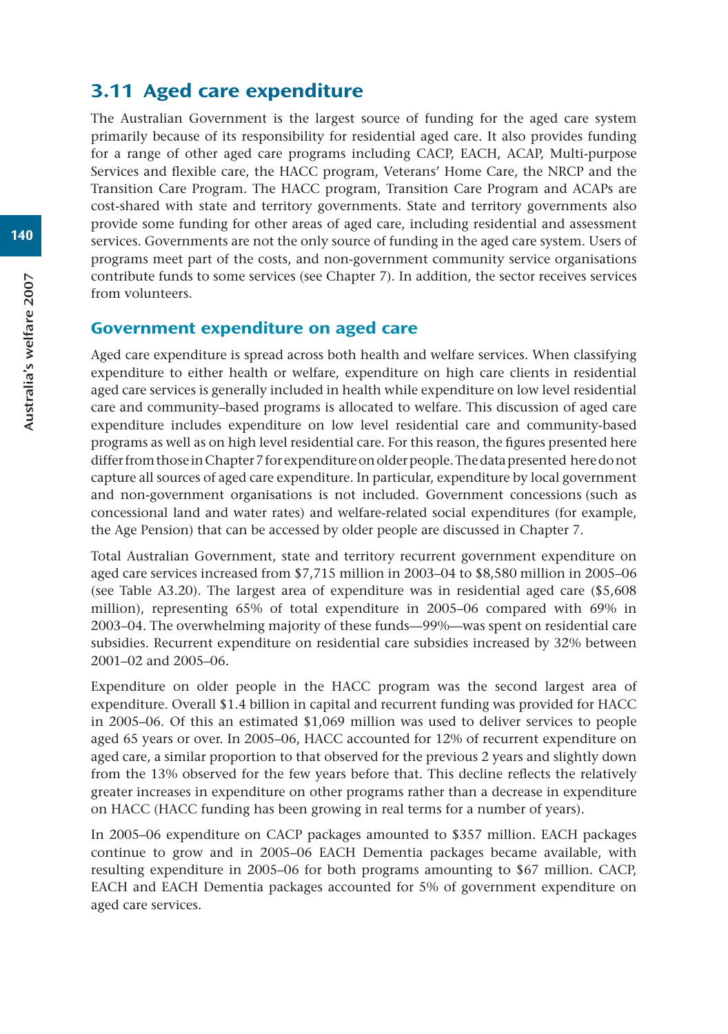# 3.11 Aged care expenditure

The Australian Government is the largest source of funding for the aged care system primarily because of its responsibility for residential aged care. It also provides funding for a range of other aged care programs including CACP, EACH, ACAP, Multi-purpose Services and flexible care, the HACC program, Veterans' Home Care, the NRCP and the Transition Care Program. The HACC program, Transition Care Program and ACAPs are cost-shared with state and territory governments. State and territory governments also provide some funding for other areas of aged care, including residential and assessment services. Governments are not the only source of funding in the aged care system. Users of programs meet part of the costs, and non-government community service organisations contribute funds to some services (see Chapter 7). In addition, the sector receives services from volunteers.

#### Government expenditure on aged care

Aged care expenditure is spread across both health and welfare services. When classifying expenditure to either health or welfare, expenditure on high care clients in residential aged care services is generally included in health while expenditure on low level residential care and community–based programs is allocated to welfare. This discussion of aged care expenditure includes expenditure on low level residential care and community-based programs as well as on high level residential care. For this reason, the figures presented here differ from those in Chapter 7 for expenditure on older people. The data presented here do not capture all sources of aged care expenditure. In particular, expenditure by local government and non-government organisations is not included. Government concessions (such as concessional land and water rates) and welfare-related social expenditures (for example, the Age Pension) that can be accessed by older people are discussed in Chapter 7.

Total Australian Government, state and territory recurrent government expenditure on aged care services increased from \$7,715 million in 2003–04 to \$8,580 million in 2005–06 (see Table A3.20). The largest area of expenditure was in residential aged care (\$5,608 million), representing 65% of total expenditure in 2005–06 compared with 69% in 2003–04. The overwhelming majority of these funds—99%—was spent on residential care subsidies. Recurrent expenditure on residential care subsidies increased by 32% between 2001–02 and 2005–06.

Expenditure on older people in the HACC program was the second largest area of expenditure. Overall \$1.4 billion in capital and recurrent funding was provided for HACC in 2005–06. Of this an estimated \$1,069 million was used to deliver services to people aged 65 years or over. In 2005–06, HACC accounted for 12% of recurrent expenditure on aged care, a similar proportion to that observed for the previous 2 years and slightly down from the 13% observed for the few years before that. This decline reflects the relatively greater increases in expenditure on other programs rather than a decrease in expenditure on HACC (HACC funding has been growing in real terms for a number of years).

In 2005–06 expenditure on CACP packages amounted to \$357 million. EACH packages continue to grow and in 2005–06 EACH Dementia packages became available, with resulting expenditure in 2005–06 for both programs amounting to \$67 million. CACP, EACH and EACH Dementia packages accounted for 5% of government expenditure on aged care services.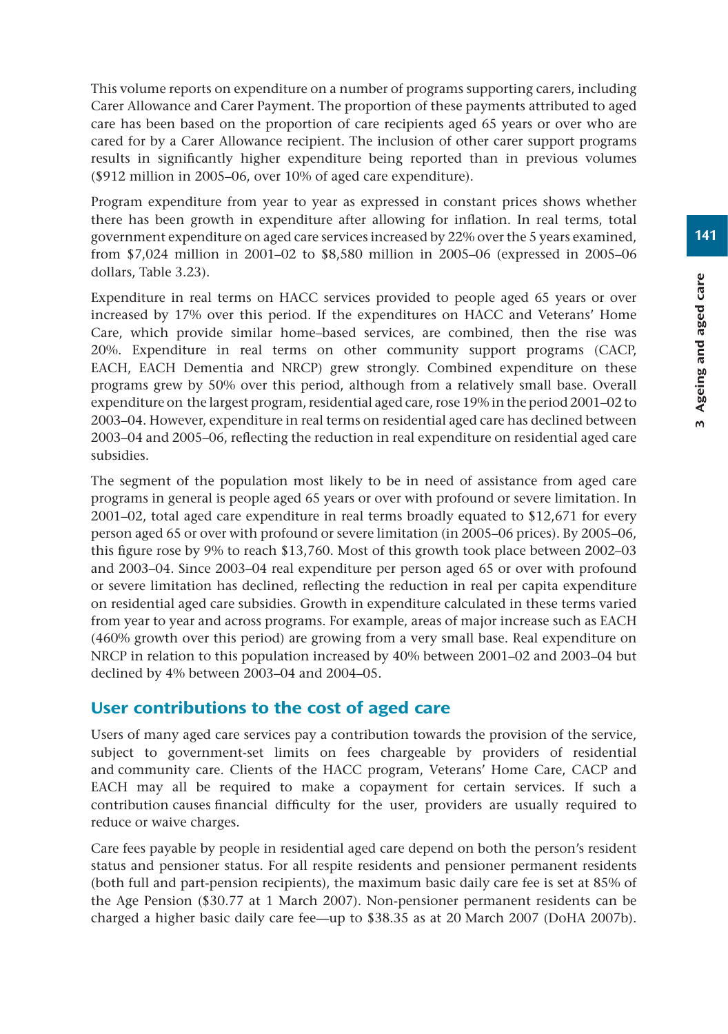This volume reports on expenditure on a number of programs supporting carers, including Carer Allowance and Carer Payment. The proportion of these payments attributed to aged care has been based on the proportion of care recipients aged 65 years or over who are cared for by a Carer Allowance recipient. The inclusion of other carer support programs results in significantly higher expenditure being reported than in previous volumes (\$912 million in 2005–06, over 10% of aged care expenditure).

Program expenditure from year to year as expressed in constant prices shows whether there has been growth in expenditure after allowing for inflation. In real terms, total government expenditure on aged care services increased by 22% over the 5 years examined, from \$7,024 million in 2001–02 to \$8,580 million in 2005–06 (expressed in 2005–06 dollars, Table 3.23).

Expenditure in real terms on HACC services provided to people aged 65 years or over increased by 17% over this period. If the expenditures on HACC and Veterans' Home Care, which provide similar home–based services, are combined, then the rise was 20%. Expenditure in real terms on other community support programs (CACP, EACH, EACH Dementia and NRCP) grew strongly. Combined expenditure on these programs grew by 50% over this period, although from a relatively small base. Overall expenditure on the largest program, residential aged care, rose 19% in the period 2001–02 to 2003–04. However, expenditure in real terms on residential aged care has declined between 2003–04 and 2005–06, reflecting the reduction in real expenditure on residential aged care subsidies.

The segment of the population most likely to be in need of assistance from aged care programs in general is people aged 65 years or over with profound or severe limitation. In 2001–02, total aged care expenditure in real terms broadly equated to \$12,671 for every person aged 65 or over with profound or severe limitation (in 2005–06 prices). By 2005–06, this figure rose by 9% to reach \$13,760. Most of this growth took place between 2002–03 and 2003–04. Since 2003–04 real expenditure per person aged 65 or over with profound or severe limitation has declined, reflecting the reduction in real per capita expenditure on residential aged care subsidies. Growth in expenditure calculated in these terms varied from year to year and across programs. For example, areas of major increase such as EACH (460% growth over this period) are growing from a very small base. Real expenditure on NRCP in relation to this population increased by 40% between 2001–02 and 2003–04 but declined by 4% between 2003–04 and 2004–05.

# User contributions to the cost of aged care

Users of many aged care services pay a contribution towards the provision of the service, subject to government-set limits on fees chargeable by providers of residential and community care. Clients of the HACC program, Veterans' Home Care, CACP and EACH may all be required to make a copayment for certain services. If such a contribution causes financial difficulty for the user, providers are usually required to reduce or waive charges.

Care fees payable by people in residential aged care depend on both the person's resident status and pensioner status. For all respite residents and pensioner permanent residents (both full and part-pension recipients), the maximum basic daily care fee is set at 85% of the Age Pension (\$30.77 at 1 March 2007). Non-pensioner permanent residents can be charged a higher basic daily care fee—up to \$38.35 as at 20 March 2007 (DoHA 2007b).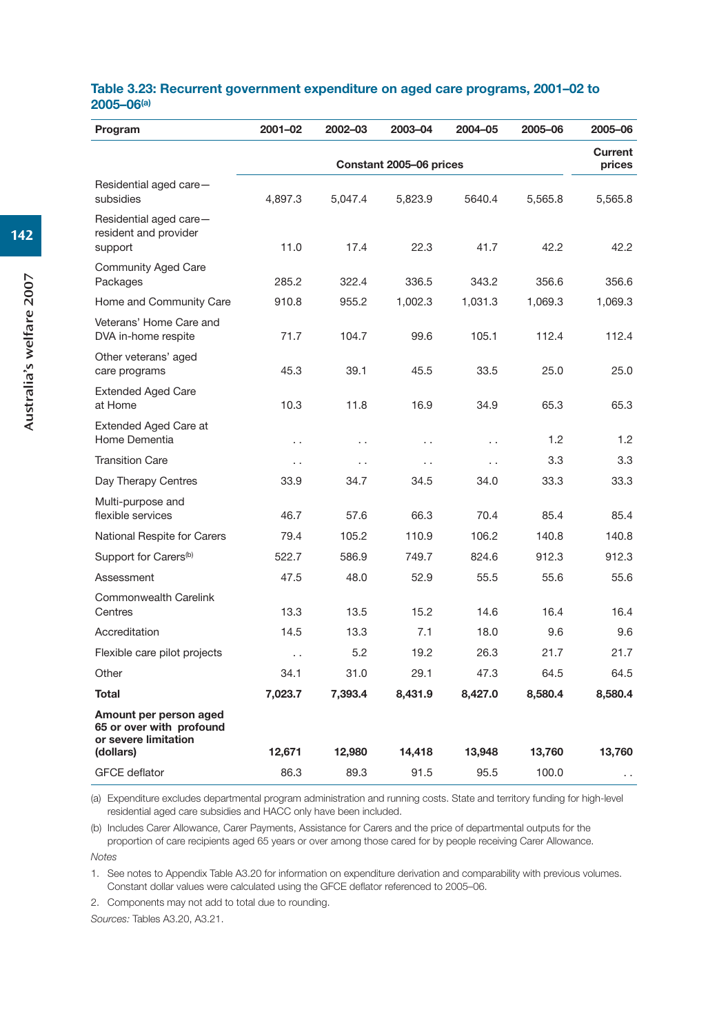#### **Table 3.23: Recurrent government expenditure on aged care programs, 2001–02 to 2005–06(a)**

| Program                                                                    | 2001-02                 | 2002-03              | 2003-04              | 2004-05              | 2005-06 | 2005-06                  |
|----------------------------------------------------------------------------|-------------------------|----------------------|----------------------|----------------------|---------|--------------------------|
|                                                                            | Constant 2005-06 prices |                      |                      |                      |         | <b>Current</b><br>prices |
| Residential aged care-<br>subsidies                                        | 4,897.3                 | 5,047.4              | 5,823.9              | 5640.4               | 5,565.8 | 5,565.8                  |
| Residential aged care-<br>resident and provider<br>support                 | 11.0                    | 17.4                 | 22.3                 | 41.7                 | 42.2    | 42.2                     |
| <b>Community Aged Care</b><br>Packages                                     | 285.2                   | 322.4                | 336.5                | 343.2                | 356.6   | 356.6                    |
| Home and Community Care                                                    | 910.8                   | 955.2                | 1,002.3              | 1,031.3              | 1,069.3 | 1,069.3                  |
| Veterans' Home Care and<br>DVA in-home respite                             | 71.7                    | 104.7                | 99.6                 | 105.1                | 112.4   | 112.4                    |
| Other veterans' aged<br>care programs                                      | 45.3                    | 39.1                 | 45.5                 | 33.5                 | 25.0    | 25.0                     |
| <b>Extended Aged Care</b><br>at Home                                       | 10.3                    | 11.8                 | 16.9                 | 34.9                 | 65.3    | 65.3                     |
| <b>Extended Aged Care at</b><br>Home Dementia                              | $\cdot$ .               | . .                  | . .                  | . .                  | 1.2     | 1.2                      |
| <b>Transition Care</b>                                                     | $\ddot{\phantom{0}}$    | $\ddot{\phantom{0}}$ | $\ddot{\phantom{0}}$ | $\ddot{\phantom{0}}$ | 3.3     | 3.3                      |
| Day Therapy Centres                                                        | 33.9                    | 34.7                 | 34.5                 | 34.0                 | 33.3    | 33.3                     |
| Multi-purpose and<br>flexible services                                     | 46.7                    | 57.6                 | 66.3                 | 70.4                 | 85.4    | 85.4                     |
| National Respite for Carers                                                | 79.4                    | 105.2                | 110.9                | 106.2                | 140.8   | 140.8                    |
| Support for Carers <sup>(b)</sup>                                          | 522.7                   | 586.9                | 749.7                | 824.6                | 912.3   | 912.3                    |
| Assessment                                                                 | 47.5                    | 48.0                 | 52.9                 | 55.5                 | 55.6    | 55.6                     |
| Commonwealth Carelink<br>Centres                                           | 13.3                    | 13.5                 | 15.2                 | 14.6                 | 16.4    | 16.4                     |
| Accreditation                                                              | 14.5                    | 13.3                 | 7.1                  | 18.0                 | 9.6     | 9.6                      |
| Flexible care pilot projects                                               | $\ddot{\phantom{0}}$    | 5.2                  | 19.2                 | 26.3                 | 21.7    | 21.7                     |
| Other                                                                      | 34.1                    | 31.0                 | 29.1                 | 47.3                 | 64.5    | 64.5                     |
| Total                                                                      | 7,023.7                 | 7,393.4              | 8,431.9              | 8,427.0              | 8,580.4 | 8,580.4                  |
| Amount per person aged<br>65 or over with profound<br>or severe limitation |                         |                      |                      |                      |         |                          |
| (dollars)                                                                  | 12,671                  | 12,980               | 14,418               | 13,948               | 13,760  | 13,760                   |
| <b>GFCE</b> deflator                                                       | 86.3                    | 89.3                 | 91.5                 | 95.5                 | 100.0   | $\ddot{\phantom{0}}$     |

(a) Expenditure excludes departmental program administration and running costs. State and territory funding for high-level residential aged care subsidies and HACC only have been included.

(b) Includes Carer Allowance, Carer Payments, Assistance for Carers and the price of departmental outputs for the proportion of care recipients aged 65 years or over among those cared for by people receiving Carer Allowance. *Notes*

1. See notes to Appendix Table A3.20 for information on expenditure derivation and comparability with previous volumes. Constant dollar values were calculated using the GFCE deflator referenced to 2005–06.

2. Components may not add to total due to rounding.

*Sources:* Tables A3.20, A3.21.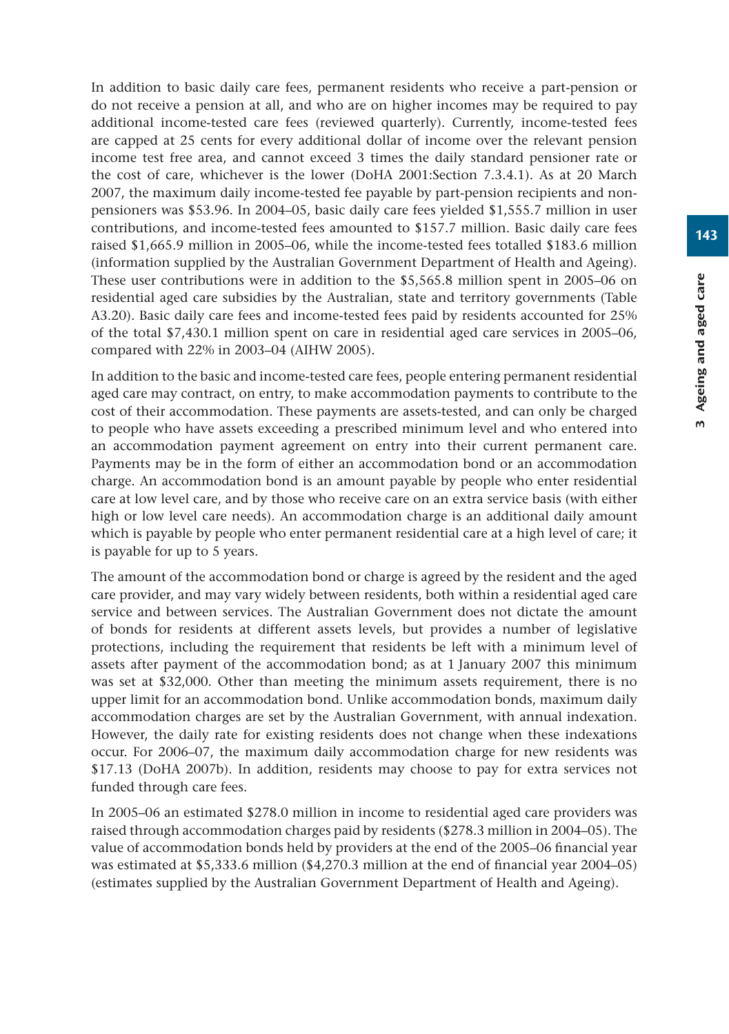In addition to basic daily care fees, permanent residents who receive a part-pension or do not receive a pension at all, and who are on higher incomes may be required to pay additional income-tested care fees (reviewed quarterly). Currently, income-tested fees are capped at 25 cents for every additional dollar of income over the relevant pension income test free area, and cannot exceed 3 times the daily standard pensioner rate or the cost of care, whichever is the lower (DoHA 2001:Section 7.3.4.1). As at 20 March 2007, the maximum daily income-tested fee payable by part-pension recipients and nonpensioners was \$53.96. In 2004–05, basic daily care fees yielded \$1,555.7 million in user contributions, and income-tested fees amounted to \$157.7 million. Basic daily care fees raised \$1,665.9 million in 2005–06, while the income-tested fees totalled \$183.6 million (information supplied by the Australian Government Department of Health and Ageing). These user contributions were in addition to the \$5,565.8 million spent in 2005–06 on residential aged care subsidies by the Australian, state and territory governments (Table A3.20). Basic daily care fees and income-tested fees paid by residents accounted for 25% of the total \$7,430.1 million spent on care in residential aged care services in 2005–06, compared with 22% in 2003–04 (AIHW 2005).

In addition to the basic and income-tested care fees, people entering permanent residential aged care may contract, on entry, to make accommodation payments to contribute to the cost of their accommodation. These payments are assets-tested, and can only be charged to people who have assets exceeding a prescribed minimum level and who entered into an accommodation payment agreement on entry into their current permanent care. Payments may be in the form of either an accommodation bond or an accommodation charge. An accommodation bond is an amount payable by people who enter residential care at low level care, and by those who receive care on an extra service basis (with either high or low level care needs). An accommodation charge is an additional daily amount which is payable by people who enter permanent residential care at a high level of care; it is payable for up to 5 years.

The amount of the accommodation bond or charge is agreed by the resident and the aged care provider, and may vary widely between residents, both within a residential aged care service and between services. The Australian Government does not dictate the amount of bonds for residents at different assets levels, but provides a number of legislative protections, including the requirement that residents be left with a minimum level of assets after payment of the accommodation bond; as at 1 January 2007 this minimum was set at \$32,000. Other than meeting the minimum assets requirement, there is no upper limit for an accommodation bond. Unlike accommodation bonds, maximum daily accommodation charges are set by the Australian Government, with annual indexation. However, the daily rate for existing residents does not change when these indexations occur. For 2006–07, the maximum daily accommodation charge for new residents was \$17.13 (DoHA 2007b). In addition, residents may choose to pay for extra services not funded through care fees.

In 2005–06 an estimated \$278.0 million in income to residential aged care providers was raised through accommodation charges paid by residents (\$278.3 million in 2004–05). The value of accommodation bonds held by providers at the end of the 2005–06 financial year was estimated at \$5,333.6 million (\$4,270.3 million at the end of financial year 2004–05) (estimates supplied by the Australian Government Department of Health and Ageing).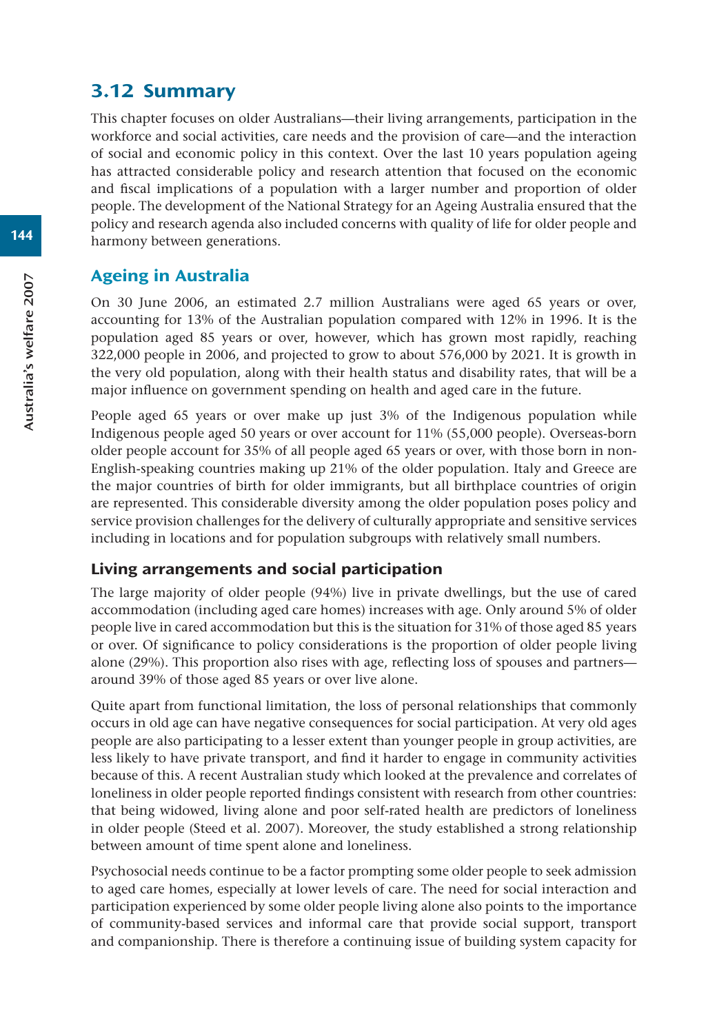# 3.12 Summary

This chapter focuses on older Australians—their living arrangements, participation in the workforce and social activities, care needs and the provision of care—and the interaction of social and economic policy in this context. Over the last 10 years population ageing has attracted considerable policy and research attention that focused on the economic and fiscal implications of a population with a larger number and proportion of older people. The development of the National Strategy for an Ageing Australia ensured that the policy and research agenda also included concerns with quality of life for older people and harmony between generations.

# Ageing in Australia

On 30 June 2006, an estimated 2.7 million Australians were aged 65 years or over, accounting for 13% of the Australian population compared with 12% in 1996. It is the population aged 85 years or over, however, which has grown most rapidly, reaching 322,000 people in 2006, and projected to grow to about 576,000 by 2021. It is growth in the very old population, along with their health status and disability rates, that will be a major influence on government spending on health and aged care in the future.

People aged 65 years or over make up just 3% of the Indigenous population while Indigenous people aged 50 years or over account for 11% (55,000 people). Overseas-born older people account for 35% of all people aged 65 years or over, with those born in non-English-speaking countries making up 21% of the older population. Italy and Greece are the major countries of birth for older immigrants, but all birthplace countries of origin are represented. This considerable diversity among the older population poses policy and service provision challenges for the delivery of culturally appropriate and sensitive services including in locations and for population subgroups with relatively small numbers.

## Living arrangements and social participation

The large majority of older people (94%) live in private dwellings, but the use of cared accommodation (including aged care homes) increases with age. Only around 5% of older people live in cared accommodation but this is the situation for 31% of those aged 85 years or over. Of significance to policy considerations is the proportion of older people living alone (29%). This proportion also rises with age, reflecting loss of spouses and partners around 39% of those aged 85 years or over live alone.

Quite apart from functional limitation, the loss of personal relationships that commonly occurs in old age can have negative consequences for social participation. At very old ages people are also participating to a lesser extent than younger people in group activities, are less likely to have private transport, and find it harder to engage in community activities because of this. A recent Australian study which looked at the prevalence and correlates of loneliness in older people reported findings consistent with research from other countries: that being widowed, living alone and poor self-rated health are predictors of loneliness in older people (Steed et al. 2007). Moreover, the study established a strong relationship between amount of time spent alone and loneliness.

Psychosocial needs continue to be a factor prompting some older people to seek admission to aged care homes, especially at lower levels of care. The need for social interaction and participation experienced by some older people living alone also points to the importance of community-based services and informal care that provide social support, transport and companionship. There is therefore a continuing issue of building system capacity for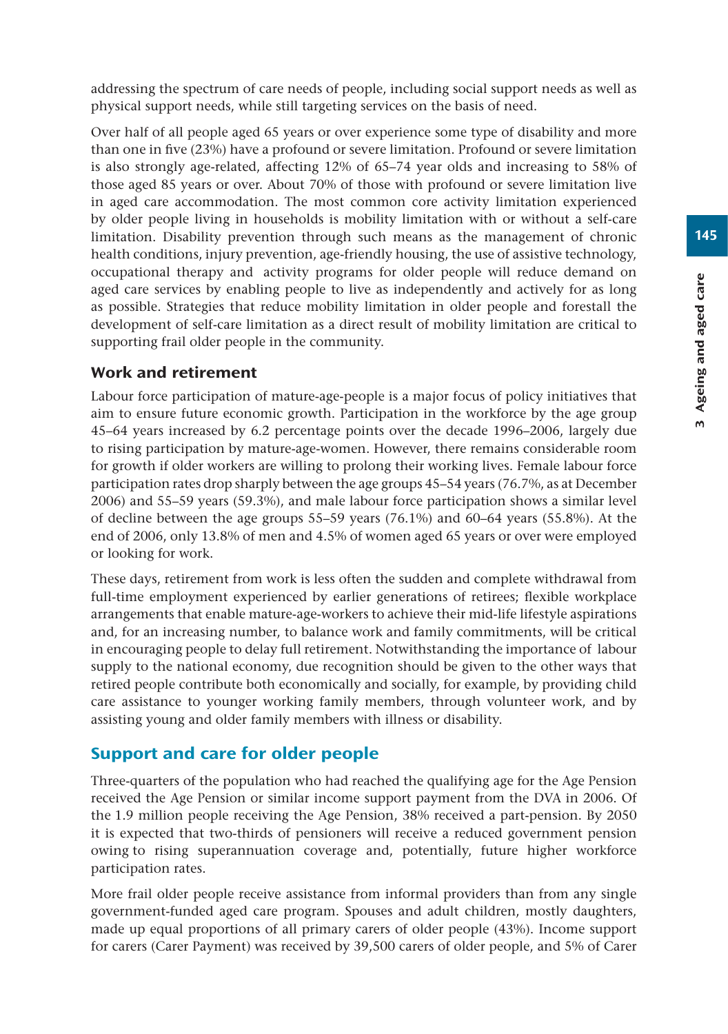addressing the spectrum of care needs of people, including social support needs as well as physical support needs, while still targeting services on the basis of need.

Over half of all people aged 65 years or over experience some type of disability and more than one in five (23%) have a profound or severe limitation. Profound or severe limitation is also strongly age-related, affecting 12% of 65–74 year olds and increasing to 58% of those aged 85 years or over. About 70% of those with profound or severe limitation live in aged care accommodation. The most common core activity limitation experienced by older people living in households is mobility limitation with or without a self-care limitation. Disability prevention through such means as the management of chronic health conditions, injury prevention, age-friendly housing, the use of assistive technology, occupational therapy and activity programs for older people will reduce demand on aged care services by enabling people to live as independently and actively for as long as possible. Strategies that reduce mobility limitation in older people and forestall the development of self-care limitation as a direct result of mobility limitation are critical to supporting frail older people in the community.

## Work and retirement

Labour force participation of mature-age-people is a major focus of policy initiatives that aim to ensure future economic growth. Participation in the workforce by the age group 45–64 years increased by 6.2 percentage points over the decade 1996–2006, largely due to rising participation by mature-age-women. However, there remains considerable room for growth if older workers are willing to prolong their working lives. Female labour force participation rates drop sharply between the age groups 45–54 years (76.7%, as at December 2006) and 55–59 years (59.3%), and male labour force participation shows a similar level of decline between the age groups  $55-59$  years  $(76.1\%)$  and  $60-64$  years  $(55.8\%)$ . At the end of 2006, only 13.8% of men and 4.5% of women aged 65 years or over were employed or looking for work.

These days, retirement from work is less often the sudden and complete withdrawal from full-time employment experienced by earlier generations of retirees; flexible workplace arrangements that enable mature-age-workers to achieve their mid-life lifestyle aspirations and, for an increasing number, to balance work and family commitments, will be critical in encouraging people to delay full retirement. Notwithstanding the importance of labour supply to the national economy, due recognition should be given to the other ways that retired people contribute both economically and socially, for example, by providing child care assistance to younger working family members, through volunteer work, and by assisting young and older family members with illness or disability.

# Support and care for older people

Three-quarters of the population who had reached the qualifying age for the Age Pension received the Age Pension or similar income support payment from the DVA in 2006. Of the 1.9 million people receiving the Age Pension, 38% received a part-pension. By 2050 it is expected that two-thirds of pensioners will receive a reduced government pension owing to rising superannuation coverage and, potentially, future higher workforce participation rates.

More frail older people receive assistance from informal providers than from any single government-funded aged care program. Spouses and adult children, mostly daughters, made up equal proportions of all primary carers of older people (43%). Income support for carers (Carer Payment) was received by 39,500 carers of older people, and 5% of Carer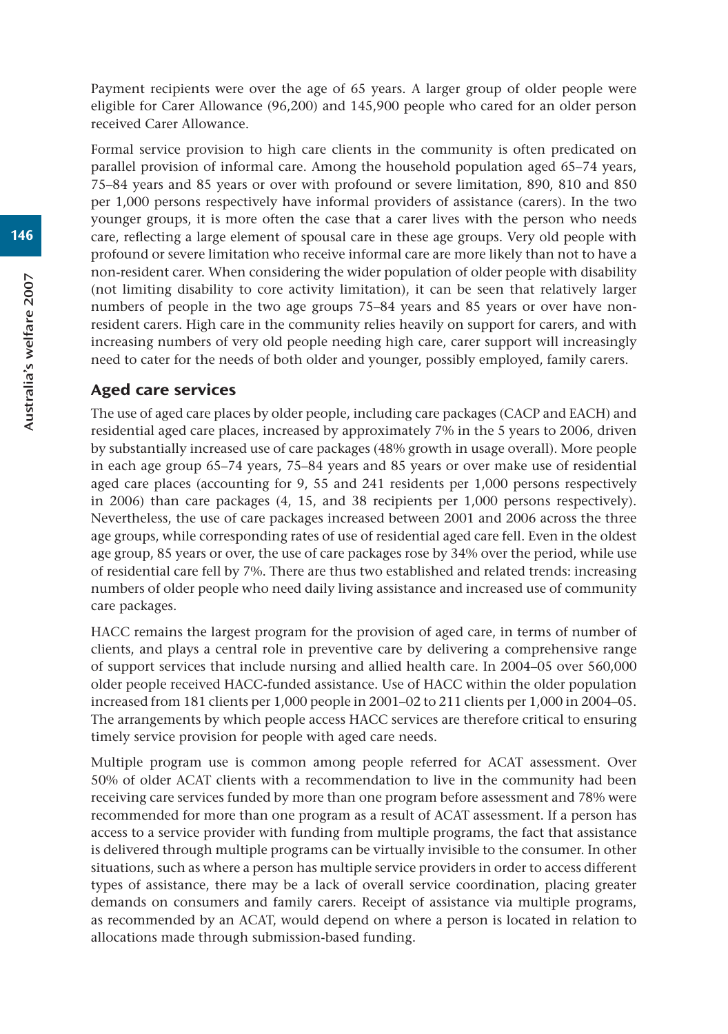Payment recipients were over the age of 65 years. A larger group of older people were eligible for Carer Allowance (96,200) and 145,900 people who cared for an older person received Carer Allowance.

Formal service provision to high care clients in the community is often predicated on parallel provision of informal care. Among the household population aged 65–74 years, 75–84 years and 85 years or over with profound or severe limitation, 890, 810 and 850 per 1,000 persons respectively have informal providers of assistance (carers). In the two younger groups, it is more often the case that a carer lives with the person who needs care, reflecting a large element of spousal care in these age groups. Very old people with profound or severe limitation who receive informal care are more likely than not to have a non-resident carer. When considering the wider population of older people with disability (not limiting disability to core activity limitation), it can be seen that relatively larger numbers of people in the two age groups 75–84 years and 85 years or over have nonresident carers. High care in the community relies heavily on support for carers, and with increasing numbers of very old people needing high care, carer support will increasingly need to cater for the needs of both older and younger, possibly employed, family carers.

#### Aged care services

The use of aged care places by older people, including care packages (CACP and EACH) and residential aged care places, increased by approximately 7% in the 5 years to 2006, driven by substantially increased use of care packages (48% growth in usage overall). More people in each age group 65–74 years, 75–84 years and 85 years or over make use of residential aged care places (accounting for 9, 55 and 241 residents per 1,000 persons respectively in 2006) than care packages (4, 15, and 38 recipients per 1,000 persons respectively). Nevertheless, the use of care packages increased between 2001 and 2006 across the three age groups, while corresponding rates of use of residential aged care fell. Even in the oldest age group, 85 years or over, the use of care packages rose by 34% over the period, while use of residential care fell by 7%. There are thus two established and related trends: increasing numbers of older people who need daily living assistance and increased use of community care packages.

HACC remains the largest program for the provision of aged care, in terms of number of clients, and plays a central role in preventive care by delivering a comprehensive range of support services that include nursing and allied health care. In 2004–05 over 560,000 older people received HACC-funded assistance. Use of HACC within the older population increased from 181 clients per 1,000 people in 2001–02 to 211 clients per 1,000 in 2004–05. The arrangements by which people access HACC services are therefore critical to ensuring timely service provision for people with aged care needs.

Multiple program use is common among people referred for ACAT assessment. Over 50% of older ACAT clients with a recommendation to live in the community had been receiving care services funded by more than one program before assessment and 78% were recommended for more than one program as a result of ACAT assessment. If a person has access to a service provider with funding from multiple programs, the fact that assistance is delivered through multiple programs can be virtually invisible to the consumer. In other situations, such as where a person has multiple service providers in order to access different types of assistance, there may be a lack of overall service coordination, placing greater demands on consumers and family carers. Receipt of assistance via multiple programs, as recommended by an ACAT, would depend on where a person is located in relation to allocations made through submission-based funding.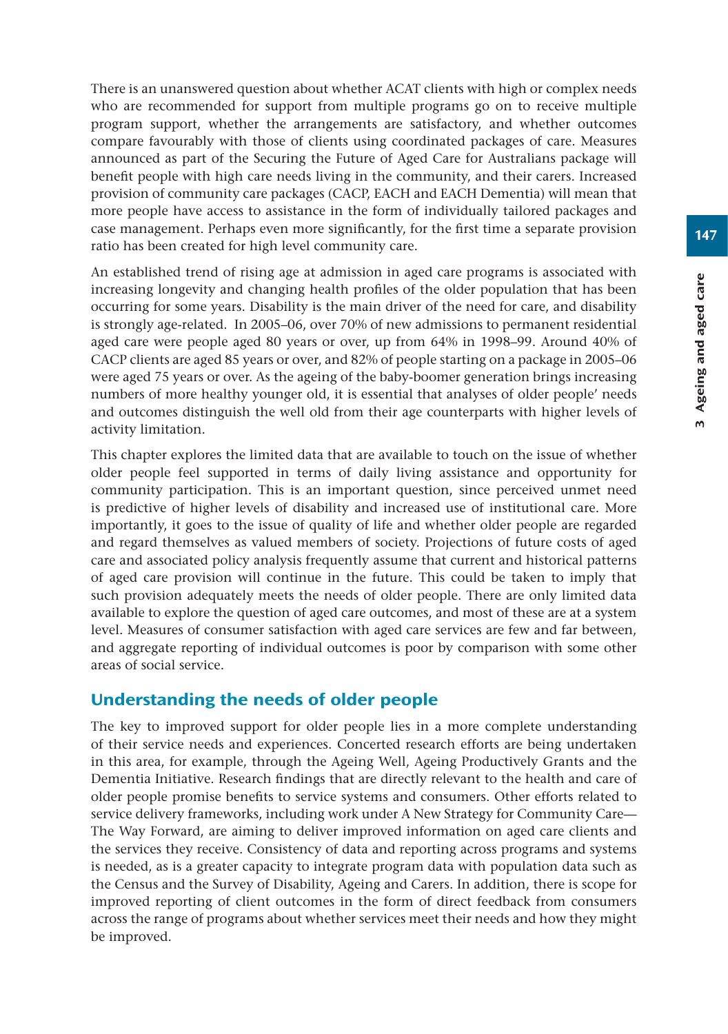There is an unanswered question about whether ACAT clients with high or complex needs who are recommended for support from multiple programs go on to receive multiple program support, whether the arrangements are satisfactory, and whether outcomes compare favourably with those of clients using coordinated packages of care. Measures announced as part of the Securing the Future of Aged Care for Australians package will benefit people with high care needs living in the community, and their carers. Increased provision of community care packages (CACP, EACH and EACH Dementia) will mean that more people have access to assistance in the form of individually tailored packages and case management. Perhaps even more significantly, for the first time a separate provision ratio has been created for high level community care.

An established trend of rising age at admission in aged care programs is associated with increasing longevity and changing health profiles of the older population that has been occurring for some years. Disability is the main driver of the need for care, and disability is strongly age-related. In 2005–06, over 70% of new admissions to permanent residential aged care were people aged 80 years or over, up from 64% in 1998–99. Around 40% of CACP clients are aged 85 years or over, and 82% of people starting on a package in 2005–06 were aged 75 years or over. As the ageing of the baby-boomer generation brings increasing numbers of more healthy younger old, it is essential that analyses of older people' needs and outcomes distinguish the well old from their age counterparts with higher levels of activity limitation.

This chapter explores the limited data that are available to touch on the issue of whether older people feel supported in terms of daily living assistance and opportunity for community participation. This is an important question, since perceived unmet need is predictive of higher levels of disability and increased use of institutional care. More importantly, it goes to the issue of quality of life and whether older people are regarded and regard themselves as valued members of society. Projections of future costs of aged care and associated policy analysis frequently assume that current and historical patterns of aged care provision will continue in the future. This could be taken to imply that such provision adequately meets the needs of older people. There are only limited data available to explore the question of aged care outcomes, and most of these are at a system level. Measures of consumer satisfaction with aged care services are few and far between, and aggregate reporting of individual outcomes is poor by comparison with some other areas of social service.

## Understanding the needs of older people

The key to improved support for older people lies in a more complete understanding of their service needs and experiences. Concerted research efforts are being undertaken in this area, for example, through the Ageing Well, Ageing Productively Grants and the Dementia Initiative. Research findings that are directly relevant to the health and care of older people promise benefits to service systems and consumers. Other efforts related to service delivery frameworks, including work under A New Strategy for Community Care— The Way Forward, are aiming to deliver improved information on aged care clients and the services they receive. Consistency of data and reporting across programs and systems is needed, as is a greater capacity to integrate program data with population data such as the Census and the Survey of Disability, Ageing and Carers. In addition, there is scope for improved reporting of client outcomes in the form of direct feedback from consumers across the range of programs about whether services meet their needs and how they might be improved.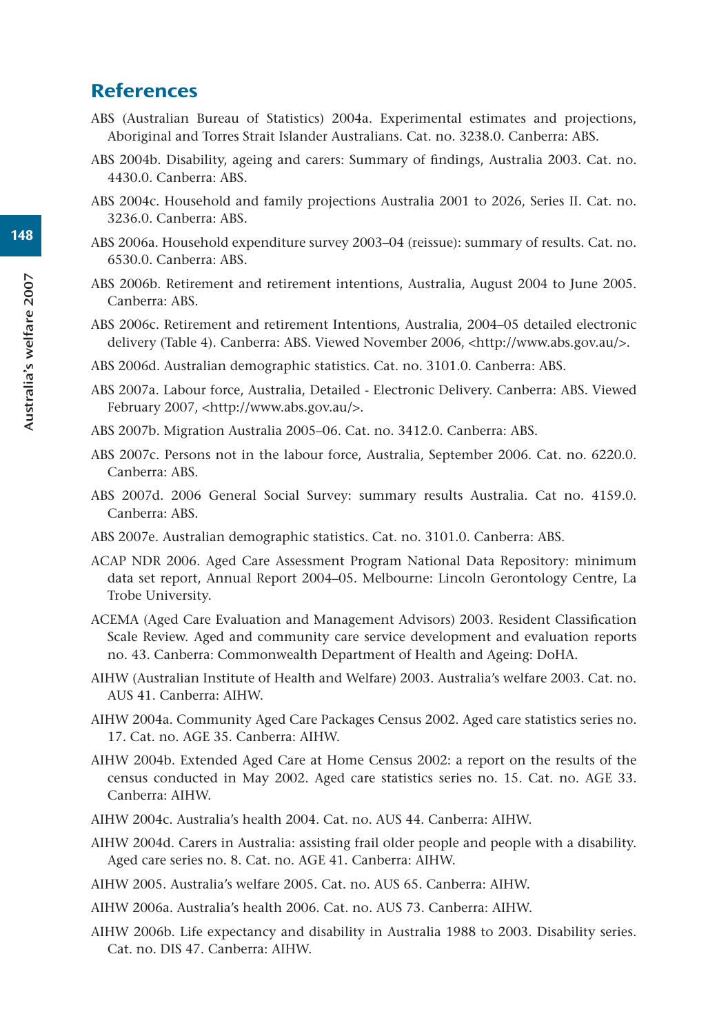# **References**

- ABS (Australian Bureau of Statistics) 2004a. Experimental estimates and projections, Aboriginal and Torres Strait Islander Australians. Cat. no. 3238.0. Canberra: ABS.
- ABS 2004b. Disability, ageing and carers: Summary of findings, Australia 2003. Cat. no. 4430.0. Canberra: ABS.
- ABS 2004c. Household and family projections Australia 2001 to 2026, Series II. Cat. no. 3236.0. Canberra: ABS.
- ABS 2006a. Household expenditure survey 2003–04 (reissue): summary of results. Cat. no. 6530.0. Canberra: ABS.
- ABS 2006b. Retirement and retirement intentions, Australia, August 2004 to June 2005. Canberra: ABS.
- ABS 2006c. Retirement and retirement Intentions, Australia, 2004–05 detailed electronic delivery (Table 4). Canberra: ABS. Viewed November 2006, <http://www.abs.gov.au/>.
- ABS 2006d. Australian demographic statistics. Cat. no. 3101.0. Canberra: ABS.
- ABS 2007a. Labour force, Australia, Detailed Electronic Delivery. Canberra: ABS. Viewed February 2007, <http://www.abs.gov.au/>.
- ABS 2007b. Migration Australia 2005–06. Cat. no. 3412.0. Canberra: ABS.
- ABS 2007c. Persons not in the labour force, Australia, September 2006. Cat. no. 6220.0. Canberra: ABS.
- ABS 2007d. 2006 General Social Survey: summary results Australia. Cat no. 4159.0. Canberra: ABS.
- ABS 2007e. Australian demographic statistics. Cat. no. 3101.0. Canberra: ABS.
- ACAP NDR 2006. Aged Care Assessment Program National Data Repository: minimum data set report, Annual Report 2004–05. Melbourne: Lincoln Gerontology Centre, La Trobe University.
- ACEMA (Aged Care Evaluation and Management Advisors) 2003. Resident Classification Scale Review. Aged and community care service development and evaluation reports no. 43. Canberra: Commonwealth Department of Health and Ageing: DoHA.
- AIHW (Australian Institute of Health and Welfare) 2003. Australia's welfare 2003. Cat. no. AUS 41. Canberra: AIHW.
- AIHW 2004a. Community Aged Care Packages Census 2002. Aged care statistics series no. 17. Cat. no. AGE 35. Canberra: AIHW.
- AIHW 2004b. Extended Aged Care at Home Census 2002: a report on the results of the census conducted in May 2002. Aged care statistics series no. 15. Cat. no. AGE 33. Canberra: AIHW.
- AIHW 2004c. Australia's health 2004. Cat. no. AUS 44. Canberra: AIHW.
- AIHW 2004d. Carers in Australia: assisting frail older people and people with a disability. Aged care series no. 8. Cat. no. AGE 41. Canberra: AIHW.
- AIHW 2005. Australia's welfare 2005. Cat. no. AUS 65. Canberra: AIHW.
- AIHW 2006a. Australia's health 2006. Cat. no. AUS 73. Canberra: AIHW.
- AIHW 2006b. Life expectancy and disability in Australia 1988 to 2003. Disability series. Cat. no. DIS 47. Canberra: AIHW.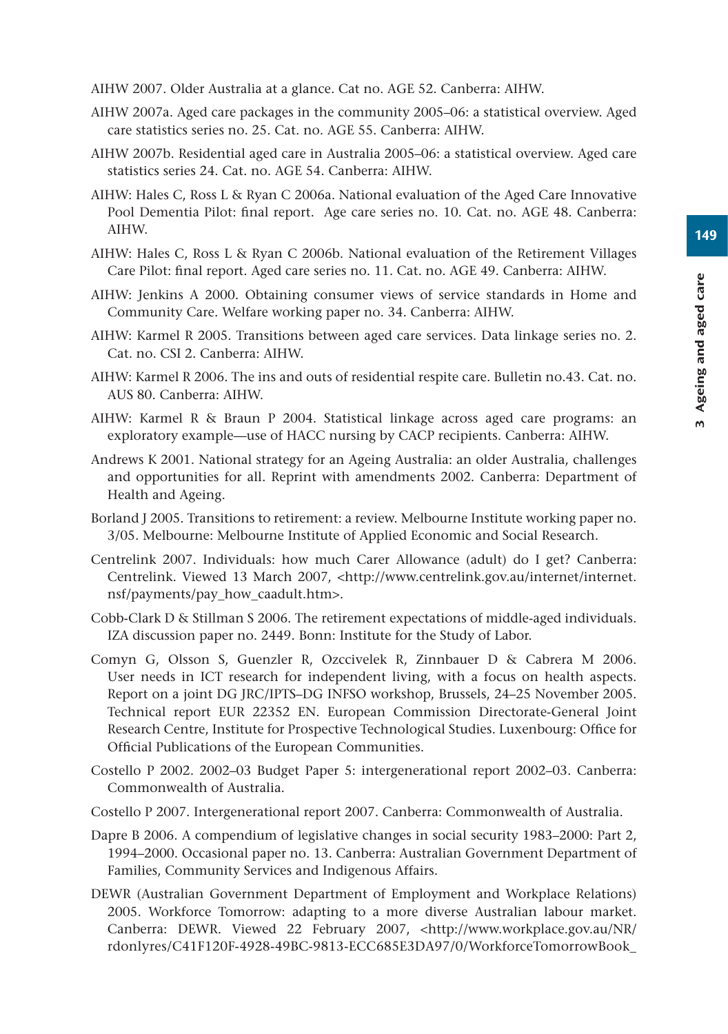149

3 Ageing and aged care

3 Ageing and aged care

- AIHW 2007. Older Australia at a glance. Cat no. AGE 52. Canberra: AIHW.
- AIHW 2007a. Aged care packages in the community 2005–06: a statistical overview. Aged care statistics series no. 25. Cat. no. AGE 55. Canberra: AIHW.
- AIHW 2007b. Residential aged care in Australia 2005–06: a statistical overview. Aged care statistics series 24. Cat. no. AGE 54. Canberra: AIHW.
- AIHW: Hales C, Ross L & Ryan C 2006a. National evaluation of the Aged Care Innovative Pool Dementia Pilot: final report. Age care series no. 10. Cat. no. AGE 48. Canberra: AIHW.
- AIHW: Hales C, Ross L & Ryan C 2006b. National evaluation of the Retirement Villages Care Pilot: final report. Aged care series no. 11. Cat. no. AGE 49. Canberra: AIHW.
- AIHW: Jenkins A 2000. Obtaining consumer views of service standards in Home and Community Care. Welfare working paper no. 34. Canberra: AIHW.
- AIHW: Karmel R 2005. Transitions between aged care services. Data linkage series no. 2. Cat. no. CSI 2. Canberra: AIHW.
- AIHW: Karmel R 2006. The ins and outs of residential respite care. Bulletin no.43. Cat. no. AUS 80. Canberra: AIHW.
- AIHW: Karmel R & Braun P 2004. Statistical linkage across aged care programs: an exploratory example—use of HACC nursing by CACP recipients. Canberra: AIHW.
- Andrews K 2001. National strategy for an Ageing Australia: an older Australia, challenges and opportunities for all. Reprint with amendments 2002. Canberra: Department of Health and Ageing.
- Borland J 2005. Transitions to retirement: a review. Melbourne Institute working paper no. 3/05. Melbourne: Melbourne Institute of Applied Economic and Social Research.
- Centrelink 2007. Individuals: how much Carer Allowance (adult) do I get? Canberra: Centrelink. Viewed 13 March 2007, <http://www.centrelink.gov.au/internet/internet. nsf/payments/pay\_how\_caadult.htm>.
- Cobb-Clark D & Stillman S 2006. The retirement expectations of middle-aged individuals. IZA discussion paper no. 2449. Bonn: Institute for the Study of Labor.
- Comyn G, Olsson S, Guenzler R, Ozccivelek R, Zinnbauer D & Cabrera M 2006. User needs in ICT research for independent living, with a focus on health aspects. Report on a joint DG JRC/IPTS–DG INFSO workshop, Brussels, 24–25 November 2005. Technical report EUR 22352 EN. European Commission Directorate-General Joint Research Centre, Institute for Prospective Technological Studies. Luxenbourg: Office for Official Publications of the European Communities.
- Costello P 2002. 2002–03 Budget Paper 5: intergenerational report 2002–03. Canberra: Commonwealth of Australia.
- Costello P 2007. Intergenerational report 2007. Canberra: Commonwealth of Australia.
- Dapre B 2006. A compendium of legislative changes in social security 1983–2000: Part 2, 1994–2000. Occasional paper no. 13. Canberra: Australian Government Department of Families, Community Services and Indigenous Affairs.
- DEWR (Australian Government Department of Employment and Workplace Relations) 2005. Workforce Tomorrow: adapting to a more diverse Australian labour market. Canberra: DEWR. Viewed 22 February 2007, <http://www.workplace.gov.au/NR/ rdonlyres/C41F120F-4928-49BC-9813-ECC685E3DA97/0/WorkforceTomorrowBook\_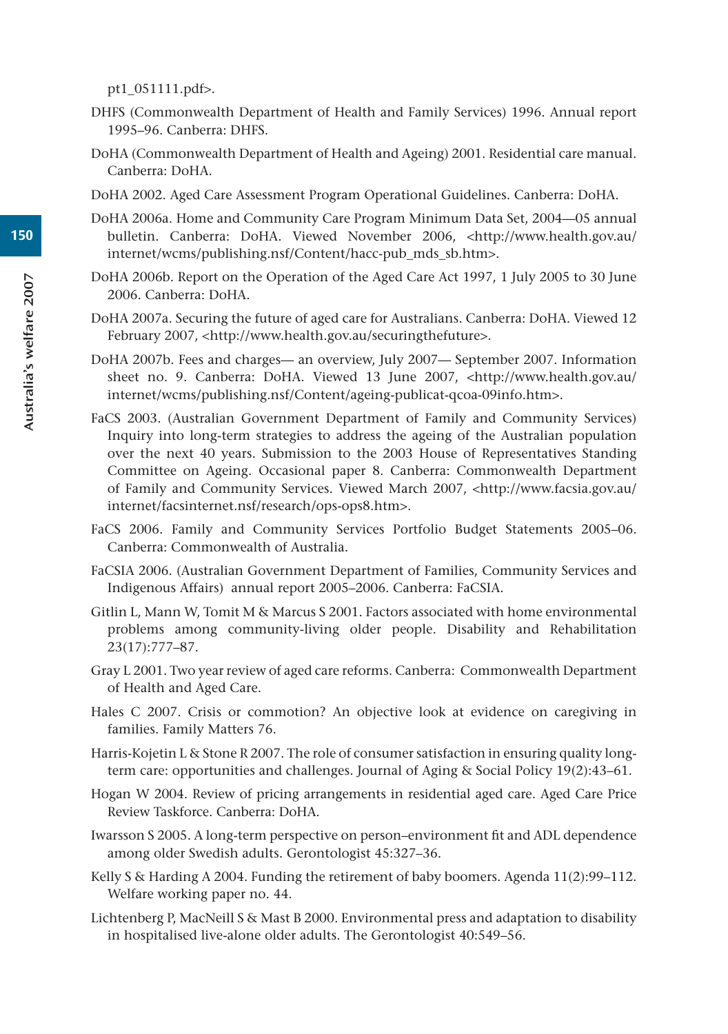pt1\_051111.pdf>.

- DHFS (Commonwealth Department of Health and Family Services) 1996. Annual report 1995–96. Canberra: DHFS.
- DoHA (Commonwealth Department of Health and Ageing) 2001. Residential care manual. Canberra: DoHA.
- DoHA 2002. Aged Care Assessment Program Operational Guidelines. Canberra: DoHA.
- DoHA 2006a. Home and Community Care Program Minimum Data Set, 2004—05 annual bulletin. Canberra: DoHA. Viewed November 2006, <http://www.health.gov.au/ internet/wcms/publishing.nsf/Content/hacc-pub\_mds\_sb.htm>.
- DoHA 2006b. Report on the Operation of the Aged Care Act 1997, 1 July 2005 to 30 June 2006. Canberra: DoHA.
- DoHA 2007a. Securing the future of aged care for Australians. Canberra: DoHA. Viewed 12 February 2007, <http://www.health.gov.au/securingthefuture>.
- DoHA 2007b. Fees and charges— an overview, July 2007— September 2007. Information sheet no. 9. Canberra: DoHA. Viewed 13 June 2007, <http://www.health.gov.au/ internet/wcms/publishing.nsf/Content/ageing-publicat-qcoa-09info.htm>.
- FaCS 2003. (Australian Government Department of Family and Community Services) Inquiry into long-term strategies to address the ageing of the Australian population over the next 40 years. Submission to the 2003 House of Representatives Standing Committee on Ageing. Occasional paper 8. Canberra: Commonwealth Department of Family and Community Services. Viewed March 2007, <http://www.facsia.gov.au/ internet/facsinternet.nsf/research/ops-ops8.htm>.
- FaCS 2006. Family and Community Services Portfolio Budget Statements 2005–06. Canberra: Commonwealth of Australia.
- FaCSIA 2006. (Australian Government Department of Families, Community Services and Indigenous Affairs) annual report 2005–2006. Canberra: FaCSIA.
- Gitlin L, Mann W, Tomit M & Marcus S 2001. Factors associated with home environmental problems among community-living older people. Disability and Rehabilitation 23(17):777–87.
- Gray L 2001. Two year review of aged care reforms. Canberra: Commonwealth Department of Health and Aged Care.
- Hales C 2007. Crisis or commotion? An objective look at evidence on caregiving in families. Family Matters 76.
- Harris-Kojetin L & Stone R 2007. The role of consumer satisfaction in ensuring quality longterm care: opportunities and challenges. Journal of Aging & Social Policy 19(2):43–61.
- Hogan W 2004. Review of pricing arrangements in residential aged care. Aged Care Price Review Taskforce. Canberra: DoHA.
- Iwarsson S 2005. A long-term perspective on person–environment fit and ADL dependence among older Swedish adults. Gerontologist 45:327–36.
- Kelly S & Harding A 2004. Funding the retirement of baby boomers. Agenda 11(2):99–112. Welfare working paper no. 44.
- Lichtenberg P, MacNeill S & Mast B 2000. Environmental press and adaptation to disability in hospitalised live-alone older adults. The Gerontologist 40:549–56.